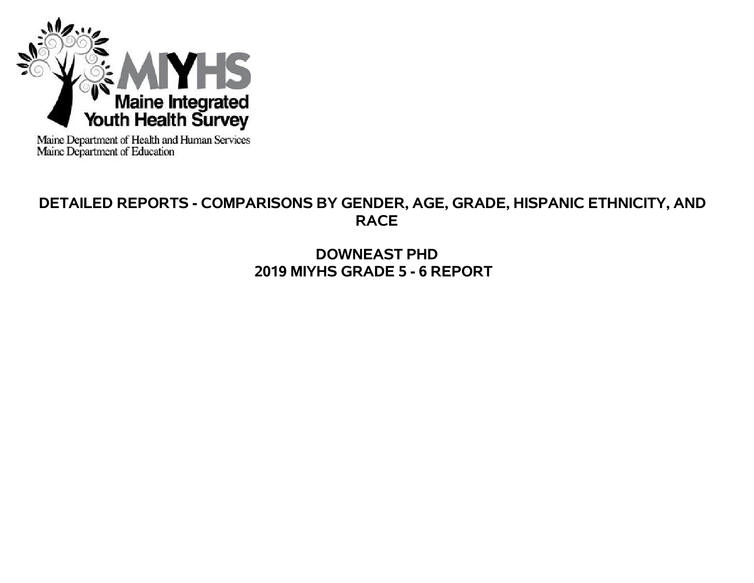

Maine Department of Health and Human Services<br>Maine Department of Education

# **DETAILED REPORTS - COMPARISONS BY GENDER, AGE, GRADE, HISPANIC ETHNICITY, AND RACE**

**DOWNEAST PHD 2019 MIYHS GRADE 5 - 6 REPORT**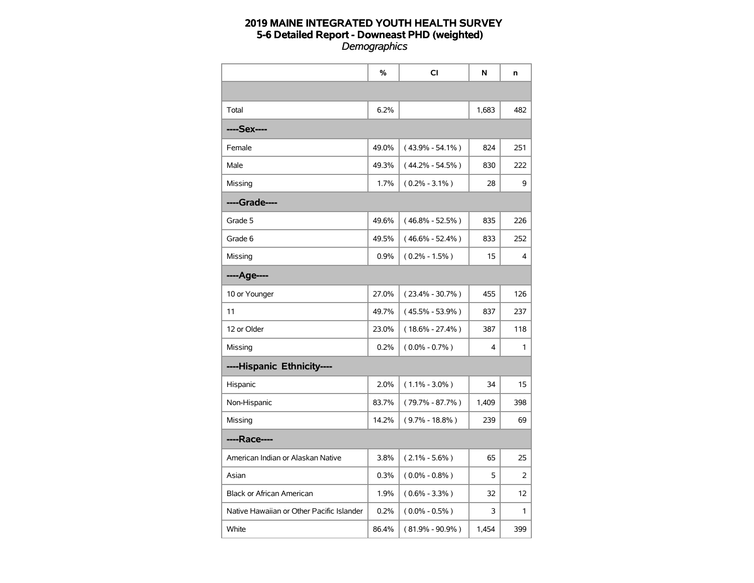|                                           | %     | <b>CI</b>           | N     | n   |
|-------------------------------------------|-------|---------------------|-------|-----|
|                                           |       |                     |       |     |
| Total                                     | 6.2%  |                     | 1,683 | 482 |
| ----Sex----                               |       |                     |       |     |
| Female                                    | 49.0% | $(43.9\% - 54.1\%)$ | 824   | 251 |
| Male                                      | 49.3% | $(44.2\% - 54.5\%)$ | 830   | 222 |
| Missing                                   | 1.7%  | $(0.2\% - 3.1\%)$   | 28    | 9   |
| ----Grade----                             |       |                     |       |     |
| Grade 5                                   | 49.6% | $(46.8\% - 52.5\%)$ | 835   | 226 |
| Grade 6                                   | 49.5% | $(46.6\% - 52.4\%)$ | 833   | 252 |
| Missing                                   | 0.9%  | $(0.2\% - 1.5\%)$   | 15    | 4   |
| ----Age----                               |       |                     |       |     |
| 10 or Younger                             | 27.0% | $(23.4\% - 30.7\%)$ | 455   | 126 |
| 11                                        | 49.7% | $(45.5\% - 53.9\%)$ | 837   | 237 |
| 12 or Older                               | 23.0% | $(18.6\% - 27.4\%)$ | 387   | 118 |
| Missing                                   | 0.2%  | $(0.0\% - 0.7\%)$   | 4     | 1   |
| ----Hispanic Ethnicity----                |       |                     |       |     |
| Hispanic                                  | 2.0%  | $(1.1\% - 3.0\%)$   | 34    | 15  |
| Non-Hispanic                              | 83.7% | $(79.7\% - 87.7\%)$ | 1,409 | 398 |
| Missing                                   | 14.2% | $(9.7\% - 18.8\%)$  | 239   | 69  |
| ----Race----                              |       |                     |       |     |
| American Indian or Alaskan Native         | 3.8%  | $(2.1\% - 5.6\%)$   | 65    | 25  |
| Asian                                     | 0.3%  | $(0.0\% - 0.8\%)$   | 5     | 2   |
| <b>Black or African American</b>          | 1.9%  | $(0.6\% - 3.3\%)$   | 32    | 12  |
| Native Hawaiian or Other Pacific Islander | 0.2%  | $(0.0\% - 0.5\%)$   | 3     | 1   |
| White                                     | 86.4% | $(81.9\% - 90.9\%)$ | 1,454 | 399 |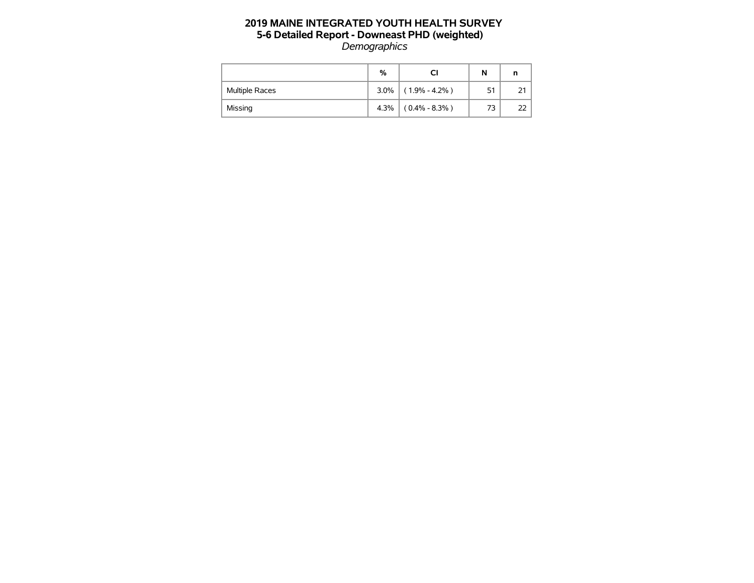|                       | %       | СI                | N   |  |
|-----------------------|---------|-------------------|-----|--|
| <b>Multiple Races</b> | $3.0\%$ | $(1.9\% - 4.2\%)$ | 51  |  |
| Missing               | 4.3%    | $(0.4\% - 8.3\%)$ | 73. |  |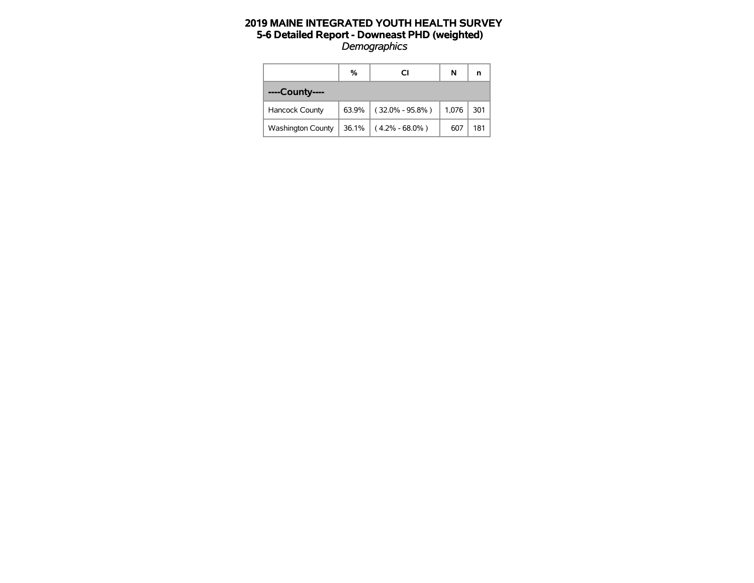|                          | %     | СI                  | N     | n   |
|--------------------------|-------|---------------------|-------|-----|
| ----County----           |       |                     |       |     |
| <b>Hancock County</b>    | 63.9% | $(32.0\% - 95.8\%)$ | 1,076 | 301 |
| <b>Washington County</b> | 36.1% | $(4.2\% - 68.0\%)$  | 607   | 181 |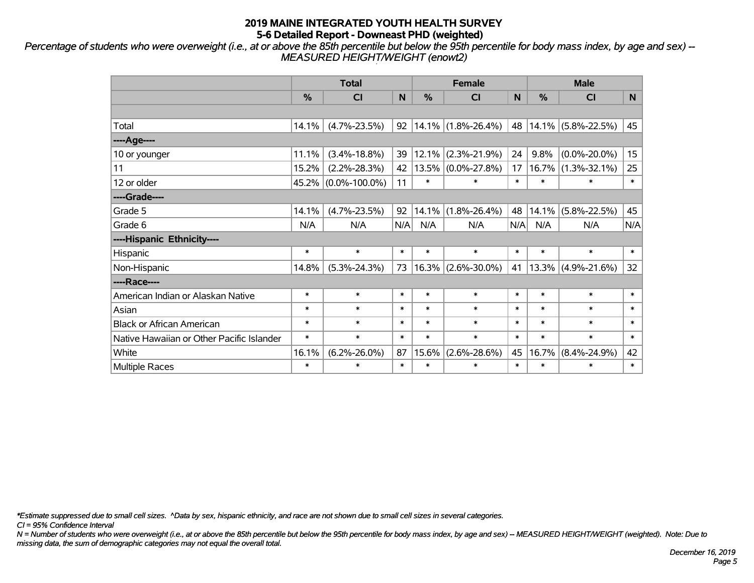*Percentage of students who were overweight (i.e., at or above the 85th percentile but below the 95th percentile for body mass index, by age and sex) -- MEASURED HEIGHT/WEIGHT (enowt2)*

|                                           |        | <b>Total</b>        |        |        | <b>Female</b>         |        | <b>Male</b> |                       |        |  |
|-------------------------------------------|--------|---------------------|--------|--------|-----------------------|--------|-------------|-----------------------|--------|--|
|                                           | %      | <b>CI</b>           | N      | $\%$   | <b>CI</b>             | N      | %           | <b>CI</b>             | N.     |  |
|                                           |        |                     |        |        |                       |        |             |                       |        |  |
| Total                                     | 14.1%  | $(4.7\% - 23.5\%)$  | 92     |        | $14.1\%$ (1.8%-26.4%) | 48     |             | $14.1\%$ (5.8%-22.5%) | 45     |  |
| ----Age----                               |        |                     |        |        |                       |        |             |                       |        |  |
| 10 or younger                             | 11.1%  | $(3.4\% - 18.8\%)$  | 39     | 12.1%  | $(2.3\% - 21.9\%)$    | 24     | 9.8%        | $(0.0\% - 20.0\%)$    | 15     |  |
| 11                                        | 15.2%  | $(2.2\% - 28.3\%)$  | 42     |        | $13.5\%$ (0.0%-27.8%) | 17     | 16.7%       | $(1.3\% - 32.1\%)$    | 25     |  |
| 12 or older                               |        | 45.2% (0.0%-100.0%) | 11     | $\ast$ | $\ast$                | $\ast$ | $\ast$      | $\ast$                | $\ast$ |  |
| ----Grade----                             |        |                     |        |        |                       |        |             |                       |        |  |
| Grade 5                                   | 14.1%  | $(4.7\% - 23.5\%)$  | 92     | 14.1%  | $(1.8\% - 26.4\%)$    | 48     | 14.1%       | $(5.8\% - 22.5\%)$    | 45     |  |
| Grade 6                                   | N/A    | N/A                 | N/A    | N/A    | N/A                   | N/A    | N/A         | N/A                   | N/A    |  |
| ----Hispanic Ethnicity----                |        |                     |        |        |                       |        |             |                       |        |  |
| Hispanic                                  | $\ast$ | $\ast$              | $\ast$ | $\ast$ | $\ast$                | $\ast$ | $\ast$      | $\ast$                | $\ast$ |  |
| Non-Hispanic                              | 14.8%  | $(5.3\% - 24.3\%)$  | 73     | 16.3%  | $(2.6\% - 30.0\%)$    | 41     |             | $13.3\%$ (4.9%-21.6%) | 32     |  |
| ----Race----                              |        |                     |        |        |                       |        |             |                       |        |  |
| American Indian or Alaskan Native         | $\ast$ | $\ast$              | $\ast$ | $\ast$ | $\ast$                | $\ast$ | $\ast$      | $\ast$                | $\ast$ |  |
| Asian                                     | $\ast$ | $\ast$              | $\ast$ | $\ast$ | $\ast$                | $\ast$ | $\ast$      | $\ast$                | $\ast$ |  |
| <b>Black or African American</b>          | $\ast$ | $\ast$              | $\ast$ | $\ast$ | $\ast$                | $\ast$ | $\ast$      | $\ast$                | $\ast$ |  |
| Native Hawaiian or Other Pacific Islander | $\ast$ | $\ast$              | $\ast$ | $\ast$ | $\ast$                | $\ast$ | $\ast$      | $\ast$                | $\ast$ |  |
| White                                     | 16.1%  | $(6.2\% - 26.0\%)$  | 87     | 15.6%  | $(2.6\% - 28.6\%)$    | 45     | 16.7%       | $(8.4\% - 24.9\%)$    | 42     |  |
| <b>Multiple Races</b>                     | $\ast$ | $\ast$              | $\ast$ | $\ast$ | $\ast$                | $\ast$ | $\ast$      | $\ast$                | $\ast$ |  |

*\*Estimate suppressed due to small cell sizes. ^Data by sex, hispanic ethnicity, and race are not shown due to small cell sizes in several categories.*

*CI = 95% Confidence Interval*

*N = Number of students who were overweight (i.e., at or above the 85th percentile but below the 95th percentile for body mass index, by age and sex) -- MEASURED HEIGHT/WEIGHT (weighted). Note: Due to missing data, the sum of demographic categories may not equal the overall total.*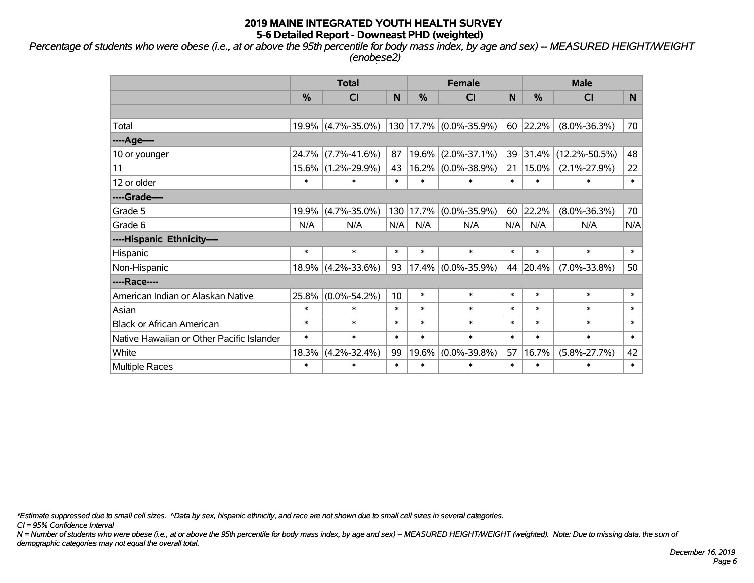*Percentage of students who were obese (i.e., at or above the 95th percentile for body mass index, by age and sex) -- MEASURED HEIGHT/WEIGHT (enobese2)*

|                                           |                                                                    | <b>Total</b>       |                 |           | <b>Female</b>      |        | <b>Male</b>   |                     |        |  |
|-------------------------------------------|--------------------------------------------------------------------|--------------------|-----------------|-----------|--------------------|--------|---------------|---------------------|--------|--|
|                                           | %                                                                  | <b>CI</b>          | N               | %         | <b>CI</b>          | N      | $\frac{0}{0}$ | <b>CI</b>           | N      |  |
|                                           |                                                                    |                    |                 |           |                    |        |               |                     |        |  |
| Total                                     |                                                                    | 19.9% (4.7%-35.0%) |                 | 130 17.7% | $(0.0\% - 35.9\%)$ | 60     | 22.2%         | $(8.0\% - 36.3\%)$  | 70     |  |
| ----Age----                               |                                                                    |                    |                 |           |                    |        |               |                     |        |  |
| 10 or younger                             | 24.7%                                                              | $(7.7\% - 41.6\%)$ | 87              | 19.6%     | $(2.0\% - 37.1\%)$ | 39     | 31.4%         | $(12.2\% - 50.5\%)$ | 48     |  |
| 11                                        | 15.6%                                                              | $(1.2\% - 29.9\%)$ | 43              | 16.2%     | $(0.0\% - 38.9\%)$ | 21     | 15.0%         | $(2.1\% - 27.9\%)$  | 22     |  |
| 12 or older                               | $\ast$                                                             | $\ast$             | $\ast$          | $\ast$    | $\ast$             | $\ast$ | $\ast$        | $\ast$              | $\ast$ |  |
| ----Grade----                             |                                                                    |                    |                 |           |                    |        |               |                     |        |  |
| Grade 5                                   | 19.9%                                                              | $(4.7\% - 35.0\%)$ | 130             | 17.7%     | $(0.0\% - 35.9\%)$ | 60     | 22.2%         | $(8.0\% - 36.3\%)$  | 70     |  |
| Grade 6                                   | N/A                                                                | N/A                | N/A             | N/A       | N/A                | N/A    | N/A           | N/A                 | N/A    |  |
| ----Hispanic Ethnicity----                |                                                                    |                    |                 |           |                    |        |               |                     |        |  |
| Hispanic                                  | $\ast$                                                             | $\ast$             | $\ast$          | $\ast$    | $\ast$             | $\ast$ | $\ast$        | $\ast$              | $\ast$ |  |
| Non-Hispanic                              | $18.9\%$                                                           | $(4.2\% - 33.6\%)$ | 93              | 17.4%     | $(0.0\% - 35.9\%)$ | 44     | 20.4%         | $(7.0\% - 33.8\%)$  | 50     |  |
| ----Race----                              |                                                                    |                    |                 |           |                    |        |               |                     |        |  |
| American Indian or Alaskan Native         | 25.8%                                                              | $(0.0\% - 54.2\%)$ | 10 <sup>°</sup> | $\ast$    | $\ast$             | $\ast$ | $\ast$        | $\ast$              | $\ast$ |  |
| Asian                                     | $\ast$                                                             | $\ast$             | $\ast$          | $\ast$    | $\ast$             | $\ast$ | $\ast$        | $\ast$              | $\ast$ |  |
| <b>Black or African American</b>          | $\ast$                                                             | $\ast$             | $\ast$          | $\ast$    | $\ast$             | $\ast$ | $\ast$        | $\ast$              | $\ast$ |  |
| Native Hawaiian or Other Pacific Islander | $\ast$<br>$\ast$<br>$\ast$<br>$\ast$<br>$\ast$<br>$\ast$<br>$\ast$ |                    | $\ast$          | $\ast$    |                    |        |               |                     |        |  |
| White                                     | 18.3%                                                              | $(4.2\% - 32.4\%)$ | 99              | 19.6%     | $(0.0\% - 39.8\%)$ | 57     | 16.7%         | $(5.8\% - 27.7\%)$  |        |  |
| Multiple Races                            | $\ast$                                                             | $\ast$             | $\ast$          | $\ast$    | $\ast$             | $\ast$ | $\ast$        | $\ast$              | $\ast$ |  |

*\*Estimate suppressed due to small cell sizes. ^Data by sex, hispanic ethnicity, and race are not shown due to small cell sizes in several categories.*

*CI = 95% Confidence Interval*

*N = Number of students who were obese (i.e., at or above the 95th percentile for body mass index, by age and sex) -- MEASURED HEIGHT/WEIGHT (weighted). Note: Due to missing data, the sum of demographic categories may not equal the overall total.*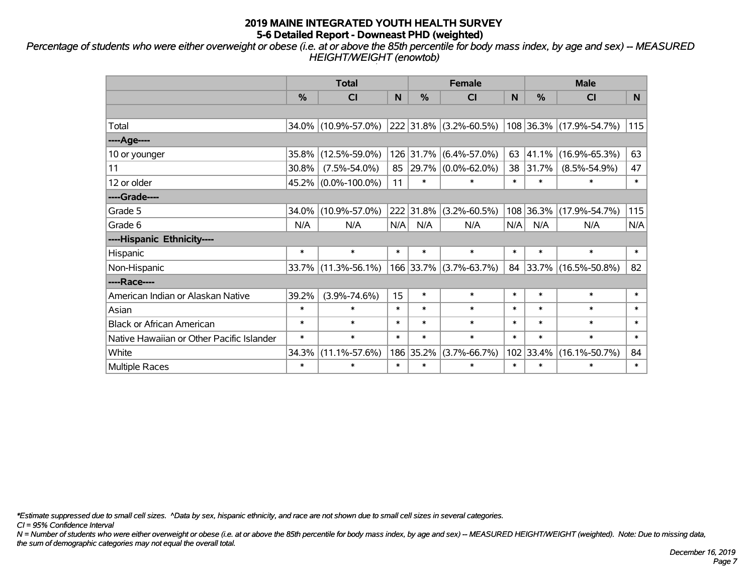*Percentage of students who were either overweight or obese (i.e. at or above the 85th percentile for body mass index, by age and sex) -- MEASURED HEIGHT/WEIGHT (enowtob)*

|                                           |                                                                    | <b>Total</b>        |        |            | <b>Female</b>      |        | <b>Male</b>   |                           |        |  |
|-------------------------------------------|--------------------------------------------------------------------|---------------------|--------|------------|--------------------|--------|---------------|---------------------------|--------|--|
|                                           | %                                                                  | CI                  | N      | %          | CI                 | N      | $\frac{0}{0}$ | <b>CI</b>                 | N.     |  |
|                                           |                                                                    |                     |        |            |                    |        |               |                           |        |  |
| Total                                     |                                                                    | 34.0% (10.9%-57.0%) |        | 222 31.8%  | $(3.2\% - 60.5\%)$ |        |               | $108$ 36.3% (17.9%-54.7%) | 115    |  |
| ----Age----                               |                                                                    |                     |        |            |                    |        |               |                           |        |  |
| 10 or younger                             | 35.8%                                                              | $(12.5\% - 59.0\%)$ |        | 126 31.7%  | $(6.4\% - 57.0\%)$ | 63     | 41.1%         | $(16.9\% - 65.3\%)$       | 63     |  |
| 11                                        | 30.8%                                                              | $(7.5\% - 54.0\%)$  | 85     | $ 29.7\% $ | $(0.0\% - 62.0\%)$ | 38     | 31.7%         | $(8.5\% - 54.9\%)$        | 47     |  |
| 12 or older                               |                                                                    | 45.2% (0.0%-100.0%) | 11     | $\ast$     | $\ast$             | $\ast$ | $\ast$        | $\ast$                    | $\ast$ |  |
| ----Grade----                             |                                                                    |                     |        |            |                    |        |               |                           |        |  |
| Grade 5                                   | 34.0%                                                              | $(10.9\% - 57.0\%)$ |        | 222 31.8%  | $(3.2\% - 60.5\%)$ |        | 108 36.3%     | $(17.9\% - 54.7\%)$       | 115    |  |
| Grade 6                                   | N/A                                                                | N/A                 | N/A    | N/A        | N/A                | N/A    | N/A           | N/A                       | N/A    |  |
| ----Hispanic Ethnicity----                |                                                                    |                     |        |            |                    |        |               |                           |        |  |
| Hispanic                                  | $\ast$                                                             | $\ast$              | $\ast$ | $\ast$     | $\ast$             | $\ast$ | $\ast$        | $\ast$                    | $\ast$ |  |
| Non-Hispanic                              | 33.7%                                                              | $(11.3\% - 56.1\%)$ |        | 166 33.7%  | $(3.7\% - 63.7\%)$ | 84     |               | 33.7% (16.5%-50.8%)       | 82     |  |
| ----Race----                              |                                                                    |                     |        |            |                    |        |               |                           |        |  |
| American Indian or Alaskan Native         | 39.2%                                                              | $(3.9\% - 74.6\%)$  | 15     | $\ast$     | $\ast$             | $\ast$ | $\ast$        | $\ast$                    | $\ast$ |  |
| Asian                                     | $\ast$                                                             | $\ast$              | $\ast$ | $\ast$     | $\ast$             | $\ast$ | $\ast$        | $\ast$                    | $\ast$ |  |
| <b>Black or African American</b>          | $\ast$                                                             | $\ast$              | $\ast$ | $\ast$     | $\ast$             | $\ast$ | $\ast$        | $\ast$                    | $\ast$ |  |
| Native Hawaiian or Other Pacific Islander | $\ast$<br>$\ast$<br>$\ast$<br>$\ast$<br>$\ast$<br>$\ast$<br>$\ast$ |                     | $\ast$ | $\ast$     |                    |        |               |                           |        |  |
| White                                     | 34.3%                                                              | $(11.1\% - 57.6\%)$ |        | 186 35.2%  | $(3.7\% - 66.7\%)$ | 102    | 33.4%         | $(16.1\% - 50.7\%)$       |        |  |
| <b>Multiple Races</b>                     | $\ast$                                                             | $\ast$              | $\ast$ | $\ast$     | $\ast$             | $\ast$ | $\ast$        | $\ast$                    | $\ast$ |  |

*\*Estimate suppressed due to small cell sizes. ^Data by sex, hispanic ethnicity, and race are not shown due to small cell sizes in several categories.*

*CI = 95% Confidence Interval*

*N = Number of students who were either overweight or obese (i.e. at or above the 85th percentile for body mass index, by age and sex) -- MEASURED HEIGHT/WEIGHT (weighted). Note: Due to missing data, the sum of demographic categories may not equal the overall total.*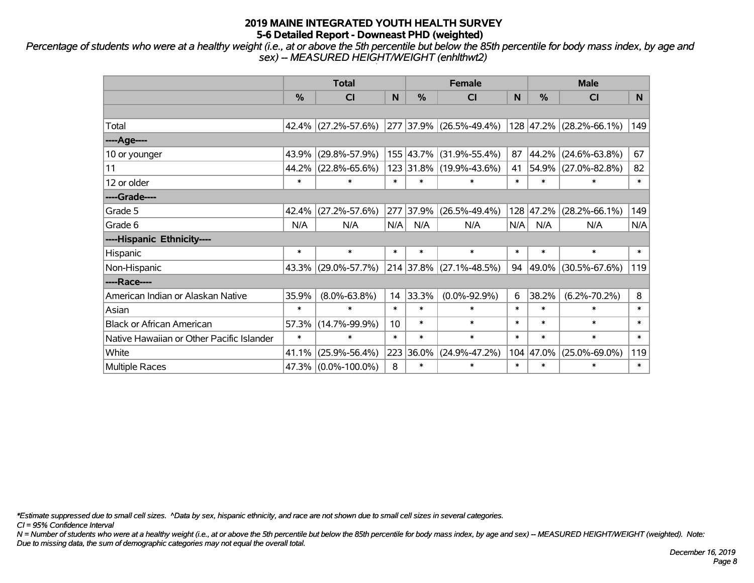*Percentage of students who were at a healthy weight (i.e., at or above the 5th percentile but below the 85th percentile for body mass index, by age and sex) -- MEASURED HEIGHT/WEIGHT (enhlthwt2)*

|                                           |        | <b>Total</b>                                                       |        |               | <b>Female</b>           |        | <b>Male</b> |                            |        |  |
|-------------------------------------------|--------|--------------------------------------------------------------------|--------|---------------|-------------------------|--------|-------------|----------------------------|--------|--|
|                                           | %      | <b>CI</b>                                                          | N      | $\frac{0}{0}$ | CI                      | N      | %           | <b>CI</b>                  | N.     |  |
|                                           |        |                                                                    |        |               |                         |        |             |                            |        |  |
| Total                                     |        | 42.4% (27.2%-57.6%)                                                |        |               | 277 37.9% (26.5%-49.4%) |        |             | 128 47.2% (28.2%-66.1%)    | 149    |  |
| ----Age----                               |        |                                                                    |        |               |                         |        |             |                            |        |  |
| 10 or younger                             | 43.9%  | $(29.8\% - 57.9\%)$                                                |        |               | 155 43.7% (31.9%-55.4%) | 87     | 44.2%       | $(24.6\% - 63.8\%)$        | 67     |  |
| 11                                        | 44.2%  | $(22.8\% - 65.6\%)$                                                |        |               | 123 31.8% (19.9%-43.6%) | 41     | 54.9%       | $(27.0\% - 82.8\%)$        | 82     |  |
| 12 or older                               | $\ast$ | $\ast$                                                             | $\ast$ | $\ast$        | $\ast$                  | $\ast$ | $\ast$      | $\ast$                     | $\ast$ |  |
| ----Grade----                             |        |                                                                    |        |               |                         |        |             |                            |        |  |
| Grade 5                                   | 42.4%  | $(27.2\% - 57.6\%)$                                                | 277    | 37.9%         | $(26.5\% - 49.4\%)$     | 128    | 47.2%       | $(28.2\% - 66.1\%)$        | 149    |  |
| Grade 6                                   | N/A    | N/A                                                                | N/A    | N/A           | N/A                     | N/A    | N/A         | N/A                        | N/A    |  |
| ----Hispanic Ethnicity----                |        |                                                                    |        |               |                         |        |             |                            |        |  |
| Hispanic                                  | $\ast$ | $\ast$                                                             | $\ast$ | $\ast$        | $\ast$                  | $\ast$ | $\ast$      | $\ast$                     | $\ast$ |  |
| Non-Hispanic                              |        | 43.3% (29.0%-57.7%)                                                |        |               | 214 37.8% (27.1%-48.5%) | 94     | 49.0%       | $(30.5\% - 67.6\%)$        | 119    |  |
| ----Race----                              |        |                                                                    |        |               |                         |        |             |                            |        |  |
| American Indian or Alaskan Native         | 35.9%  | $(8.0\% - 63.8\%)$                                                 | 14     | 33.3%         | $(0.0\% - 92.9\%)$      | 6      | 38.2%       | $(6.2\% - 70.2\%)$         | 8      |  |
| Asian                                     | $\ast$ | $\ast$                                                             | $\ast$ | $\ast$        | $\ast$                  | $\ast$ | $\ast$      | $\ast$                     | $\ast$ |  |
| <b>Black or African American</b>          | 57.3%  | $(14.7\% - 99.9\%)$                                                | 10     | $\ast$        | $\ast$                  | $\ast$ | $\ast$      | $\ast$                     | $\ast$ |  |
| Native Hawaiian or Other Pacific Islander | $\ast$ | $\ast$<br>$\ast$<br>$\ast$<br>$\ast$<br>$\ast$<br>$\ast$<br>$\ast$ |        |               | $\ast$                  |        |             |                            |        |  |
| White                                     | 41.1%  | $(25.9\% - 56.4\%)$                                                |        | 223 36.0%     | $(24.9\% - 47.2\%)$     | 104    | 47.0%       | $(25.0\% - 69.0\%)$<br>119 |        |  |
| <b>Multiple Races</b>                     |        | 47.3% (0.0%-100.0%)                                                | 8      | $\ast$        | $\ast$                  | $\ast$ | $\ast$      | $\ast$                     | $\ast$ |  |

*\*Estimate suppressed due to small cell sizes. ^Data by sex, hispanic ethnicity, and race are not shown due to small cell sizes in several categories.*

*CI = 95% Confidence Interval*

*N = Number of students who were at a healthy weight (i.e., at or above the 5th percentile but below the 85th percentile for body mass index, by age and sex) -- MEASURED HEIGHT/WEIGHT (weighted). Note: Due to missing data, the sum of demographic categories may not equal the overall total.*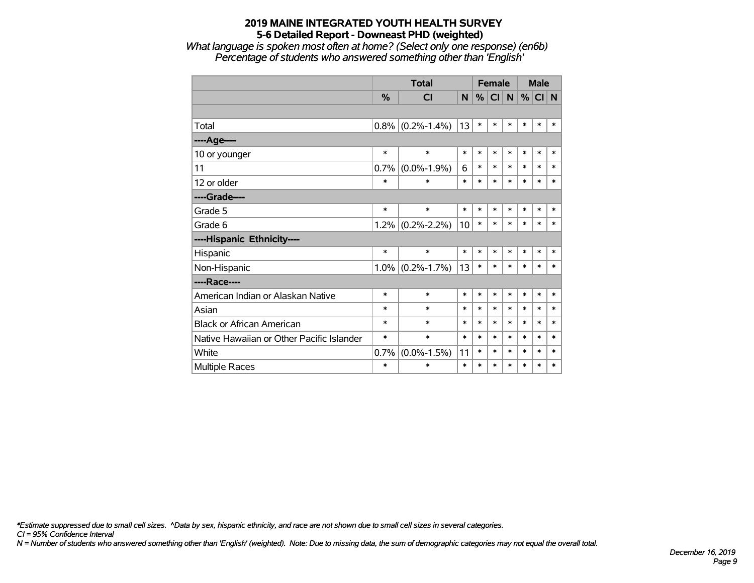*What language is spoken most often at home? (Select only one response) (en6b) Percentage of students who answered something other than 'English'*

|                                           |         | <b>Total</b>        |        |        | <b>Female</b> |        | <b>Male</b> |        |        |
|-------------------------------------------|---------|---------------------|--------|--------|---------------|--------|-------------|--------|--------|
|                                           | %       | <b>CI</b>           | N      | %      | <b>CI</b>     | N      | %           | CI N   |        |
|                                           |         |                     |        |        |               |        |             |        |        |
| Total                                     | $0.8\%$ | $(0.2\% - 1.4\%)$   | 13     | $\ast$ | *             | $\ast$ | *           | $\ast$ | $\ast$ |
| ---- Age----                              |         |                     |        |        |               |        |             |        |        |
| 10 or younger                             | $\ast$  | $\ast$              | $\ast$ | $\ast$ | $\ast$        | $\ast$ | $\ast$      | $\ast$ | $\ast$ |
| 11                                        | 0.7%    | $(0.0\% - 1.9\%)$   | 6      | $\ast$ | $\ast$        | $\ast$ | *           | $\ast$ | $\ast$ |
| 12 or older                               | $\ast$  | $\ast$              | $\ast$ | $\ast$ | *             | $\ast$ | $\ast$      | $\ast$ | $\ast$ |
| ----Grade----                             |         |                     |        |        |               |        |             |        |        |
| Grade 5                                   | $\ast$  | $\ast$              | $\ast$ | $\ast$ | $\ast$        | $\ast$ | $\ast$      | $\ast$ | $\ast$ |
| Grade 6                                   | $1.2\%$ | $(0.2\% - 2.2\%)$   | 10     | $\ast$ | $\ast$        | $\ast$ | $\ast$      | $\ast$ | $\ast$ |
| ----Hispanic Ethnicity----                |         |                     |        |        |               |        |             |        |        |
| Hispanic                                  | $\ast$  | $\ast$              | $\ast$ | $\ast$ | $\ast$        | *      | *           | $\ast$ | $\ast$ |
| Non-Hispanic                              |         | $1.0\%$ (0.2%-1.7%) | 13     | $\ast$ | $\ast$        | *      | *           | $\ast$ | $\ast$ |
| ----Race----                              |         |                     |        |        |               |        |             |        |        |
| American Indian or Alaskan Native         | $\ast$  | $\ast$              | $\ast$ | $\ast$ | $\ast$        | $\ast$ | $\ast$      | $\ast$ | $\ast$ |
| Asian                                     | $\ast$  | $\ast$              | $\ast$ | $\ast$ | $\ast$        | $\ast$ | *           | $\ast$ | $\ast$ |
| <b>Black or African American</b>          | $\ast$  | $\ast$              | $\ast$ | $\ast$ | $\ast$        | $\ast$ | $\ast$      | $\ast$ | $\ast$ |
| Native Hawaiian or Other Pacific Islander | $\ast$  | $\ast$              | $\ast$ | $\ast$ | $\ast$        | $\ast$ | $\ast$      | $\ast$ | $\ast$ |
| White                                     | 0.7%    | $(0.0\% - 1.5\%)$   | 11     | $\ast$ | $\ast$        | $\ast$ | *           | $\ast$ | $\ast$ |
| <b>Multiple Races</b>                     | $\ast$  | $\ast$              | $\ast$ | $\ast$ | $\ast$        | $\ast$ | *           | $\ast$ | $\ast$ |

*\*Estimate suppressed due to small cell sizes. ^Data by sex, hispanic ethnicity, and race are not shown due to small cell sizes in several categories.*

*CI = 95% Confidence Interval*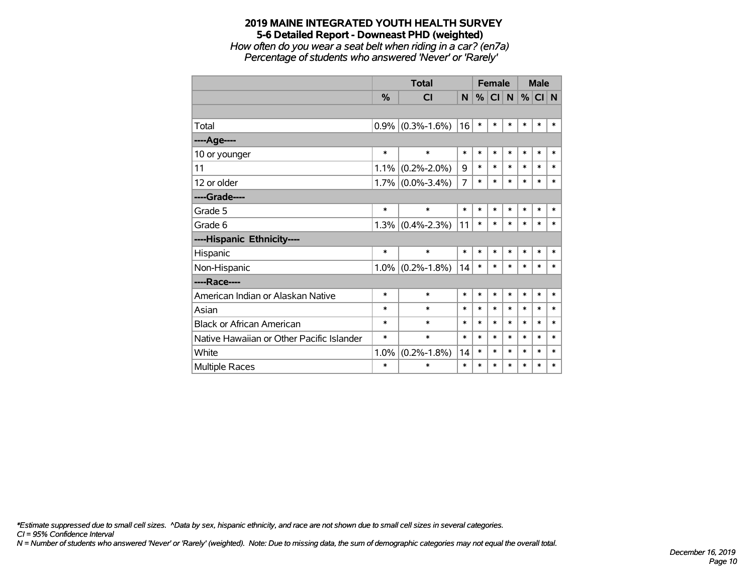*How often do you wear a seat belt when riding in a car? (en7a) Percentage of students who answered 'Never' or 'Rarely'*

|                                           |               | <b>Total</b>        |        |        | <b>Female</b> |           | <b>Male</b> |        |        |
|-------------------------------------------|---------------|---------------------|--------|--------|---------------|-----------|-------------|--------|--------|
|                                           | $\frac{0}{0}$ | CI                  | N      | %      | <b>CI</b>     | ${\sf N}$ | %           | CI N   |        |
|                                           |               |                     |        |        |               |           |             |        |        |
| Total                                     | $0.9\%$       | $(0.3\% - 1.6\%)$   | 16     | $\ast$ | $\ast$        | $\ast$    | $\ast$      | $\ast$ | $\ast$ |
| ----Age----                               |               |                     |        |        |               |           |             |        |        |
| 10 or younger                             | $\ast$        | $\ast$              | $\ast$ | $\ast$ | $\ast$        | $\ast$    | $\ast$      | $\ast$ | $\ast$ |
| 11                                        | 1.1%          | $(0.2\% - 2.0\%)$   | 9      | $\ast$ | $\ast$        | $\ast$    | $\ast$      | $\ast$ | $\ast$ |
| 12 or older                               |               | $1.7\%$ (0.0%-3.4%) | 7      | $\ast$ | $\ast$        | $\ast$    | $\ast$      | $\ast$ | $\ast$ |
| ----Grade----                             |               |                     |        |        |               |           |             |        |        |
| Grade 5                                   | $\ast$        | $\ast$              | $\ast$ | $\ast$ | *             | $\ast$    | $\ast$      | $\ast$ | $\ast$ |
| Grade 6                                   | 1.3%          | $(0.4\% - 2.3\%)$   | 11     | $\ast$ | *             | $\ast$    | $\ast$      | $\ast$ | $\ast$ |
| ----Hispanic Ethnicity----                |               |                     |        |        |               |           |             |        |        |
| Hispanic                                  | $\ast$        | $\ast$              | $\ast$ | $\ast$ | $\ast$        | $\ast$    | $\ast$      | $\ast$ | $\ast$ |
| Non-Hispanic                              | $1.0\%$       | $(0.2\% - 1.8\%)$   | 14     | $\ast$ | $\ast$        | $\ast$    | $\ast$      | $\ast$ | $\ast$ |
| ----Race----                              |               |                     |        |        |               |           |             |        |        |
| American Indian or Alaskan Native         | $\ast$        | $\ast$              | $\ast$ | $\ast$ | *             | $\ast$    | $\ast$      | $\ast$ | $\ast$ |
| Asian                                     | $\ast$        | $\ast$              | $\ast$ | $\ast$ | $\ast$        | $\ast$    | $\ast$      | $\ast$ | $\ast$ |
| <b>Black or African American</b>          | $\ast$        | $\ast$              | $\ast$ | $\ast$ | $\ast$        | $\ast$    | $\ast$      | $\ast$ | $\ast$ |
| Native Hawaiian or Other Pacific Islander | $\ast$        | $\ast$              | $\ast$ | $\ast$ | $\ast$        | $\ast$    | $\ast$      | $\ast$ | $\ast$ |
| White                                     | 1.0%          | $(0.2\% - 1.8\%)$   | 14     | $\ast$ | $\ast$        | $\ast$    | $\ast$      | $\ast$ | $\ast$ |
| <b>Multiple Races</b>                     | $\ast$        | $\ast$              | $\ast$ | $\ast$ | *             | $\ast$    | $\ast$      | $\ast$ | $\ast$ |

*\*Estimate suppressed due to small cell sizes. ^Data by sex, hispanic ethnicity, and race are not shown due to small cell sizes in several categories.*

*CI = 95% Confidence Interval*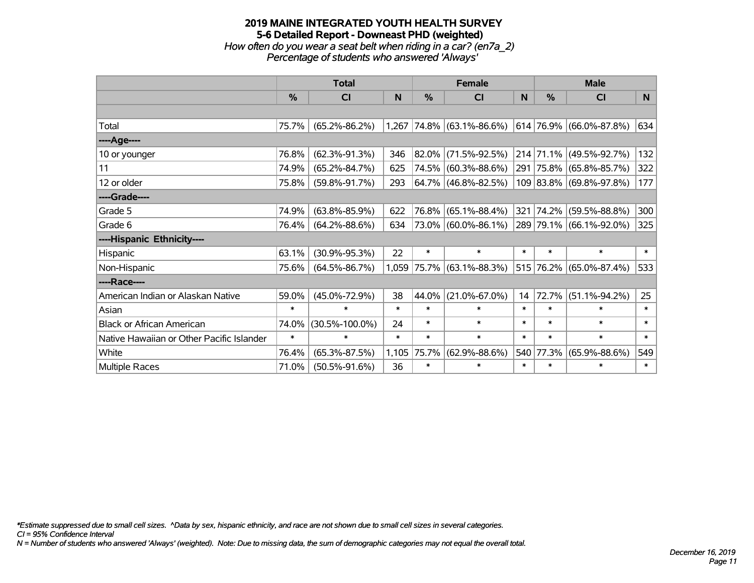## **2019 MAINE INTEGRATED YOUTH HEALTH SURVEY 5-6 Detailed Report - Downeast PHD (weighted)** *How often do you wear a seat belt when riding in a car? (en7a\_2) Percentage of students who answered 'Always'*

|                                           |        | <b>Total</b>         |        |               | <b>Female</b>            |        | <b>Male</b>   |                         |          |  |
|-------------------------------------------|--------|----------------------|--------|---------------|--------------------------|--------|---------------|-------------------------|----------|--|
|                                           | %      | <b>CI</b>            | N      | $\frac{0}{0}$ | <b>CI</b>                | N      | $\frac{0}{0}$ | <b>CI</b>               | <b>N</b> |  |
|                                           |        |                      |        |               |                          |        |               |                         |          |  |
| Total                                     | 75.7%  | $(65.2\% - 86.2\%)$  | 1,267  |               | $ 74.8\% $ (63.1%-86.6%) |        |               | 614 76.9% (66.0%-87.8%) | 634      |  |
| ----Age----                               |        |                      |        |               |                          |        |               |                         |          |  |
| 10 or younger                             | 76.8%  | $(62.3\% - 91.3\%)$  | 346    | 82.0%         | $(71.5\% - 92.5\%)$      |        |               | 214 71.1% (49.5%-92.7%) | 132      |  |
| 11                                        | 74.9%  | $(65.2\% - 84.7\%)$  | 625    |               | 74.5% (60.3%-88.6%)      |        |               | 291 75.8% (65.8%-85.7%) | 322      |  |
| 12 or older                               | 75.8%  | $(59.8\% - 91.7\%)$  | 293    |               | 64.7% (46.8%-82.5%)      |        |               | 109 83.8% (69.8%-97.8%) | 177      |  |
| ----Grade----                             |        |                      |        |               |                          |        |               |                         |          |  |
| Grade 5                                   | 74.9%  | $(63.8\% - 85.9\%)$  | 622    | 76.8%         | $(65.1\% - 88.4\%)$      | 321    | 74.2%         | $(59.5\% - 88.8\%)$     | 300      |  |
| Grade 6                                   | 76.4%  | $(64.2\% - 88.6\%)$  | 634    |               | 73.0% (60.0%-86.1%)      |        |               | 289 79.1% (66.1%-92.0%) | 325      |  |
| ----Hispanic Ethnicity----                |        |                      |        |               |                          |        |               |                         |          |  |
| Hispanic                                  | 63.1%  | $(30.9\% - 95.3\%)$  | 22     | $\ast$        | $\ast$                   | $\ast$ | $\ast$        | $\ast$                  | $\ast$   |  |
| Non-Hispanic                              | 75.6%  | $(64.5\% - 86.7\%)$  | 1,059  |               | 75.7% (63.1%-88.3%)      |        |               | 515 76.2% (65.0%-87.4%) | 533      |  |
| ----Race----                              |        |                      |        |               |                          |        |               |                         |          |  |
| American Indian or Alaskan Native         | 59.0%  | $(45.0\% - 72.9\%)$  | 38     | 44.0%         | $(21.0\% - 67.0\%)$      | 14     | 72.7%         | $(51.1\% - 94.2\%)$     | 25       |  |
| Asian                                     | $\ast$ | $\ast$               | $\ast$ | $\ast$        | $\ast$                   | $\ast$ | $\ast$        | $\ast$                  | $\ast$   |  |
| <b>Black or African American</b>          | 74.0%  | $(30.5\% - 100.0\%)$ | 24     | $\ast$        | $\ast$                   | $\ast$ | $\ast$        | $\ast$                  | $\ast$   |  |
| Native Hawaiian or Other Pacific Islander | $\ast$ | $\ast$               | $\ast$ | $\ast$        | $\ast$                   | $\ast$ | $\ast$        | $\ast$                  | $\ast$   |  |
| White                                     | 76.4%  | $(65.3\% - 87.5\%)$  | 1,105  | 75.7%         | $(62.9\% - 88.6\%)$      | 540    | 77.3%         | $(65.9\% - 88.6\%)$     | 549      |  |
| Multiple Races                            | 71.0%  | $(50.5\% - 91.6\%)$  | 36     | $\ast$        | *                        | $\ast$ | $\ast$        | *                       | $\ast$   |  |

*\*Estimate suppressed due to small cell sizes. ^Data by sex, hispanic ethnicity, and race are not shown due to small cell sizes in several categories.*

*CI = 95% Confidence Interval*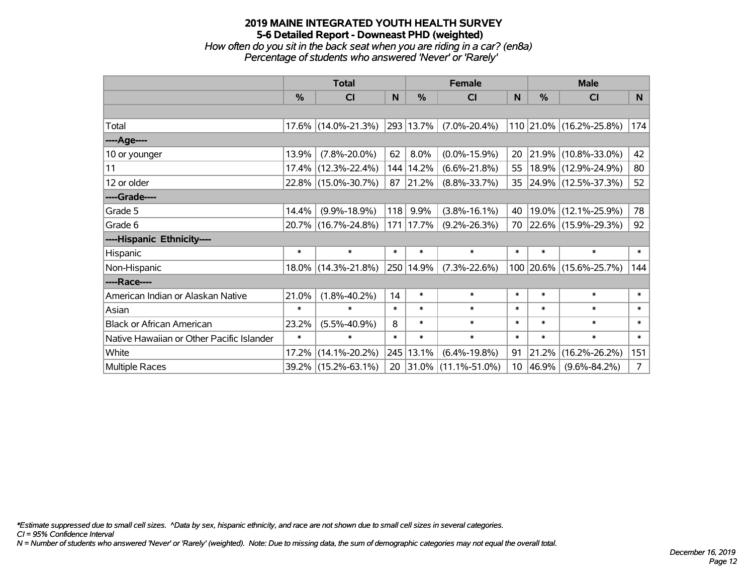*How often do you sit in the back seat when you are riding in a car? (en8a) Percentage of students who answered 'Never' or 'Rarely'*

|                                           |               | <b>Total</b>           |        |               | <b>Female</b>            |                 | <b>Male</b> |                         |                |  |
|-------------------------------------------|---------------|------------------------|--------|---------------|--------------------------|-----------------|-------------|-------------------------|----------------|--|
|                                           | $\frac{0}{0}$ | <b>CI</b>              | N      | $\frac{0}{0}$ | <b>CI</b>                | N               | %           | <b>CI</b>               | <b>N</b>       |  |
|                                           |               |                        |        |               |                          |                 |             |                         |                |  |
| Total                                     |               | $17.6\%$ (14.0%-21.3%) |        | 293 13.7%     | $(7.0\% - 20.4\%)$       |                 |             | 110 21.0% (16.2%-25.8%) | 174            |  |
| ----Age----                               |               |                        |        |               |                          |                 |             |                         |                |  |
| 10 or younger                             | 13.9%         | $(7.8\% - 20.0\%)$     | 62     | 8.0%          | $(0.0\% - 15.9\%)$       | 20              |             | 21.9% (10.8%-33.0%)     | 42             |  |
| 11                                        | $17.4\%$      | $(12.3\% - 22.4\%)$    |        | 144 14.2%     | $(6.6\% - 21.8\%)$       | 55              |             | 18.9% (12.9%-24.9%)     | 80             |  |
| 12 or older                               |               | 22.8% (15.0%-30.7%)    | 87     | $ 21.2\% $    | $(8.8\% - 33.7\%)$       | 35              |             | 24.9% (12.5%-37.3%)     | 52             |  |
| ----Grade----                             |               |                        |        |               |                          |                 |             |                         |                |  |
| Grade 5                                   | 14.4%         | $(9.9\% - 18.9\%)$     | 118    | 9.9%          | $(3.8\% - 16.1\%)$       | 40              |             | 19.0% (12.1%-25.9%)     | 78             |  |
| Grade 6                                   |               | 20.7% (16.7%-24.8%)    |        | $171$   17.7% | $(9.2\% - 26.3\%)$       | 70              |             | 22.6% (15.9%-29.3%)     | 92             |  |
| ----Hispanic Ethnicity----                |               |                        |        |               |                          |                 |             |                         |                |  |
| Hispanic                                  | $\ast$        | $\ast$                 | $\ast$ | $\ast$        | $\ast$                   | $\ast$          | $\ast$      | $\ast$                  | $\ast$         |  |
| Non-Hispanic                              |               | 18.0% (14.3%-21.8%)    |        | 250 14.9%     | $(7.3\% - 22.6\%)$       |                 |             | 100 20.6% (15.6%-25.7%) | 144            |  |
| ----Race----                              |               |                        |        |               |                          |                 |             |                         |                |  |
| American Indian or Alaskan Native         | 21.0%         | $(1.8\% - 40.2\%)$     | 14     | $\ast$        | $\ast$                   | $\ast$          | $\ast$      | $\ast$                  | $\ast$         |  |
| Asian                                     | $\ast$        | $\ast$                 | $\ast$ | $\ast$        | $\ast$                   | $\ast$          | $\ast$      | $\ast$                  | $\ast$         |  |
| <b>Black or African American</b>          | 23.2%         | $(5.5\% - 40.9\%)$     | 8      | $\ast$        | $\ast$                   | $\ast$          | $\ast$      | $\ast$                  | $\ast$         |  |
| Native Hawaiian or Other Pacific Islander | $\ast$        | $\ast$                 | $\ast$ | $\ast$        | $\ast$                   | $\ast$          | $\ast$      | $\ast$                  | $\ast$         |  |
| White                                     | 17.2%         | $(14.1\% - 20.2\%)$    |        | 245 13.1%     | $(6.4\% - 19.8\%)$       | 91              | 21.2%       | $(16.2\% - 26.2\%)$     | 151            |  |
| Multiple Races                            |               | 39.2% (15.2%-63.1%)    | 20     |               | $ 31.0\% $ (11.1%-51.0%) | 10 <sup>°</sup> | 46.9%       | $(9.6\% - 84.2\%)$      | $\overline{7}$ |  |

*\*Estimate suppressed due to small cell sizes. ^Data by sex, hispanic ethnicity, and race are not shown due to small cell sizes in several categories.*

*CI = 95% Confidence Interval*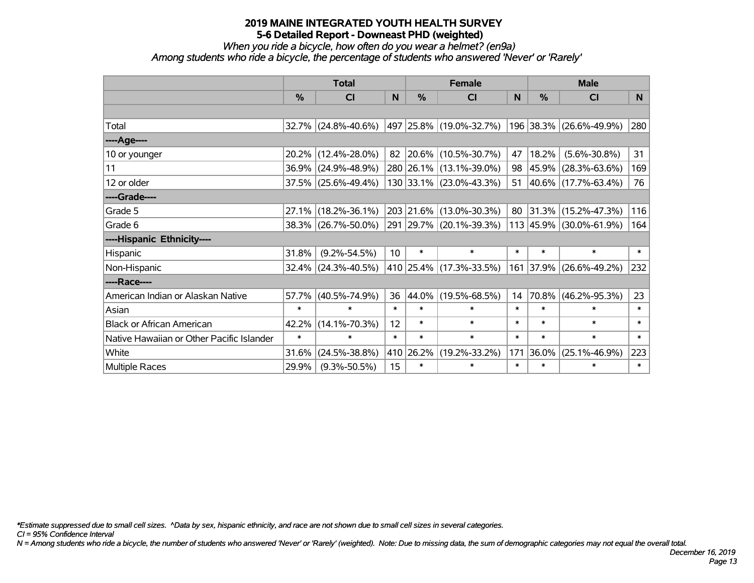*When you ride a bicycle, how often do you wear a helmet? (en9a)*

*Among students who ride a bicycle, the percentage of students who answered 'Never' or 'Rarely'*

|                                           |               | <b>Total</b>        |                 |        | <b>Female</b>               |        | <b>Male</b>   |                            |        |  |
|-------------------------------------------|---------------|---------------------|-----------------|--------|-----------------------------|--------|---------------|----------------------------|--------|--|
|                                           | $\frac{0}{0}$ | CI                  | N               | $\%$   | CI                          | N      | $\frac{0}{0}$ | <b>CI</b>                  | N.     |  |
|                                           |               |                     |                 |        |                             |        |               |                            |        |  |
| Total                                     |               | 32.7% (24.8%-40.6%) |                 |        | 497   25.8%   (19.0%-32.7%) |        |               | 196 38.3% (26.6%-49.9%)    | 280    |  |
| ----Age----                               |               |                     |                 |        |                             |        |               |                            |        |  |
| 10 or younger                             |               | 20.2% (12.4%-28.0%) |                 |        | 82 20.6% (10.5%-30.7%)      | 47     | 18.2%         | $(5.6\% - 30.8\%)$         | 31     |  |
| 11                                        |               | 36.9% (24.9%-48.9%) |                 |        | 280 26.1% (13.1%-39.0%)     | 98     | $ 45.9\% $    | $(28.3\% - 63.6\%)$        | 169    |  |
| 12 or older                               |               | 37.5% (25.6%-49.4%) |                 |        | 130 33.1% (23.0%-43.3%)     | 51     |               | $ 40.6\% $ (17.7%-63.4%)   | 76     |  |
| ----Grade----                             |               |                     |                 |        |                             |        |               |                            |        |  |
| Grade 5                                   | $27.1\%$      | $(18.2\% - 36.1\%)$ |                 |        | 203 21.6% (13.0%-30.3%)     | 80     |               | $ 31.3\% $ (15.2%-47.3%)   | 116    |  |
| Grade 6                                   |               | 38.3% (26.7%-50.0%) |                 |        | 291 29.7% (20.1%-39.3%)     |        |               | 113 45.9% (30.0%-61.9%)    | 164    |  |
| ----Hispanic Ethnicity----                |               |                     |                 |        |                             |        |               |                            |        |  |
| Hispanic                                  | 31.8%         | $(9.2\% - 54.5\%)$  | 10 <sup>°</sup> | $\ast$ | $\ast$                      | $\ast$ | $\ast$        | $\ast$                     | $\ast$ |  |
| Non-Hispanic                              |               | 32.4% (24.3%-40.5%) |                 |        | 410 25.4% (17.3%-33.5%)     |        | 161 37.9%     | $(26.6\% - 49.2\%)$        | 232    |  |
| ----Race----                              |               |                     |                 |        |                             |        |               |                            |        |  |
| American Indian or Alaskan Native         | 57.7%         | $(40.5\% - 74.9\%)$ | 36              | 44.0%  | $(19.5\% - 68.5\%)$         | 14     | 70.8%         | $(46.2\% - 95.3\%)$        | 23     |  |
| Asian                                     | $\ast$        | $\ast$              | $\ast$          | $\ast$ | $\ast$                      | $\ast$ | $\ast$        | $\ast$                     | $\ast$ |  |
| <b>Black or African American</b>          | 42.2%         | $(14.1\% - 70.3\%)$ | 12              | $\ast$ | $\ast$                      | $\ast$ | $\ast$        | $\ast$                     | $\ast$ |  |
| Native Hawaiian or Other Pacific Islander | $\ast$        | $\ast$              | $\ast$          | $\ast$ | $\ast$                      | $\ast$ | $\ast$        | $\ast$                     | $\ast$ |  |
| White                                     | 31.6%         | $(24.5\% - 38.8\%)$ | 410             | 26.2%  | $(19.2\% - 33.2\%)$         | 171    | 36.0%         | $(25.1\% - 46.9\%)$<br>223 |        |  |
| Multiple Races                            | 29.9%         | $(9.3\% - 50.5\%)$  | 15              | $\ast$ | $\ast$                      | $\ast$ | $\ast$        | $\ast$                     | $\ast$ |  |

*\*Estimate suppressed due to small cell sizes. ^Data by sex, hispanic ethnicity, and race are not shown due to small cell sizes in several categories.*

*CI = 95% Confidence Interval*

*N = Among students who ride a bicycle, the number of students who answered 'Never' or 'Rarely' (weighted). Note: Due to missing data, the sum of demographic categories may not equal the overall total.*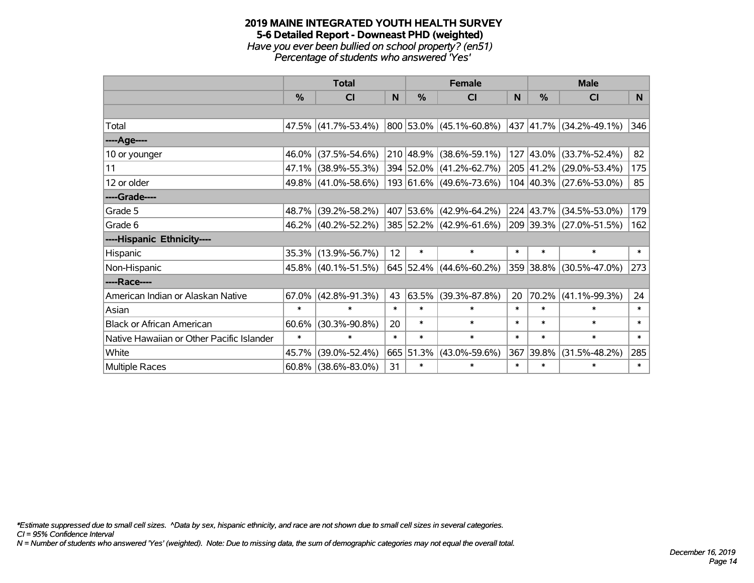#### **2019 MAINE INTEGRATED YOUTH HEALTH SURVEY 5-6 Detailed Report - Downeast PHD (weighted)** *Have you ever been bullied on school property? (en51) Percentage of students who answered 'Yes'*

|                                           | <b>Total</b>  |                     |        |           | <b>Female</b>             | <b>Male</b> |           |                         |          |
|-------------------------------------------|---------------|---------------------|--------|-----------|---------------------------|-------------|-----------|-------------------------|----------|
|                                           | $\frac{0}{0}$ | <b>CI</b>           | N      | $\%$      | <b>CI</b>                 | N           | %         | <b>CI</b>               | <b>N</b> |
|                                           |               |                     |        |           |                           |             |           |                         |          |
| Total                                     |               | 47.5% (41.7%-53.4%) |        |           | 800 53.0% (45.1%-60.8%)   |             |           | 437 41.7% (34.2%-49.1%) | 346      |
| ----Age----                               |               |                     |        |           |                           |             |           |                         |          |
| 10 or younger                             | $46.0\%$      | $(37.5\% - 54.6\%)$ |        |           | 210 48.9% (38.6%-59.1%)   | 127         | 43.0%     | $(33.7\% - 52.4\%)$     | 82       |
| 11                                        |               | 47.1% (38.9%-55.3%) |        |           | 394 52.0% (41.2%-62.7%)   |             |           | 205 41.2% (29.0%-53.4%) | 175      |
| 12 or older                               |               | 49.8% (41.0%-58.6%) |        |           | 193 61.6% (49.6%-73.6%)   |             |           | 104 40.3% (27.6%-53.0%) | 85       |
| ----Grade----                             |               |                     |        |           |                           |             |           |                         |          |
| Grade 5                                   | 48.7%         | $(39.2\% - 58.2\%)$ |        |           | 407 53.6% (42.9%-64.2%)   |             | 224 43.7% | $(34.5\% - 53.0\%)$     | 179      |
| Grade 6                                   |               | 46.2% (40.2%-52.2%) |        |           | 385 52.2% (42.9%-61.6%)   |             |           | 209 39.3% (27.0%-51.5%) | 162      |
| ----Hispanic Ethnicity----                |               |                     |        |           |                           |             |           |                         |          |
| Hispanic                                  |               | 35.3% (13.9%-56.7%) | 12     | $\ast$    | $\ast$                    | $\ast$      | $\ast$    | $\ast$                  | $\ast$   |
| Non-Hispanic                              |               | 45.8% (40.1%-51.5%) |        |           | $645$ 52.4% (44.6%-60.2%) |             |           | 359 38.8% (30.5%-47.0%) | 273      |
| ----Race----                              |               |                     |        |           |                           |             |           |                         |          |
| American Indian or Alaskan Native         | $67.0\%$      | $(42.8\% - 91.3\%)$ | 43     | 63.5%     | $(39.3\% - 87.8\%)$       | 20          | 70.2%     | $(41.1\% - 99.3\%)$     | 24       |
| Asian                                     | $\ast$        | $\ast$              | $\ast$ | $\ast$    | $\ast$                    | $\ast$      | $\ast$    | $\ast$                  | $\ast$   |
| <b>Black or African American</b>          | 60.6%         | $(30.3\% - 90.8\%)$ | 20     | $\ast$    | $\ast$                    | $\ast$      | $\ast$    | $\ast$                  | $\ast$   |
| Native Hawaiian or Other Pacific Islander | $\ast$        | $\ast$              | $\ast$ | $\ast$    | $\ast$                    | $\ast$      | $\ast$    | $\ast$                  | $\ast$   |
| White                                     | 45.7%         | $(39.0\% - 52.4\%)$ |        | 665 51.3% | $(43.0\% - 59.6\%)$       | 367         | 39.8%     | $(31.5\% - 48.2\%)$     | 285      |
| <b>Multiple Races</b>                     | $60.8\%$      | $(38.6\% - 83.0\%)$ | 31     | $\ast$    | $\ast$                    | $\ast$      | $\ast$    | $\ast$                  | $\ast$   |

*\*Estimate suppressed due to small cell sizes. ^Data by sex, hispanic ethnicity, and race are not shown due to small cell sizes in several categories.*

*CI = 95% Confidence Interval*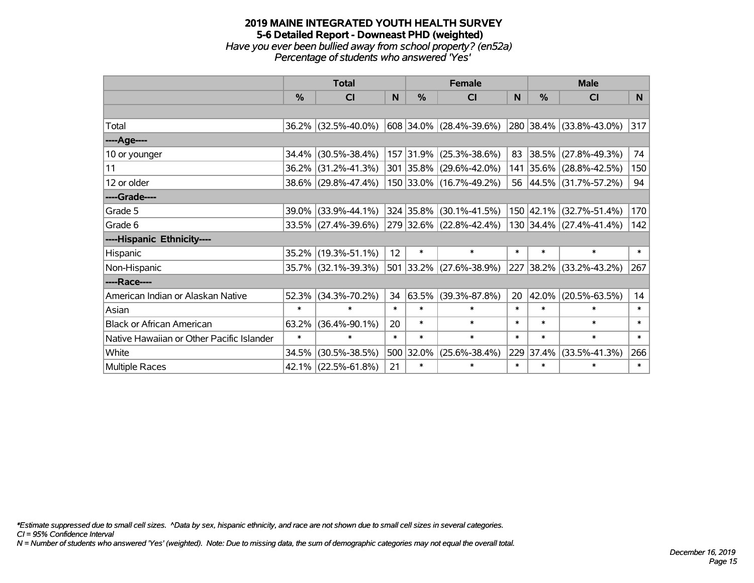#### **2019 MAINE INTEGRATED YOUTH HEALTH SURVEY 5-6 Detailed Report - Downeast PHD (weighted)** *Have you ever been bullied away from school property? (en52a) Percentage of students who answered 'Yes'*

|                                           | <b>Total</b> |                     |        | <b>Female</b> | <b>Male</b>             |              |           |                         |        |
|-------------------------------------------|--------------|---------------------|--------|---------------|-------------------------|--------------|-----------|-------------------------|--------|
|                                           | $\%$         | <b>CI</b>           | N      | $\%$          | <b>CI</b>               | <sub>N</sub> | %         | <b>CI</b>               | N      |
|                                           |              |                     |        |               |                         |              |           |                         |        |
| Total                                     |              | 36.2% (32.5%-40.0%) |        |               | 608 34.0% (28.4%-39.6%) |              |           | 280 38.4% (33.8%-43.0%) | 317    |
| ----Age----                               |              |                     |        |               |                         |              |           |                         |        |
| 10 or younger                             | 34.4%        | $(30.5\% - 38.4\%)$ |        | 157 31.9%     | $(25.3\% - 38.6\%)$     |              | 83 38.5%  | $(27.8\% - 49.3\%)$     | 74     |
| 11                                        |              | 36.2% (31.2%-41.3%) |        |               | 301 35.8% (29.6%-42.0%) |              |           | 141 35.6% (28.8%-42.5%) | 150    |
| 12 or older                               |              | 38.6% (29.8%-47.4%) |        |               | 150 33.0% (16.7%-49.2%) |              |           | 56 44.5% (31.7%-57.2%)  | 94     |
| ----Grade----                             |              |                     |        |               |                         |              |           |                         |        |
| Grade 5                                   | 39.0%        | $(33.9\% - 44.1\%)$ |        |               | 324 35.8% (30.1%-41.5%) |              |           | 150 42.1% (32.7%-51.4%) | 170    |
| Grade 6                                   |              | 33.5% (27.4%-39.6%) |        |               | 279 32.6% (22.8%-42.4%) |              |           | 130 34.4% (27.4%-41.4%) | 142    |
| ----Hispanic Ethnicity----                |              |                     |        |               |                         |              |           |                         |        |
| Hispanic                                  |              | 35.2% (19.3%-51.1%) | 12     | $\ast$        | $\ast$                  | $\ast$       | $\ast$    | $\ast$                  | $\ast$ |
| Non-Hispanic                              |              | 35.7% (32.1%-39.3%) |        |               | 501 33.2% (27.6%-38.9%) |              | 227 38.2% | $(33.2\% - 43.2\%)$     | 267    |
| ----Race----                              |              |                     |        |               |                         |              |           |                         |        |
| American Indian or Alaskan Native         |              | 52.3% (34.3%-70.2%) | 34     | 63.5%         | $(39.3\% - 87.8\%)$     | 20           | 42.0%     | $(20.5\% - 63.5\%)$     | 14     |
| Asian                                     | $\ast$       | $\ast$              | $\ast$ | $\ast$        | $\ast$                  | $\ast$       | $\ast$    | $\ast$                  | $\ast$ |
| <b>Black or African American</b>          | 63.2%        | $(36.4\% - 90.1\%)$ | 20     | $\ast$        | $\ast$                  | $\ast$       | $\ast$    | $\ast$                  | $\ast$ |
| Native Hawaiian or Other Pacific Islander | $\ast$       | $\ast$              | $\ast$ | $\ast$        | $\ast$                  | $\ast$       | $\ast$    | $\ast$                  | $\ast$ |
| White                                     | 34.5%        | $(30.5\% - 38.5\%)$ |        | 500 32.0%     | $(25.6\% - 38.4\%)$     | 229          | 37.4%     | $(33.5\% - 41.3\%)$     | 266    |
| <b>Multiple Races</b>                     |              | 42.1% (22.5%-61.8%) | 21     | $\ast$        | $\ast$                  | $\ast$       | $\ast$    | $\ast$                  | $\ast$ |

*\*Estimate suppressed due to small cell sizes. ^Data by sex, hispanic ethnicity, and race are not shown due to small cell sizes in several categories.*

*CI = 95% Confidence Interval*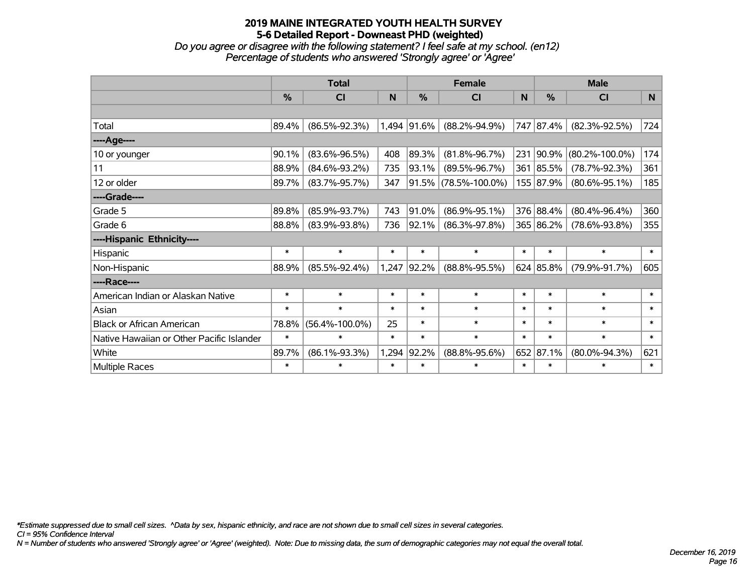*Do you agree or disagree with the following statement? I feel safe at my school. (en12) Percentage of students who answered 'Strongly agree' or 'Agree'*

|                                           | <b>Total</b>  |                      |        |             | <b>Female</b>        |        | <b>Male</b> |                      |        |  |
|-------------------------------------------|---------------|----------------------|--------|-------------|----------------------|--------|-------------|----------------------|--------|--|
|                                           | $\frac{0}{0}$ | <b>CI</b>            | N      | %           | C <sub>l</sub>       | N      | %           | <b>CI</b>            | N      |  |
|                                           |               |                      |        |             |                      |        |             |                      |        |  |
| Total                                     | 89.4%         | $(86.5\% - 92.3\%)$  |        | 1,494 91.6% | $(88.2\% - 94.9\%)$  |        | 747 87.4%   | $(82.3\% - 92.5\%)$  | 724    |  |
| ---- Age----                              |               |                      |        |             |                      |        |             |                      |        |  |
| 10 or younger                             | 90.1%         | $(83.6\% - 96.5\%)$  | 408    | 89.3%       | $(81.8\% - 96.7\%)$  | 231    | 90.9%       | $(80.2\% - 100.0\%)$ | 174    |  |
| 11                                        | 88.9%         | $(84.6\% - 93.2\%)$  | 735    | 93.1%       | $(89.5\% - 96.7\%)$  |        | 361 85.5%   | $(78.7\% - 92.3\%)$  | 361    |  |
| 12 or older                               | 89.7%         | $(83.7\% - 95.7\%)$  | 347    |             | 91.5% (78.5%-100.0%) |        | 155 87.9%   | $(80.6\% - 95.1\%)$  | 185    |  |
| ----Grade----                             |               |                      |        |             |                      |        |             |                      |        |  |
| Grade 5                                   | 89.8%         | $(85.9\% - 93.7\%)$  | 743    | 91.0%       | $(86.9\% - 95.1\%)$  |        | 376 88.4%   | $(80.4\% - 96.4\%)$  | 360    |  |
| Grade 6                                   | 88.8%         | $(83.9\% - 93.8\%)$  | 736    | $ 92.1\% $  | $(86.3\% - 97.8\%)$  |        | 365 86.2%   | $(78.6\% - 93.8\%)$  | 355    |  |
| ----Hispanic Ethnicity----                |               |                      |        |             |                      |        |             |                      |        |  |
| Hispanic                                  | $\ast$        | $\ast$               | $\ast$ | $\ast$      | $\ast$               | $\ast$ | $\ast$      | $\ast$               | $\ast$ |  |
| Non-Hispanic                              | 88.9%         | $(85.5\% - 92.4\%)$  | 1,247  | 92.2%       | $(88.8\% - 95.5\%)$  |        | 624 85.8%   | $(79.9\% - 91.7\%)$  | 605    |  |
| ----Race----                              |               |                      |        |             |                      |        |             |                      |        |  |
| American Indian or Alaskan Native         | $\ast$        | $\ast$               | $\ast$ | $\ast$      | $\ast$               | $\ast$ | $\ast$      | $\ast$               | $\ast$ |  |
| Asian                                     | $\ast$        | $\ast$               | $\ast$ | $\ast$      | $\ast$               | $\ast$ | $\ast$      | $\ast$               | $\ast$ |  |
| <b>Black or African American</b>          | 78.8%         | $(56.4\% - 100.0\%)$ | 25     | $\ast$      | $\ast$               | $\ast$ | $\ast$      | $\ast$               | $\ast$ |  |
| Native Hawaiian or Other Pacific Islander | $\ast$        | $\ast$               | $\ast$ | $\ast$      | $\ast$               | $\ast$ | $\ast$      | $\ast$               | $\ast$ |  |
| White                                     | 89.7%         | $(86.1\% - 93.3\%)$  | 1,294  | 92.2%       | $(88.8\% - 95.6\%)$  | 652    | 87.1%       | $(80.0\% - 94.3\%)$  | 621    |  |
| <b>Multiple Races</b>                     | $\ast$        | $\ast$               | $\ast$ | $\ast$      | $\ast$               | $\ast$ | $\ast$      | *                    | $\ast$ |  |

*\*Estimate suppressed due to small cell sizes. ^Data by sex, hispanic ethnicity, and race are not shown due to small cell sizes in several categories.*

*CI = 95% Confidence Interval*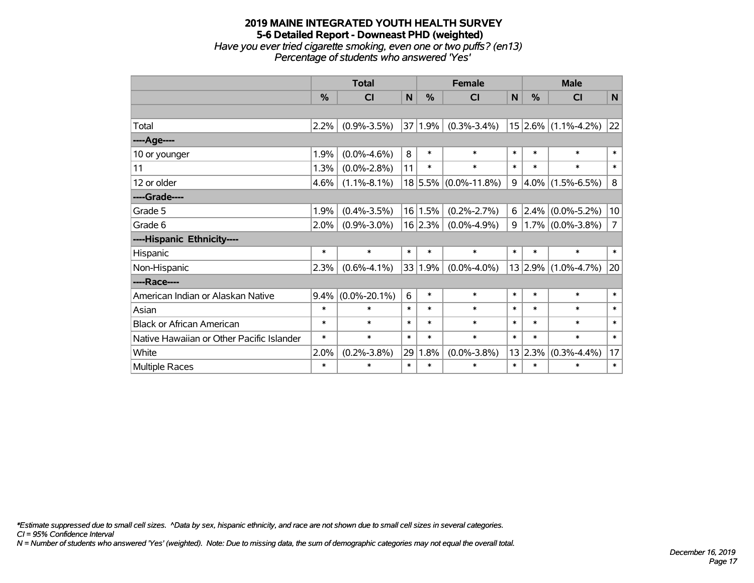## **2019 MAINE INTEGRATED YOUTH HEALTH SURVEY 5-6 Detailed Report - Downeast PHD (weighted)** *Have you ever tried cigarette smoking, even one or two puffs? (en13) Percentage of students who answered 'Yes'*

|                                           | <b>Total</b>  |                    |        | <b>Female</b> |                      |                | <b>Male</b>   |                     |                |
|-------------------------------------------|---------------|--------------------|--------|---------------|----------------------|----------------|---------------|---------------------|----------------|
|                                           | $\frac{0}{0}$ | <b>CI</b>          | N      | $\frac{0}{0}$ | <b>CI</b>            | N              | $\frac{0}{0}$ | <b>CI</b>           | N              |
|                                           |               |                    |        |               |                      |                |               |                     |                |
| Total                                     | 2.2%          | $(0.9\% - 3.5\%)$  | 37     | 1.9%          | $(0.3\% - 3.4\%)$    |                |               | 15 2.6% (1.1%-4.2%) | 22             |
| ---- Age----                              |               |                    |        |               |                      |                |               |                     |                |
| 10 or younger                             | 1.9%          | $(0.0\% - 4.6\%)$  | 8      | $\ast$        | $\ast$               | $\ast$         | $\ast$        | $\ast$              | $\ast$         |
| 11                                        | 1.3%          | $(0.0\% - 2.8\%)$  | 11     | $\ast$        | $\ast$               | $\ast$         | $\ast$        | $\ast$              | $\ast$         |
| 12 or older                               | 4.6%          | $(1.1\% - 8.1\%)$  |        |               | 18 5.5% (0.0%-11.8%) | 9              | $4.0\%$       | $(1.5\% - 6.5\%)$   | 8              |
| ----Grade----                             |               |                    |        |               |                      |                |               |                     |                |
| Grade 5                                   | 1.9%          | $(0.4\% - 3.5\%)$  | 16     | 1.5%          | $(0.2\% - 2.7\%)$    | 6              | 2.4%          | $(0.0\% - 5.2\%)$   | 10             |
| Grade 6                                   | 2.0%          | $(0.9\% - 3.0\%)$  |        | 16 2.3%       | $(0.0\% - 4.9\%)$    | 9 <sup>1</sup> |               | $1.7\%$ (0.0%-3.8%) | $\overline{7}$ |
| ----Hispanic Ethnicity----                |               |                    |        |               |                      |                |               |                     |                |
| Hispanic                                  | $\ast$        | $\ast$             | $\ast$ | $\ast$        | $\ast$               | $\ast$         | $\ast$        | $\ast$              | $\ast$         |
| Non-Hispanic                              | 2.3%          | $(0.6\% - 4.1\%)$  | 33     | 1.9%          | $(0.0\% - 4.0\%)$    |                | 13 2.9%       | $(1.0\% - 4.7\%)$   | 20             |
| ----Race----                              |               |                    |        |               |                      |                |               |                     |                |
| American Indian or Alaskan Native         | 9.4%          | $(0.0\% - 20.1\%)$ | 6      | $\ast$        | $\ast$               | $\ast$         | $\ast$        | $\ast$              | $\ast$         |
| Asian                                     | $\ast$        | $\ast$             | $\ast$ | $\ast$        | $\ast$               | $\ast$         | $\ast$        | $\ast$              | $\ast$         |
| <b>Black or African American</b>          | $\ast$        | $\ast$             | $\ast$ | $\ast$        | $\ast$               | $\ast$         | $\ast$        | $\ast$              | $\ast$         |
| Native Hawaiian or Other Pacific Islander | $\ast$        | $\ast$             | $\ast$ | $\ast$        | $\ast$               | $\ast$         | $\ast$        | $\ast$              | $\ast$         |
| White                                     | 2.0%          | $(0.2\% - 3.8\%)$  | 29     | 1.8%          | $(0.0\% - 3.8\%)$    |                | 13 2.3%       | $(0.3\% - 4.4\%)$   | 17             |
| Multiple Races                            | $\ast$        | $\ast$             | $\ast$ | $\ast$        | $\ast$               | $\ast$         | $\ast$        | $\ast$              | $\ast$         |

*\*Estimate suppressed due to small cell sizes. ^Data by sex, hispanic ethnicity, and race are not shown due to small cell sizes in several categories.*

*CI = 95% Confidence Interval*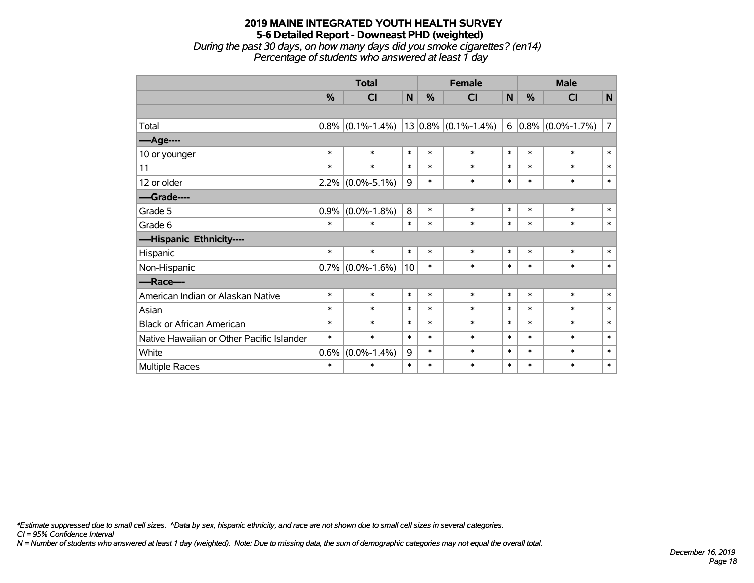*During the past 30 days, on how many days did you smoke cigarettes? (en14) Percentage of students who answered at least 1 day*

|                                           | <b>Total</b> |                   |              | <b>Female</b> |                         |        | <b>Male</b> |                         |                |  |
|-------------------------------------------|--------------|-------------------|--------------|---------------|-------------------------|--------|-------------|-------------------------|----------------|--|
|                                           | %            | <b>CI</b>         | $\mathsf{N}$ | %             | <b>CI</b>               | N      | %           | CI                      | $\mathsf{N}$   |  |
|                                           |              |                   |              |               |                         |        |             |                         |                |  |
| Total                                     | 0.8%         | $(0.1\% - 1.4\%)$ |              |               | $13 0.8\% $ (0.1%-1.4%) |        |             | 6 $ 0.8\% $ (0.0%-1.7%) | $\overline{7}$ |  |
| ----Age----                               |              |                   |              |               |                         |        |             |                         |                |  |
| 10 or younger                             | $\ast$       | $\ast$            | $\ast$       | $\ast$        | $\ast$                  | $\ast$ | $\ast$      | $\ast$                  | $\ast$         |  |
| 11                                        | $\ast$       | $\ast$            | $\ast$       | $\ast$        | $\ast$                  | $\ast$ | $\ast$      | $\ast$                  | $\ast$         |  |
| 12 or older                               | 2.2%         | $(0.0\% - 5.1\%)$ | 9            | $\ast$        | $\ast$                  | $\ast$ | $\ast$      | $\ast$                  | $\ast$         |  |
| ----Grade----                             |              |                   |              |               |                         |        |             |                         |                |  |
| Grade 5                                   | 0.9%         | $(0.0\% - 1.8\%)$ | 8            | $\ast$        | $\ast$                  | $\ast$ | $\ast$      | $\ast$                  | $\ast$         |  |
| Grade 6                                   | $\ast$       | $\ast$            | $\ast$       | $\ast$        | $\ast$                  | $\ast$ | $\ast$      | $\ast$                  | $\ast$         |  |
| ----Hispanic Ethnicity----                |              |                   |              |               |                         |        |             |                         |                |  |
| Hispanic                                  | $\ast$       | $\ast$            | $\ast$       | $\ast$        | $\ast$                  | $\ast$ | $\ast$      | $\ast$                  | $\ast$         |  |
| Non-Hispanic                              | 0.7%         | $(0.0\% - 1.6\%)$ | 10           | $\ast$        | $\ast$                  | $\ast$ | $\ast$      | $\ast$                  | $\ast$         |  |
| ----Race----                              |              |                   |              |               |                         |        |             |                         |                |  |
| American Indian or Alaskan Native         | $\ast$       | $\ast$            | $\ast$       | $\ast$        | $\ast$                  | $\ast$ | $\ast$      | $\ast$                  | $\ast$         |  |
| Asian                                     | $\ast$       | $\ast$            | $\ast$       | $\ast$        | $\ast$                  | $\ast$ | $\ast$      | $\ast$                  | $\ast$         |  |
| <b>Black or African American</b>          | $\ast$       | $\ast$            | $\ast$       | $\ast$        | $\ast$                  | $\ast$ | $\ast$      | $\ast$                  | $\ast$         |  |
| Native Hawaiian or Other Pacific Islander | $\ast$       | $\ast$            | $\ast$       | $\ast$        | $\ast$                  | $\ast$ | $\ast$      | $\ast$                  | $\ast$         |  |
| White                                     | 0.6%         | $(0.0\% - 1.4\%)$ | 9            | $\ast$        | $\ast$                  | $\ast$ | $\ast$      | $\ast$                  | $\ast$         |  |
| <b>Multiple Races</b>                     | $\ast$       | $\ast$            | $\ast$       | $\ast$        | $\ast$                  | $\ast$ | $\ast$      | $\ast$                  | $\pmb{\ast}$   |  |

*\*Estimate suppressed due to small cell sizes. ^Data by sex, hispanic ethnicity, and race are not shown due to small cell sizes in several categories.*

*CI = 95% Confidence Interval*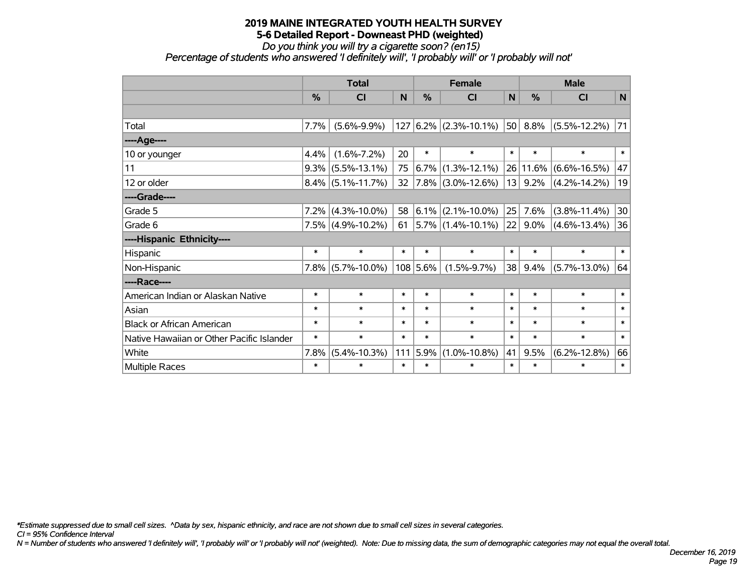*Do you think you will try a cigarette soon? (en15)*

*Percentage of students who answered 'I definitely will', 'I probably will' or 'I probably will not'*

|                                           | <b>Total</b>  |                      |        |               | <b>Female</b>              |        |          | <b>Male</b>        |        |  |  |
|-------------------------------------------|---------------|----------------------|--------|---------------|----------------------------|--------|----------|--------------------|--------|--|--|
|                                           | $\frac{0}{0}$ | <b>CI</b>            | N      | $\frac{0}{0}$ | <b>CI</b>                  | N      | %        | CI                 | N      |  |  |
|                                           |               |                      |        |               |                            |        |          |                    |        |  |  |
| Total                                     | 7.7%          | $(5.6\% - 9.9\%)$    |        |               | $127 6.2\% $ (2.3%-10.1%)  | 50     | 8.8%     | $(5.5\% - 12.2\%)$ | 71     |  |  |
| ----Age----                               |               |                      |        |               |                            |        |          |                    |        |  |  |
| 10 or younger                             | 4.4%          | $(1.6\% - 7.2\%)$    | 20     | $\ast$        | $\ast$                     | $\ast$ | $\ast$   | $\ast$             | $\ast$ |  |  |
| 11                                        |               | $9.3\%$ (5.5%-13.1%) | 75     |               | $ 6.7\% $ (1.3%-12.1%)     |        | 26 11.6% | $(6.6\% - 16.5\%)$ | 47     |  |  |
| 12 or older                               |               | $8.4\%$ (5.1%-11.7%) | 32     |               | $ 7.8\% $ (3.0%-12.6%)     | 13     | 9.2%     | $(4.2\% - 14.2\%)$ | 19     |  |  |
| ----Grade----                             |               |                      |        |               |                            |        |          |                    |        |  |  |
| Grade 5                                   |               | $7.2\%$ (4.3%-10.0%) | 58     |               | $ 6.1\% $ (2.1%-10.0%)     | 25     | 7.6%     | $(3.8\% - 11.4\%)$ | 30     |  |  |
| Grade 6                                   |               | $7.5\%$ (4.9%-10.2%) | 61     |               | $ 5.7\% $ (1.4%-10.1%) $ $ | 22     | 9.0%     | $(4.6\% - 13.4\%)$ | 36     |  |  |
| ----Hispanic Ethnicity----                |               |                      |        |               |                            |        |          |                    |        |  |  |
| Hispanic                                  | $\ast$        | $\ast$               | $\ast$ | $\ast$        | $\ast$                     | $\ast$ | $\ast$   | $\ast$             | $\ast$ |  |  |
| Non-Hispanic                              |               | $7.8\%$ (5.7%-10.0%) |        | 108 5.6%      | $(1.5\% - 9.7\%)$          | 38     | 9.4%     | $(5.7\% - 13.0\%)$ | 64     |  |  |
| ----Race----                              |               |                      |        |               |                            |        |          |                    |        |  |  |
| American Indian or Alaskan Native         | $\ast$        | $\ast$               | *      | $\ast$        | $\ast$                     | $\ast$ | $\ast$   | $\ast$             | $\ast$ |  |  |
| Asian                                     | $\ast$        | $\ast$               | $\ast$ | $\ast$        | $\ast$                     | $\ast$ | $\ast$   | $\ast$             | $\ast$ |  |  |
| <b>Black or African American</b>          | $\ast$        | $\ast$               | *      | $\ast$        | $\ast$                     | $\ast$ | $\ast$   | $\ast$             | $\ast$ |  |  |
| Native Hawaiian or Other Pacific Islander | $\ast$        | $\ast$               | $\ast$ | $\ast$        | $\ast$                     | $\ast$ | $\ast$   | $\ast$             | $\ast$ |  |  |
| White                                     | 7.8%          | $(5.4\% - 10.3\%)$   | 111    | 5.9%          | $(1.0\% - 10.8\%)$         | 41     | 9.5%     | $(6.2\% - 12.8\%)$ | 66     |  |  |
| Multiple Races                            | $\ast$        | $\ast$               | $\ast$ | $\ast$        | $\ast$                     | $\ast$ | $\ast$   | $\ast$             | $\ast$ |  |  |

*\*Estimate suppressed due to small cell sizes. ^Data by sex, hispanic ethnicity, and race are not shown due to small cell sizes in several categories.*

*CI = 95% Confidence Interval*

*N = Number of students who answered 'I definitely will', 'I probably will' or 'I probably will not' (weighted). Note: Due to missing data, the sum of demographic categories may not equal the overall total.*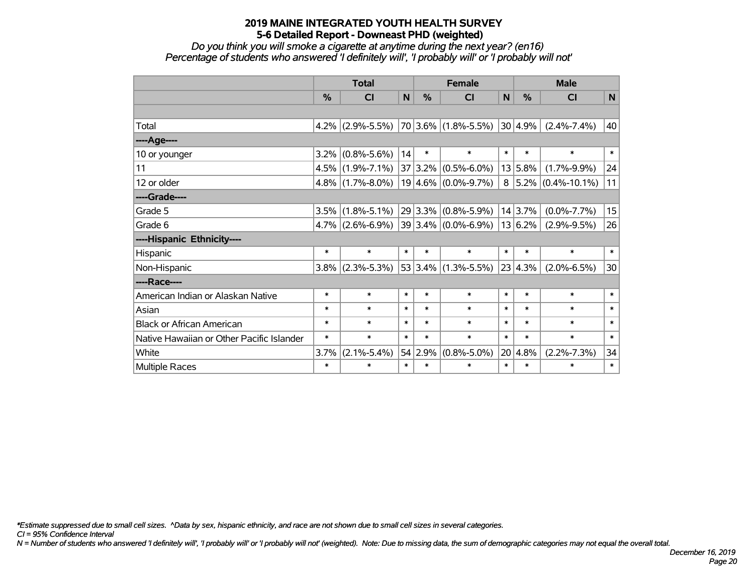*Do you think you will smoke a cigarette at anytime during the next year? (en16) Percentage of students who answered 'I definitely will', 'I probably will' or 'I probably will not'*

|                                           | <b>Total</b>  |                                         |        | <b>Female</b> |                                              |        | <b>Male</b> |                                |        |
|-------------------------------------------|---------------|-----------------------------------------|--------|---------------|----------------------------------------------|--------|-------------|--------------------------------|--------|
|                                           | $\frac{0}{2}$ | <b>CI</b>                               | N      | $\frac{0}{2}$ | <b>CI</b>                                    | N      | %           | <b>CI</b>                      | N      |
|                                           |               |                                         |        |               |                                              |        |             |                                |        |
| Total                                     |               |                                         |        |               | 4.2% (2.9%-5.5%) 70 3.6% (1.8%-5.5%) 30 4.9% |        |             | $(2.4\% - 7.4\%)$              | 40     |
| ----Age----                               |               |                                         |        |               |                                              |        |             |                                |        |
| 10 or younger                             |               | $3.2\%$ (0.8%-5.6%)                     | 14     | $\ast$        | $\ast$                                       | $\ast$ | $\ast$      | $\ast$                         | $\ast$ |
| 11                                        |               | $4.5\%$ (1.9%-7.1%)                     |        | 37 3.2%       | $(0.5\% - 6.0\%)$                            |        | 13 5.8%     | $(1.7\% - 9.9\%)$              | 24     |
| 12 or older                               |               | $4.8\%$ (1.7%-8.0%)                     |        |               | $19 4.6\% $ (0.0%-9.7%)                      |        |             | $8   5.2\%   (0.4\% - 10.1\%)$ | 11     |
| ----Grade----                             |               |                                         |        |               |                                              |        |             |                                |        |
| Grade 5                                   | 3.5%          | $(1.8\% - 5.1\%)$                       |        | 29 3.3%       | $(0.8\% - 5.9\%)$                            |        | 14 3.7%     | $(0.0\% - 7.7\%)$              | 15     |
| Grade 6                                   |               | $4.7\%$ (2.6%-6.9%) 39 3.4% (0.0%-6.9%) |        |               |                                              |        | 13 6.2%     | $(2.9\% - 9.5\%)$              | 26     |
| ----Hispanic Ethnicity----                |               |                                         |        |               |                                              |        |             |                                |        |
| Hispanic                                  | *             | $\ast$                                  | $\ast$ | $\ast$        | $\ast$                                       | $\ast$ | $\ast$      | $\ast$                         | $\ast$ |
| Non-Hispanic                              |               | $3.8\%$ (2.3%-5.3%)                     |        |               | $ 53 3.4\%  (1.3\% - 5.5\%)$                 |        | 23 4.3%     | $(2.0\% - 6.5\%)$              | 30     |
| ----Race----                              |               |                                         |        |               |                                              |        |             |                                |        |
| American Indian or Alaskan Native         | *             | $\ast$                                  | $\ast$ | $\ast$        | $\ast$                                       | $\ast$ | $\ast$      | $\ast$                         | $\ast$ |
| Asian                                     | $\ast$        | $\ast$                                  | $\ast$ | $\ast$        | $\ast$                                       | $\ast$ | $\ast$      | $\ast$                         | $\ast$ |
| <b>Black or African American</b>          | $\ast$        | $\ast$                                  | $\ast$ | $\ast$        | $\ast$                                       | $\ast$ | $\ast$      | $\ast$                         | $\ast$ |
| Native Hawaiian or Other Pacific Islander | $\ast$        | $\ast$                                  | $\ast$ | $\ast$        | $\ast$                                       | $\ast$ | $\ast$      | $\ast$                         | $\ast$ |
| White                                     | 3.7%          | $(2.1\% - 5.4\%)$                       |        | 54 2.9%       | $(0.8\% - 5.0\%)$                            | 20     | 4.8%        | $(2.2\% - 7.3\%)$              | 34     |
| Multiple Races                            | $\ast$        | $\ast$                                  | $\ast$ | $\ast$        | $\ast$                                       | $\ast$ | $\ast$      | $\ast$                         | $\ast$ |

*\*Estimate suppressed due to small cell sizes. ^Data by sex, hispanic ethnicity, and race are not shown due to small cell sizes in several categories.*

*CI = 95% Confidence Interval*

*N = Number of students who answered 'I definitely will', 'I probably will' or 'I probably will not' (weighted). Note: Due to missing data, the sum of demographic categories may not equal the overall total.*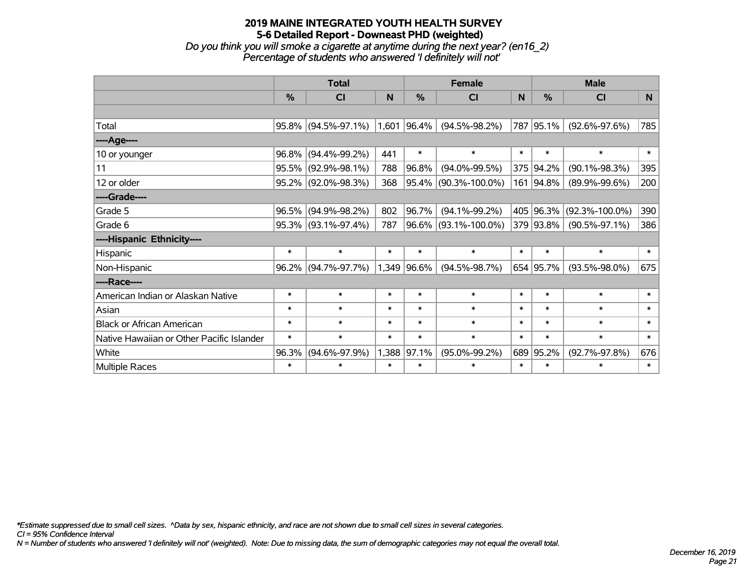#### **2019 MAINE INTEGRATED YOUTH HEALTH SURVEY 5-6 Detailed Report - Downeast PHD (weighted)** *Do you think you will smoke a cigarette at anytime during the next year? (en16\_2) Percentage of students who answered 'I definitely will not'*

|                                           |               | <b>Total</b>        |        |               | <b>Female</b>        |        | <b>Male</b>   |                      |        |  |  |
|-------------------------------------------|---------------|---------------------|--------|---------------|----------------------|--------|---------------|----------------------|--------|--|--|
|                                           | $\frac{0}{0}$ | CI                  | N      | $\frac{0}{0}$ | CI                   | N      | $\frac{9}{6}$ | CI                   | N      |  |  |
|                                           |               |                     |        |               |                      |        |               |                      |        |  |  |
| Total                                     | $95.8\%$      | $(94.5\% - 97.1\%)$ | 1,601  | 96.4%         | $(94.5\% - 98.2\%)$  |        | 787 95.1%     | $(92.6\% - 97.6\%)$  | 785    |  |  |
| ----Age----                               |               |                     |        |               |                      |        |               |                      |        |  |  |
| 10 or younger                             | 96.8%         | $(94.4\% - 99.2\%)$ | 441    | $\ast$        | $\ast$               | $\ast$ | $\ast$        | $\ast$               | $\ast$ |  |  |
| 11                                        | 95.5%         | $(92.9\% - 98.1\%)$ | 788    | 96.8%         | $(94.0\% - 99.5\%)$  |        | 375 94.2%     | $(90.1\% - 98.3\%)$  | 395    |  |  |
| 12 or older                               | 95.2%         | $(92.0\% - 98.3\%)$ | 368    |               | 95.4% (90.3%-100.0%) |        | 161 94.8%     | $(89.9\% - 99.6\%)$  | 200    |  |  |
| ----Grade----                             |               |                     |        |               |                      |        |               |                      |        |  |  |
| Grade 5                                   | 96.5%         | $(94.9\% - 98.2\%)$ | 802    | 96.7%         | $(94.1\% - 99.2\%)$  |        | 405 96.3%     | $(92.3\% - 100.0\%)$ | 390    |  |  |
| Grade 6                                   |               | 95.3% (93.1%-97.4%) | 787    |               | 96.6% (93.1%-100.0%) |        | 379 93.8%     | $(90.5\% - 97.1\%)$  | 386    |  |  |
| ----Hispanic Ethnicity----                |               |                     |        |               |                      |        |               |                      |        |  |  |
| Hispanic                                  | $\ast$        | $\ast$              | $\ast$ | $\ast$        | $\ast$               | $\ast$ | $\ast$        | $\ast$               | $\ast$ |  |  |
| Non-Hispanic                              | 96.2%         | $(94.7\% - 97.7\%)$ | 1,349  | 96.6%         | $(94.5\% - 98.7\%)$  |        | 654 95.7%     | $(93.5\% - 98.0\%)$  | 675    |  |  |
| ----Race----                              |               |                     |        |               |                      |        |               |                      |        |  |  |
| American Indian or Alaskan Native         | $\ast$        | $\ast$              | $\ast$ | $\ast$        | $\ast$               | $\ast$ | $\ast$        | $\ast$               | $\ast$ |  |  |
| Asian                                     | $\ast$        | $\ast$              | $\ast$ | $\ast$        | $\ast$               | $\ast$ | $\ast$        | $\ast$               | $\ast$ |  |  |
| <b>Black or African American</b>          | $\ast$        | $\ast$              | $\ast$ | $\ast$        | $\ast$               | $\ast$ | $\ast$        | $\ast$               | $\ast$ |  |  |
| Native Hawaiian or Other Pacific Islander | $\ast$        | $\ast$              | $\ast$ | $\ast$        | $\ast$               | $\ast$ | $\ast$        | $\ast$               | $\ast$ |  |  |
| White                                     | 96.3%         | $(94.6\% - 97.9\%)$ | 1,388  | 97.1%         | $(95.0\% - 99.2\%)$  | 689    | 95.2%         | $(92.7\% - 97.8\%)$  | 676    |  |  |
| <b>Multiple Races</b>                     | $\ast$        | $\ast$              | $\ast$ | $\ast$        | $\ast$               | $\ast$ | $\ast$        | $\ast$               | $\ast$ |  |  |

*\*Estimate suppressed due to small cell sizes. ^Data by sex, hispanic ethnicity, and race are not shown due to small cell sizes in several categories.*

*CI = 95% Confidence Interval*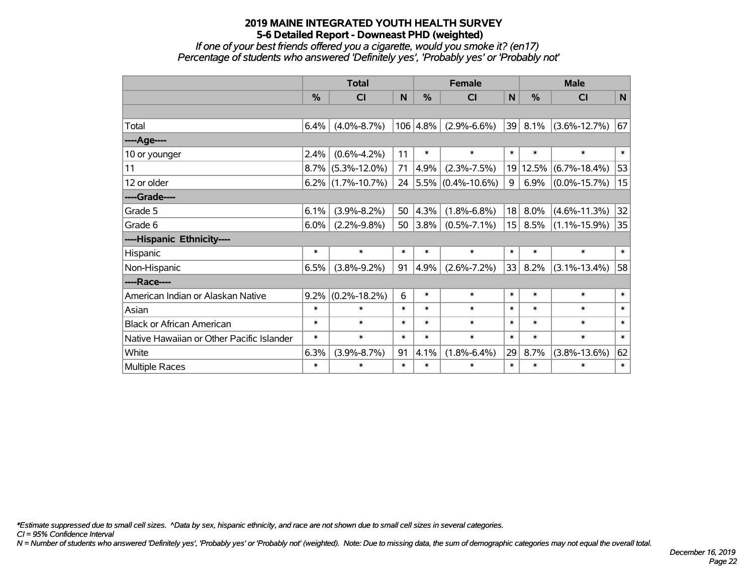*If one of your best friends offered you a cigarette, would you smoke it? (en17) Percentage of students who answered 'Definitely yes', 'Probably yes' or 'Probably not'*

|                                           | <b>Total</b>  |                    |        | <b>Female</b> |                           |                 | <b>Male</b> |                    |        |  |
|-------------------------------------------|---------------|--------------------|--------|---------------|---------------------------|-----------------|-------------|--------------------|--------|--|
|                                           | $\frac{0}{2}$ | <b>CI</b>          | N      | $\frac{0}{0}$ | <b>CI</b>                 | N               | $\%$        | <b>CI</b>          | N      |  |
|                                           |               |                    |        |               |                           |                 |             |                    |        |  |
| Total                                     | 6.4%          | $(4.0\% - 8.7\%)$  |        | 106 4.8%      | $(2.9\% - 6.6\%)$         | 39              | 8.1%        | $(3.6\% - 12.7\%)$ | 67     |  |
| ----Age----                               |               |                    |        |               |                           |                 |             |                    |        |  |
| 10 or younger                             | 2.4%          | $(0.6\% - 4.2\%)$  | 11     | $\ast$        | $\ast$                    | $\ast$          | $\ast$      | $\ast$             | $\ast$ |  |
| 11                                        | $8.7\%$       | $(5.3\% - 12.0\%)$ | 71     | 4.9%          | $(2.3\% - 7.5\%)$         |                 | 19 12.5%    | $(6.7\% - 18.4\%)$ | 53     |  |
| 12 or older                               | $6.2\%$       | $(1.7\% - 10.7\%)$ |        |               | 24 $ 5.5\% $ (0.4%-10.6%) | 9               | 6.9%        | $(0.0\% - 15.7\%)$ | 15     |  |
| ----Grade----                             |               |                    |        |               |                           |                 |             |                    |        |  |
| Grade 5                                   | 6.1%          | $(3.9\% - 8.2\%)$  | 50     | 4.3%          | $(1.8\% - 6.8\%)$         | 18              | 8.0%        | $(4.6\% - 11.3\%)$ | 32     |  |
| Grade 6                                   | 6.0%          | $(2.2\% - 9.8\%)$  | 50     | $ 3.8\% $     | $(0.5\% - 7.1\%)$         | 15 <sup>2</sup> | $8.5\%$     | $(1.1\% - 15.9\%)$ | 35     |  |
| ----Hispanic Ethnicity----                |               |                    |        |               |                           |                 |             |                    |        |  |
| Hispanic                                  | $\ast$        | $\ast$             | $\ast$ | $\ast$        | $\ast$                    | $\ast$          | $\ast$      | $\ast$             | $\ast$ |  |
| Non-Hispanic                              | 6.5%          | $(3.8\% - 9.2\%)$  | 91     | 4.9%          | $(2.6\% - 7.2\%)$         | 33              | 8.2%        | $(3.1\% - 13.4\%)$ | 58     |  |
| ----Race----                              |               |                    |        |               |                           |                 |             |                    |        |  |
| American Indian or Alaskan Native         | 9.2%          | $(0.2\% - 18.2\%)$ | 6      | $\ast$        | $\ast$                    | $\ast$          | $\ast$      | $\ast$             | $\ast$ |  |
| Asian                                     | $\ast$        | $\ast$             | $\ast$ | $\ast$        | $\ast$                    | $\ast$          | $\ast$      | $\ast$             | $\ast$ |  |
| <b>Black or African American</b>          | $\ast$        | $\ast$             | $\ast$ | $\ast$        | $\ast$                    | $\ast$          | $\ast$      | $\ast$             | $\ast$ |  |
| Native Hawaiian or Other Pacific Islander | $\ast$        | $\ast$             | $\ast$ | $\ast$        | $\ast$                    | $\ast$          | $\ast$      | $\ast$             | $\ast$ |  |
| White                                     | 6.3%          | $(3.9\% - 8.7\%)$  | 91     | 4.1%          | $(1.8\% - 6.4\%)$         | 29              | 8.7%        | $(3.8\% - 13.6\%)$ | 62     |  |
| Multiple Races                            | $\ast$        | $\ast$             | $\ast$ | $\ast$        | $\ast$                    | $\ast$          | $\ast$      | $\ast$             | $\ast$ |  |

*\*Estimate suppressed due to small cell sizes. ^Data by sex, hispanic ethnicity, and race are not shown due to small cell sizes in several categories.*

*CI = 95% Confidence Interval*

*N = Number of students who answered 'Definitely yes', 'Probably yes' or 'Probably not' (weighted). Note: Due to missing data, the sum of demographic categories may not equal the overall total.*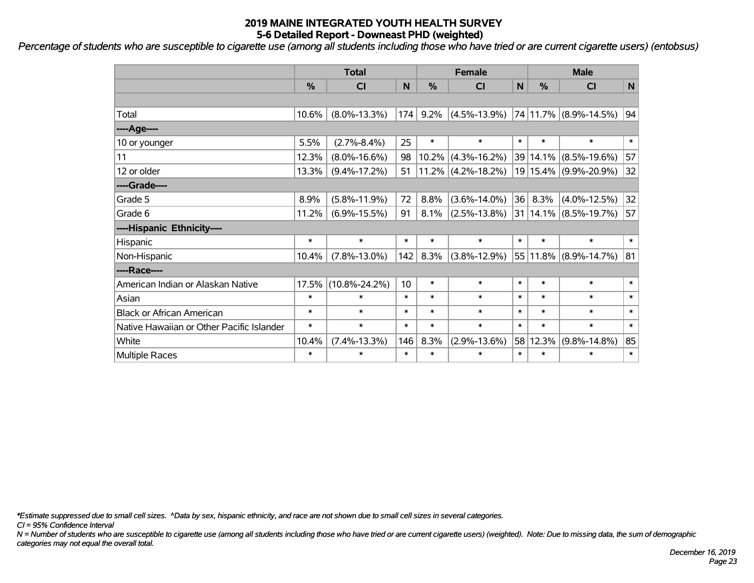*Percentage of students who are susceptible to cigarette use (among all students including those who have tried or are current cigarette users) (entobsus)*

|                                           | <b>Total</b> |                     |        |          | <b>Female</b>         | <b>Male</b> |               |                           |        |
|-------------------------------------------|--------------|---------------------|--------|----------|-----------------------|-------------|---------------|---------------------------|--------|
|                                           | %            | <b>CI</b>           | N      | %        | <b>CI</b>             | N           | $\frac{0}{0}$ | <b>CI</b>                 | N      |
|                                           |              |                     |        |          |                       |             |               |                           |        |
| Total                                     | 10.6%        | $(8.0\% - 13.3\%)$  | 174    | 9.2%     | $(4.5\% - 13.9\%)$    |             |               | 74 11.7% (8.9%-14.5%)     | 94     |
| ----Age----                               |              |                     |        |          |                       |             |               |                           |        |
| 10 or younger                             | 5.5%         | $(2.7\% - 8.4\%)$   | 25     | $\ast$   | $\ast$                | $\ast$      | $\ast$        | $\ast$                    | $\ast$ |
| 11                                        | 12.3%        | $(8.0\% - 16.6\%)$  | 98     | $10.2\%$ | $(4.3\% - 16.2\%)$    |             | 39 14.1%      | $(8.5\% - 19.6\%)$        | 57     |
| 12 or older                               | 13.3%        | $(9.4\% - 17.2\%)$  | 51     |          | $11.2\%$ (4.2%-18.2%) |             |               | 19 15.4% (9.9%-20.9%)     | 32     |
| ----Grade----                             |              |                     |        |          |                       |             |               |                           |        |
| Grade 5                                   | 8.9%         | $(5.8\% - 11.9\%)$  | 72     | 8.8%     | $(3.6\% - 14.0\%)$    | 36          | 8.3%          | $(4.0\% - 12.5\%)$        | 32     |
| Grade 6                                   | 11.2%        | $(6.9\% - 15.5\%)$  | 91     | 8.1%     | $(2.5\% - 13.8\%)$    |             |               | $31 14.1\% $ (8.5%-19.7%) | 57     |
| ----Hispanic Ethnicity----                |              |                     |        |          |                       |             |               |                           |        |
| Hispanic                                  | $\ast$       | $\ast$              | $\ast$ | $\ast$   | $\ast$                | $\ast$      | $\ast$        | $\ast$                    | $\ast$ |
| Non-Hispanic                              | 10.4%        | $(7.8\% - 13.0\%)$  | 142    | 8.3%     | $(3.8\% - 12.9\%)$    |             | 55 11.8%      | $(8.9\% - 14.7\%)$        | 81     |
| ----Race----                              |              |                     |        |          |                       |             |               |                           |        |
| American Indian or Alaskan Native         | 17.5%        | $(10.8\% - 24.2\%)$ | 10     | $\ast$   | $\ast$                | $\ast$      | $\ast$        | $\ast$                    | $\ast$ |
| Asian                                     | $\ast$       | $\ast$              | $\ast$ | $\ast$   | $\ast$                | $\ast$      | $\ast$        | $\ast$                    | $\ast$ |
| <b>Black or African American</b>          | $\ast$       | $\ast$              | $\ast$ | $\ast$   | $\ast$                | $\ast$      | $\ast$        | $\ast$                    | $\ast$ |
| Native Hawaiian or Other Pacific Islander | $\ast$       | $\ast$              | $\ast$ | $\ast$   | $\ast$                | $\ast$      | $\ast$        | $\ast$                    | $\ast$ |
| White                                     | 10.4%        | $(7.4\% - 13.3\%)$  | 146    | 8.3%     | $(2.9\% - 13.6\%)$    |             | 58 12.3%      | $(9.8\% - 14.8\%)$        | 85     |
| Multiple Races                            | $\ast$       | $\ast$              | $\ast$ | $\ast$   | $\ast$                | $\ast$      | $\ast$        | $\ast$                    | $\ast$ |

*\*Estimate suppressed due to small cell sizes. ^Data by sex, hispanic ethnicity, and race are not shown due to small cell sizes in several categories.*

*CI = 95% Confidence Interval*

*N = Number of students who are susceptible to cigarette use (among all students including those who have tried or are current cigarette users) (weighted). Note: Due to missing data, the sum of demographic categories may not equal the overall total.*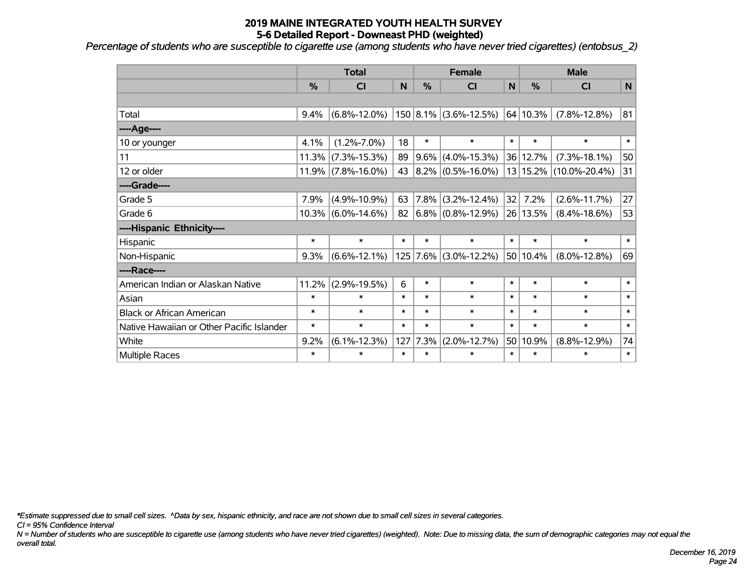*Percentage of students who are susceptible to cigarette use (among students who have never tried cigarettes) (entobsus\_2)*

|                                           | <b>Total</b> |                       |        |        | <b>Female</b>             |        |          | <b>Male</b>            |        |  |  |
|-------------------------------------------|--------------|-----------------------|--------|--------|---------------------------|--------|----------|------------------------|--------|--|--|
|                                           | %            | <b>CI</b>             | N      | %      | <b>CI</b>                 | N      | %        | <b>CI</b>              | N      |  |  |
|                                           |              |                       |        |        |                           |        |          |                        |        |  |  |
| Total                                     | 9.4%         | $(6.8\% - 12.0\%)$    |        |        | $150 8.1\% $ (3.6%-12.5%) |        | 64 10.3% | $(7.8\% - 12.8\%)$     | 81     |  |  |
| ----Age----                               |              |                       |        |        |                           |        |          |                        |        |  |  |
| 10 or younger                             | 4.1%         | $(1.2\% - 7.0\%)$     | 18     | $\ast$ | $\ast$                    | $\ast$ | $\ast$   | $\ast$                 | $\ast$ |  |  |
| 11                                        | 11.3%        | $(7.3\% - 15.3\%)$    | 89     |        | $9.6\%$ (4.0%-15.3%)      |        | 36 12.7% | $(7.3\% - 18.1\%)$     | 50     |  |  |
| 12 or older                               |              | $11.9\%$ (7.8%-16.0%) | 43     |        | $ 8.2\% $ (0.5%-16.0%)    |        |          | 13 15.2% (10.0%-20.4%) | 31     |  |  |
| ----Grade----                             |              |                       |        |        |                           |        |          |                        |        |  |  |
| Grade 5                                   | 7.9%         | $(4.9\% - 10.9\%)$    | 63     |        | $ 7.8\% $ (3.2%-12.4%)    | 32     | 7.2%     | $(2.6\% - 11.7\%)$     | 27     |  |  |
| Grade 6                                   |              | $10.3\%$ (6.0%-14.6%) | 82     |        | $(6.8\%)(0.8\% - 12.9\%)$ |        | 26 13.5% | $(8.4\% - 18.6\%)$     | 53     |  |  |
| ----Hispanic Ethnicity----                |              |                       |        |        |                           |        |          |                        |        |  |  |
| Hispanic                                  | $\ast$       | $\ast$                | $\ast$ | $\ast$ | $\ast$                    | $\ast$ | $\ast$   | $\ast$                 | $\ast$ |  |  |
| Non-Hispanic                              | 9.3%         | $(6.6\% - 12.1\%)$    |        |        | $125$ 7.6% (3.0%-12.2%)   |        | 50 10.4% | $(8.0\% - 12.8\%)$     | 69     |  |  |
| ----Race----                              |              |                       |        |        |                           |        |          |                        |        |  |  |
| American Indian or Alaskan Native         | 11.2%        | $(2.9\% - 19.5\%)$    | 6      | $\ast$ | $\ast$                    | $\ast$ | $\ast$   | $\ast$                 | $\ast$ |  |  |
| Asian                                     | $\ast$       | $\ast$                | $\ast$ | $\ast$ | $\ast$                    | $\ast$ | $\ast$   | $\ast$                 | $\ast$ |  |  |
| <b>Black or African American</b>          | $\ast$       | $\ast$                | $\ast$ | $\ast$ | $\ast$                    | $\ast$ | $\ast$   | $\ast$                 | $\ast$ |  |  |
| Native Hawaiian or Other Pacific Islander | $\ast$       | $\ast$                | $\ast$ | $\ast$ | $\ast$                    | $\ast$ | $\ast$   | $\ast$                 | $\ast$ |  |  |
| White                                     | 9.2%         | $(6.1\% - 12.3\%)$    | 127    | 7.3%   | $(2.0\% - 12.7\%)$        |        | 50 10.9% | $(8.8\% - 12.9\%)$     | 74     |  |  |
| Multiple Races                            | $\ast$       | $\ast$                | $\ast$ | $\ast$ | $\ast$                    | $\ast$ | $\ast$   | $\ast$                 | $\ast$ |  |  |

*\*Estimate suppressed due to small cell sizes. ^Data by sex, hispanic ethnicity, and race are not shown due to small cell sizes in several categories.*

*CI = 95% Confidence Interval*

*N = Number of students who are susceptible to cigarette use (among students who have never tried cigarettes) (weighted). Note: Due to missing data, the sum of demographic categories may not equal the overall total.*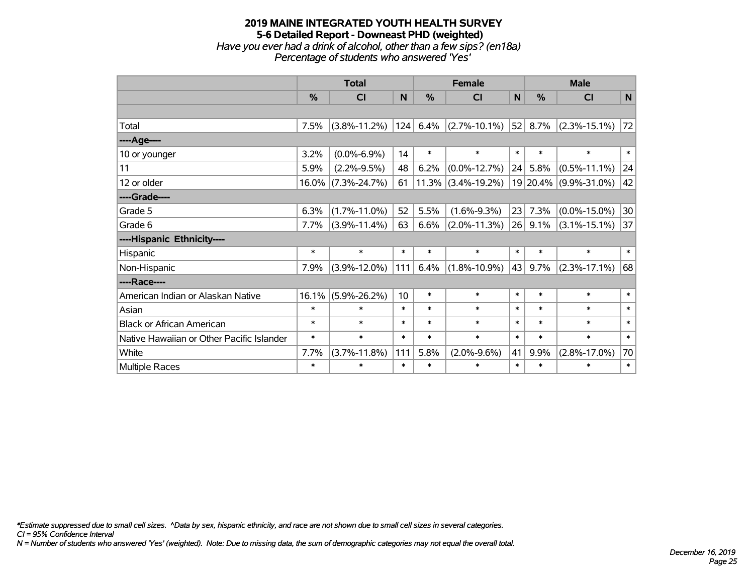#### **2019 MAINE INTEGRATED YOUTH HEALTH SURVEY 5-6 Detailed Report - Downeast PHD (weighted)** *Have you ever had a drink of alcohol, other than a few sips? (en18a) Percentage of students who answered 'Yes'*

|                                           | <b>Total</b> |                    |        | <b>Female</b> |                    |        | <b>Male</b>   |                    |        |  |
|-------------------------------------------|--------------|--------------------|--------|---------------|--------------------|--------|---------------|--------------------|--------|--|
|                                           | %            | <b>CI</b>          | N      | %             | <b>CI</b>          | N      | $\frac{0}{0}$ | <b>CI</b>          | N      |  |
|                                           |              |                    |        |               |                    |        |               |                    |        |  |
| Total                                     | 7.5%         | $(3.8\% - 11.2\%)$ | 124    | 6.4%          | $(2.7\% - 10.1\%)$ | 52     | 8.7%          | $(2.3\% - 15.1\%)$ | 72     |  |
| ----Age----                               |              |                    |        |               |                    |        |               |                    |        |  |
| 10 or younger                             | 3.2%         | $(0.0\% - 6.9\%)$  | 14     | $\ast$        | $\ast$             | $\ast$ | $\ast$        | $\ast$             | $\ast$ |  |
| 11                                        | 5.9%         | $(2.2\% - 9.5\%)$  | 48     | 6.2%          | $(0.0\% - 12.7\%)$ | 24     | 5.8%          | $(0.5\% - 11.1\%)$ | 24     |  |
| 12 or older                               | 16.0%        | $(7.3\% - 24.7\%)$ | 61     | 11.3%         | $(3.4\% - 19.2\%)$ |        | 19 20.4%      | $(9.9\% - 31.0\%)$ | 42     |  |
| ----Grade----                             |              |                    |        |               |                    |        |               |                    |        |  |
| Grade 5                                   | 6.3%         | $(1.7\% - 11.0\%)$ | 52     | 5.5%          | $(1.6\% - 9.3\%)$  | 23     | 7.3%          | $(0.0\% - 15.0\%)$ | 30     |  |
| Grade 6                                   | 7.7%         | $(3.9\% - 11.4\%)$ | 63     | 6.6%          | $(2.0\% - 11.3\%)$ |        | $26$ 9.1%     | $(3.1\% - 15.1\%)$ | 37     |  |
| ----Hispanic Ethnicity----                |              |                    |        |               |                    |        |               |                    |        |  |
| Hispanic                                  | $\ast$       | $\ast$             | $\ast$ | $\ast$        | $\ast$             | $\ast$ | $\ast$        | $\ast$             | $\ast$ |  |
| Non-Hispanic                              | 7.9%         | $(3.9\% - 12.0\%)$ | 111    | 6.4%          | $(1.8\% - 10.9\%)$ | 43     | 9.7%          | $(2.3\% - 17.1\%)$ | 68     |  |
| ----Race----                              |              |                    |        |               |                    |        |               |                    |        |  |
| American Indian or Alaskan Native         | 16.1%        | $(5.9\% - 26.2\%)$ | 10     | $\ast$        | $\ast$             | $\ast$ | $\ast$        | $\ast$             | $\ast$ |  |
| Asian                                     | $\ast$       | $\ast$             | $\ast$ | $\ast$        | $\ast$             | $\ast$ | $\ast$        | $\ast$             | $\ast$ |  |
| <b>Black or African American</b>          | $\ast$       | $\ast$             | $\ast$ | $\ast$        | $\ast$             | $\ast$ | $\ast$        | $\ast$             | $\ast$ |  |
| Native Hawaiian or Other Pacific Islander | $\ast$       | $\ast$             | $\ast$ | $\ast$        | $\ast$             | $\ast$ | $\ast$        | $\ast$             | $\ast$ |  |
| White                                     | 7.7%         | $(3.7\% - 11.8\%)$ | 111    | 5.8%          | $(2.0\% - 9.6\%)$  | 41     | 9.9%          | $(2.8\% - 17.0\%)$ | 70     |  |
| <b>Multiple Races</b>                     | $\ast$       | $\ast$             | $\ast$ | $\ast$        | $\ast$             | $\ast$ | $\ast$        | $\ast$             | $\ast$ |  |

*\*Estimate suppressed due to small cell sizes. ^Data by sex, hispanic ethnicity, and race are not shown due to small cell sizes in several categories.*

*CI = 95% Confidence Interval*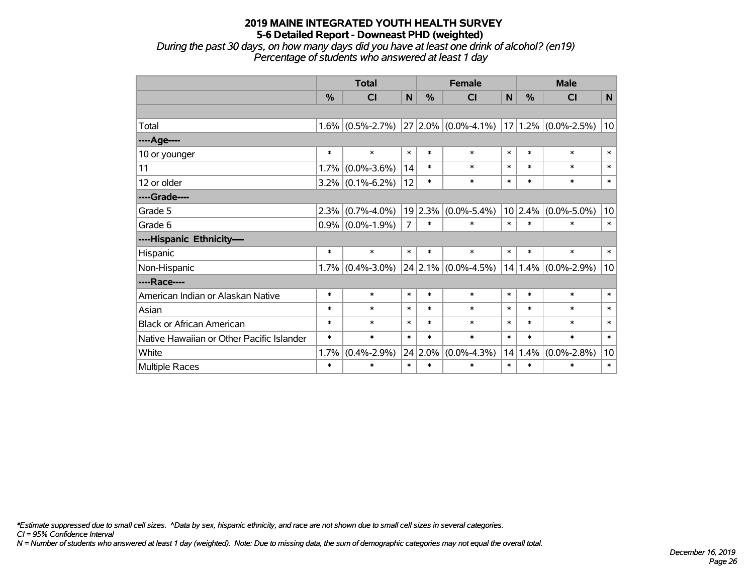*During the past 30 days, on how many days did you have at least one drink of alcohol? (en19) Percentage of students who answered at least 1 day*

|                                           | <b>Total</b> |                     |                | <b>Female</b> |                           |        | <b>Male</b> |                          |        |  |
|-------------------------------------------|--------------|---------------------|----------------|---------------|---------------------------|--------|-------------|--------------------------|--------|--|
|                                           | %            | <b>CI</b>           | N              | %             | <b>CI</b>                 | N      | $\%$        | <b>CI</b>                | N      |  |
|                                           |              |                     |                |               |                           |        |             |                          |        |  |
| Total                                     |              | $1.6\%$ (0.5%-2.7%) |                |               | $ 27 2.0\% $ (0.0%-4.1%)  |        |             | $ 17 1.2\% $ (0.0%-2.5%) | 10     |  |
| ----Age----                               |              |                     |                |               |                           |        |             |                          |        |  |
| 10 or younger                             | $\ast$       | $\ast$              | $\ast$         | $\ast$        | $\ast$                    | $\ast$ | $\ast$      | $\ast$                   | $\ast$ |  |
| 11                                        | 1.7%         | $(0.0\% - 3.6\%)$   | 14             | $\ast$        | $\ast$                    | $\ast$ | $\ast$      | $\ast$                   | $\ast$ |  |
| 12 or older                               |              | $3.2\%$ (0.1%-6.2%) | 12             | $\ast$        | $\ast$                    | $\ast$ | $\ast$      | $\ast$                   | $\ast$ |  |
| ----Grade----                             |              |                     |                |               |                           |        |             |                          |        |  |
| Grade 5                                   | 2.3%         | $(0.7\% - 4.0\%)$   | 19             | 2.3%          | $(0.0\% - 5.4\%)$         |        | 10 2.4%     | $(0.0\% - 5.0\%)$        | 10     |  |
| Grade 6                                   |              | $0.9\%$ (0.0%-1.9%) | $\overline{7}$ | $\ast$        | $\ast$                    | $\ast$ | $\ast$      | $\ast$                   | $\ast$ |  |
| ----Hispanic Ethnicity----                |              |                     |                |               |                           |        |             |                          |        |  |
| Hispanic                                  | $\ast$       | $\ast$              | $\ast$         | $\ast$        | $\ast$                    | $\ast$ | $\ast$      | $\ast$                   | $\ast$ |  |
| Non-Hispanic                              |              | $1.7\%$ (0.4%-3.0%) |                |               | $24$   2.1%   (0.0%-4.5%) |        | 14 1.4%     | $(0.0\% - 2.9\%)$        | 10     |  |
| ----Race----                              |              |                     |                |               |                           |        |             |                          |        |  |
| American Indian or Alaskan Native         | $\ast$       | $\ast$              | $\ast$         | $\ast$        | $\ast$                    | $\ast$ | $\ast$      | $\ast$                   | $\ast$ |  |
| Asian                                     | $\ast$       | $\ast$              | $\ast$         | $\ast$        | $\ast$                    | $\ast$ | $\ast$      | $\ast$                   | $\ast$ |  |
| <b>Black or African American</b>          | $\ast$       | $\ast$              | $\ast$         | $\ast$        | $\ast$                    | $\ast$ | $\ast$      | $\ast$                   | $\ast$ |  |
| Native Hawaiian or Other Pacific Islander | $\ast$       | $\ast$              | $\ast$         | $\ast$        | $\ast$                    | $\ast$ | $\ast$      | $\ast$                   | $\ast$ |  |
| White                                     | 1.7%         | $(0.4\% - 2.9\%)$   |                | 24 2.0%       | $(0.0\% - 4.3\%)$         | 14     | 1.4%        | $(0.0\% - 2.8\%)$        | 10     |  |
| <b>Multiple Races</b>                     | $\ast$       | $\ast$              | $\ast$         | $\ast$        | $\ast$                    | $\ast$ | $\ast$      | $\ast$                   | $\ast$ |  |

*\*Estimate suppressed due to small cell sizes. ^Data by sex, hispanic ethnicity, and race are not shown due to small cell sizes in several categories.*

*CI = 95% Confidence Interval*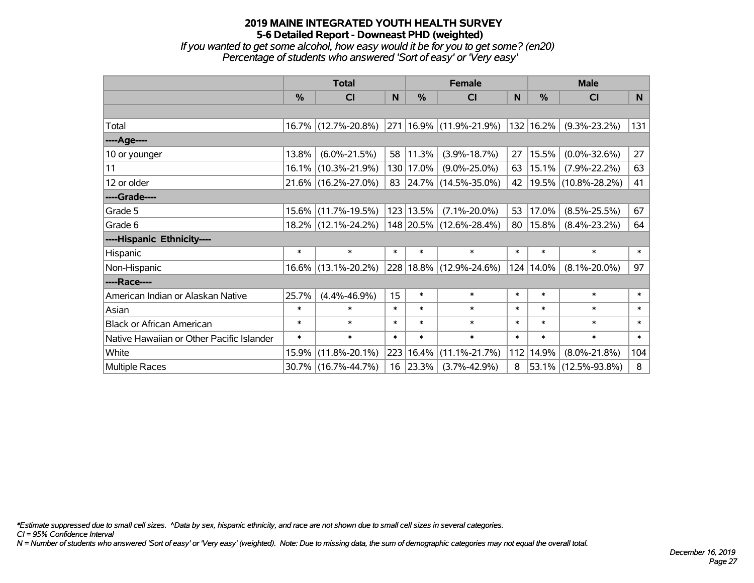*If you wanted to get some alcohol, how easy would it be for you to get some? (en20) Percentage of students who answered 'Sort of easy' or 'Very easy'*

|                                           | <b>Total</b> |                        |        |               | <b>Female</b>               | <b>Male</b>  |           |                     |        |
|-------------------------------------------|--------------|------------------------|--------|---------------|-----------------------------|--------------|-----------|---------------------|--------|
|                                           | %            | <b>CI</b>              | N.     | $\frac{0}{0}$ | <b>CI</b>                   | <sub>N</sub> | %         | <b>CI</b>           | N      |
|                                           |              |                        |        |               |                             |              |           |                     |        |
| Total                                     |              | 16.7% (12.7%-20.8%)    |        |               | 271   16.9%   (11.9%-21.9%) |              | 132 16.2% | $(9.3\% - 23.2\%)$  | 131    |
| ----Age----                               |              |                        |        |               |                             |              |           |                     |        |
| 10 or younger                             | 13.8%        | $(6.0\% - 21.5\%)$     | 58     | $ 11.3\% $    | $(3.9\% - 18.7\%)$          | 27           | 15.5%     | $(0.0\% - 32.6\%)$  | 27     |
| 11                                        | 16.1%        | $(10.3\% - 21.9\%)$    |        | 130   17.0%   | $(9.0\% - 25.0\%)$          | 63           | 15.1%     | $(7.9\% - 22.2\%)$  | 63     |
| 12 or older                               |              | 21.6% (16.2%-27.0%)    |        |               | 83 24.7% (14.5%-35.0%)      | 42           |           | 19.5% (10.8%-28.2%) | 41     |
| ----Grade----                             |              |                        |        |               |                             |              |           |                     |        |
| Grade 5                                   | 15.6%        | $(11.7\% - 19.5\%)$    |        | $123$   13.5% | $(7.1\% - 20.0\%)$          | 53           | 17.0%     | $(8.5\% - 25.5\%)$  | 67     |
| Grade 6                                   |              | 18.2% (12.1%-24.2%)    |        |               | 148 20.5% (12.6%-28.4%)     | 80           | 15.8%     | $(8.4\% - 23.2\%)$  | 64     |
| ----Hispanic Ethnicity----                |              |                        |        |               |                             |              |           |                     |        |
| Hispanic                                  | $\ast$       | $\ast$                 | $\ast$ | $\ast$        | $\ast$                      | $\ast$       | $\ast$    | $\ast$              | $\ast$ |
| Non-Hispanic                              |              | $16.6\%$ (13.1%-20.2%) |        |               | 228 18.8% (12.9%-24.6%)     | 124          | 14.0%     | $(8.1\% - 20.0\%)$  | 97     |
| ----Race----                              |              |                        |        |               |                             |              |           |                     |        |
| American Indian or Alaskan Native         | 25.7%        | $(4.4\% - 46.9\%)$     | 15     | $\ast$        | $\ast$                      | $\ast$       | $\ast$    | $\ast$              | $\ast$ |
| Asian                                     | $\ast$       | $\ast$                 | $\ast$ | $\ast$        | $\ast$                      | $\ast$       | $\ast$    | $\ast$              | $\ast$ |
| <b>Black or African American</b>          | $\ast$       | $\ast$                 | $\ast$ | $\ast$        | $\ast$                      | $\ast$       | $\ast$    | $\ast$              | $\ast$ |
| Native Hawaiian or Other Pacific Islander | $\ast$       | $\ast$                 | $\ast$ | $\ast$        | $\ast$                      | $\ast$       | $\ast$    | $\ast$              | $\ast$ |
| White                                     | 15.9%        | $(11.8\% - 20.1\%)$    | 223    | 16.4%         | $(11.1\% - 21.7\%)$         | 112          | 14.9%     | $(8.0\% - 21.8\%)$  | 104    |
| Multiple Races                            |              | 30.7% (16.7%-44.7%)    |        | 16 23.3%      | $(3.7\% - 42.9\%)$          | 8            |           | 53.1% (12.5%-93.8%) | 8      |

*\*Estimate suppressed due to small cell sizes. ^Data by sex, hispanic ethnicity, and race are not shown due to small cell sizes in several categories.*

*CI = 95% Confidence Interval*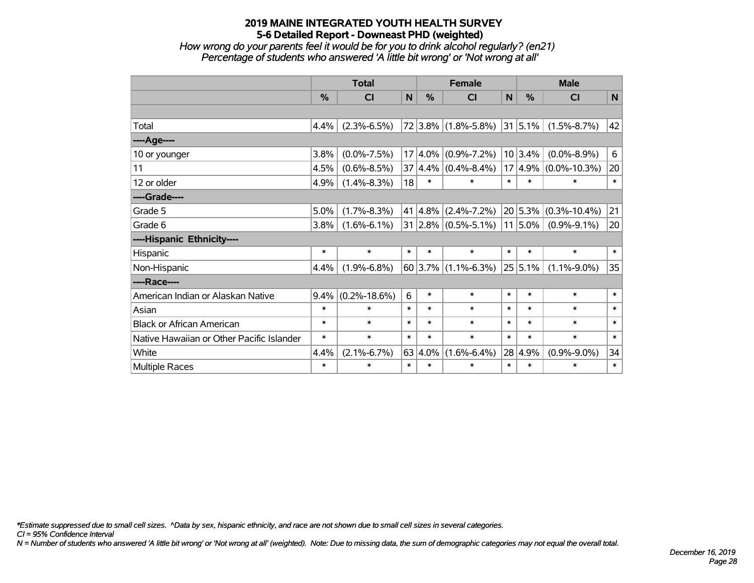*How wrong do your parents feel it would be for you to drink alcohol regularly? (en21) Percentage of students who answered 'A little bit wrong' or 'Not wrong at all'*

|                                           | <b>Total</b> |                    |        | <b>Female</b> |                                     |        | <b>Male</b>  |                          |        |  |
|-------------------------------------------|--------------|--------------------|--------|---------------|-------------------------------------|--------|--------------|--------------------------|--------|--|
|                                           | $\%$         | <b>CI</b>          | N      | $\%$          | <b>CI</b>                           | N      | $\%$         | <b>CI</b>                | N      |  |
|                                           |              |                    |        |               |                                     |        |              |                          |        |  |
| Total                                     | 4.4%         | $(2.3\% - 6.5\%)$  |        |               | $72 3.8\% $ (1.8%-5.8%)             |        | $ 31 5.1\% $ | $(1.5\% - 8.7\%)$        | 42     |  |
| ----Age----                               |              |                    |        |               |                                     |        |              |                          |        |  |
| 10 or younger                             | 3.8%         | $(0.0\% - 7.5\%)$  | 17     | $4.0\%$       | $(0.9\% - 7.2\%)$                   |        | 10 3.4%      | $(0.0\% - 8.9\%)$        | 6      |  |
| 11                                        | 4.5%         | $(0.6\% - 8.5\%)$  | 37     |               | $ 4.4\% $ (0.4%-8.4%)               | 17     | $ 4.9\% $    | $(0.0\% - 10.3\%)$       | 20     |  |
| 12 or older                               | 4.9%         | $(1.4\% - 8.3\%)$  | 18     | $\ast$        | $\ast$                              | $\ast$ | $\ast$       | $\ast$                   | $\ast$ |  |
| ----Grade----                             |              |                    |        |               |                                     |        |              |                          |        |  |
| Grade 5                                   | 5.0%         | $(1.7\% - 8.3\%)$  | 41     |               | $ 4.8\% $ (2.4%-7.2%)               |        |              | $20 5.3\% $ (0.3%-10.4%) | 21     |  |
| Grade 6                                   | 3.8%         | $(1.6\% - 6.1\%)$  |        |               | $31 2.8\% $ (0.5%-5.1%)   11   5.0% |        |              | $(0.9\% - 9.1\%)$        | 20     |  |
| ----Hispanic Ethnicity----                |              |                    |        |               |                                     |        |              |                          |        |  |
| Hispanic                                  | $\ast$       | $\ast$             | $\ast$ | $\ast$        | $\ast$                              | $\ast$ | $\ast$       | $\ast$                   | $\ast$ |  |
| Non-Hispanic                              | 4.4%         | $(1.9\% - 6.8\%)$  |        |               | $60 3.7\% $ (1.1%-6.3%)             |        | 25 5.1%      | $(1.1\% - 9.0\%)$        | 35     |  |
| ----Race----                              |              |                    |        |               |                                     |        |              |                          |        |  |
| American Indian or Alaskan Native         | 9.4%         | $(0.2\% - 18.6\%)$ | 6      | $\ast$        | $\ast$                              | $\ast$ | $\ast$       | $\ast$                   | $\ast$ |  |
| Asian                                     | $\ast$       | $\ast$             | $\ast$ | $\ast$        | $\ast$                              | $\ast$ | $\ast$       | $\ast$                   | $\ast$ |  |
| <b>Black or African American</b>          | $\ast$       | $\ast$             | $\ast$ | $\ast$        | $\ast$                              | $\ast$ | $\ast$       | $\ast$                   | $\ast$ |  |
| Native Hawaiian or Other Pacific Islander | $\ast$       | $\ast$             | $\ast$ | $\ast$        | $\ast$                              | $\ast$ | $\ast$       | $\ast$                   | $\ast$ |  |
| White                                     | 4.4%         | $(2.1\% - 6.7\%)$  | 63     | 4.0%          | $(1.6\% - 6.4\%)$                   | 28     | 4.9%         | $(0.9\% - 9.0\%)$        | 34     |  |
| Multiple Races                            | $\ast$       | *                  | $\ast$ | $\ast$        | *                                   | $\ast$ | $\ast$       | $\ast$                   | $\ast$ |  |

*\*Estimate suppressed due to small cell sizes. ^Data by sex, hispanic ethnicity, and race are not shown due to small cell sizes in several categories.*

*CI = 95% Confidence Interval*

*N = Number of students who answered 'A little bit wrong' or 'Not wrong at all' (weighted). Note: Due to missing data, the sum of demographic categories may not equal the overall total.*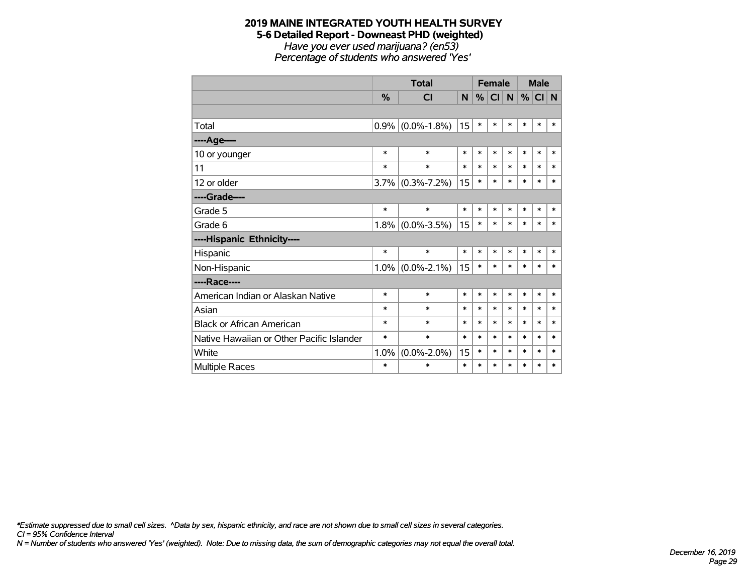#### **2019 MAINE INTEGRATED YOUTH HEALTH SURVEY 5-6 Detailed Report - Downeast PHD (weighted)** *Have you ever used marijuana? (en53) Percentage of students who answered 'Yes'*

|                                           |               | <b>Total</b>      |        |        | <b>Female</b>   |        |        |        | <b>Male</b> |  |
|-------------------------------------------|---------------|-------------------|--------|--------|-----------------|--------|--------|--------|-------------|--|
|                                           | $\frac{0}{2}$ | <b>CI</b>         | N      | %      | Cl <sub>1</sub> | N      | $\%$   | CI N   |             |  |
|                                           |               |                   |        |        |                 |        |        |        |             |  |
| Total                                     | 0.9%          | $(0.0\% - 1.8\%)$ | 15     | $\ast$ | *               | $\ast$ | *      | $\ast$ | $\ast$      |  |
| ----Age----                               |               |                   |        |        |                 |        |        |        |             |  |
| 10 or younger                             | $\ast$        | $\ast$            | $\ast$ | $\ast$ | $\ast$          | $\ast$ | $\ast$ | $\ast$ | $\ast$      |  |
| 11                                        | *             | $\ast$            | $\ast$ | $\ast$ | $\ast$          | $\ast$ | $\ast$ | *      | $\ast$      |  |
| 12 or older                               | 3.7%          | $(0.3\% - 7.2\%)$ | 15     | $\ast$ | $\ast$          | $\ast$ | $\ast$ | $\ast$ | $\ast$      |  |
| ----Grade----                             |               |                   |        |        |                 |        |        |        |             |  |
| Grade 5                                   | $\ast$        | $\ast$            | $\ast$ | $\ast$ | $\ast$          | $\ast$ | $\ast$ | $\ast$ | $\ast$      |  |
| Grade 6                                   | 1.8%          | $(0.0\% - 3.5\%)$ | 15     | $\ast$ | $\ast$          | $\ast$ | $\ast$ | $\ast$ | $\ast$      |  |
| ----Hispanic Ethnicity----                |               |                   |        |        |                 |        |        |        |             |  |
| Hispanic                                  | $\ast$        | $\ast$            | $\ast$ | $\ast$ | $\ast$          | $\ast$ | $\ast$ | $\ast$ | $\ast$      |  |
| Non-Hispanic                              | 1.0%          | $(0.0\% - 2.1\%)$ | 15     | $\ast$ | *               | *      | *      | *      | $\ast$      |  |
| ----Race----                              |               |                   |        |        |                 |        |        |        |             |  |
| American Indian or Alaskan Native         | $\ast$        | $\ast$            | $\ast$ | $\ast$ | *               | *      | *      | $\ast$ | $\ast$      |  |
| Asian                                     | $\ast$        | $\ast$            | $\ast$ | $\ast$ | $\ast$          | $\ast$ | *      | $\ast$ | $\ast$      |  |
| <b>Black or African American</b>          | $\ast$        | $\ast$            | $\ast$ | $\ast$ | $\ast$          | $\ast$ | *      | $\ast$ | $\ast$      |  |
| Native Hawaiian or Other Pacific Islander | $\ast$        | $\ast$            | $\ast$ | $\ast$ | $\ast$          | $\ast$ | $\ast$ | $\ast$ | $\ast$      |  |
| White                                     | 1.0%          | $(0.0\% - 2.0\%)$ | 15     | $\ast$ | $\ast$          | $\ast$ | *      | $\ast$ | $\ast$      |  |
| Multiple Races                            | $\ast$        | $\ast$            | $\ast$ | $\ast$ | $\ast$          | $\ast$ | *      | $\ast$ | $\ast$      |  |

*CI = 95% Confidence Interval \*Estimate suppressed due to small cell sizes. ^Data by sex, hispanic ethnicity, and race are not shown due to small cell sizes in several categories.*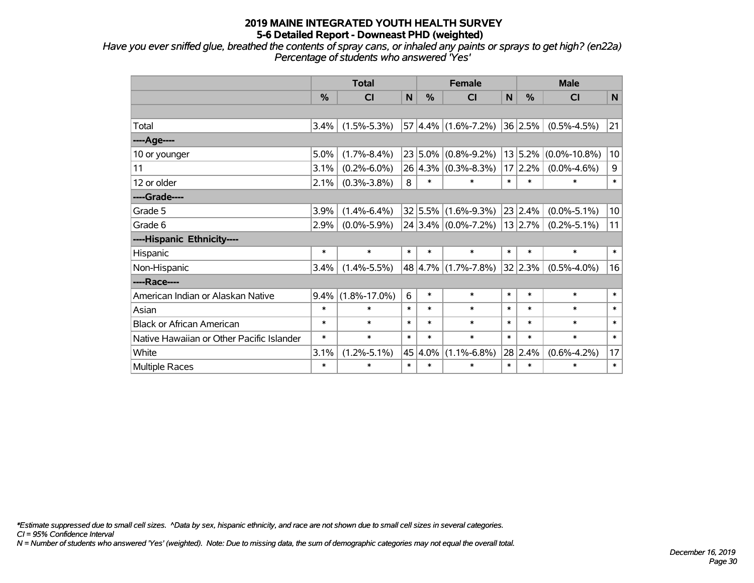*Have you ever sniffed glue, breathed the contents of spray cans, or inhaled any paints or sprays to get high? (en22a) Percentage of students who answered 'Yes'*

|                                           | <b>Total</b> |                    |              |        | <b>Female</b>               |        | <b>Male</b> |                    |                 |  |
|-------------------------------------------|--------------|--------------------|--------------|--------|-----------------------------|--------|-------------|--------------------|-----------------|--|
|                                           | %            | <b>CI</b>          | $\mathsf{N}$ | %      | <b>CI</b>                   | N      | %           | <b>CI</b>          | N               |  |
|                                           |              |                    |              |        |                             |        |             |                    |                 |  |
| Total                                     | 3.4%         | $(1.5\% - 5.3\%)$  |              |        | 57 4.4% (1.6%-7.2%) 36 2.5% |        |             | $(0.5\% - 4.5\%)$  | 21              |  |
| ---- Age----                              |              |                    |              |        |                             |        |             |                    |                 |  |
| 10 or younger                             | 5.0%         | $(1.7\% - 8.4\%)$  |              |        | $23 5.0\% $ (0.8%-9.2%)     |        | 13 5.2%     | $(0.0\% - 10.8\%)$ | 10              |  |
| 11                                        | 3.1%         | $(0.2\% - 6.0\%)$  |              |        | $26 4.3\% $ (0.3%-8.3%)     |        | 17 2.2%     | $(0.0\% - 4.6\%)$  | $\mathsf g$     |  |
| 12 or older                               | 2.1%         | $(0.3\% - 3.8\%)$  | 8            | $\ast$ | $\ast$                      | $\ast$ | $\ast$      | $\ast$             | $\ast$          |  |
| ----Grade----                             |              |                    |              |        |                             |        |             |                    |                 |  |
| Grade 5                                   | 3.9%         | $(1.4\% - 6.4\%)$  |              |        | $32 5.5\% $ (1.6%-9.3%)     |        | 23 2.4%     | $(0.0\% - 5.1\%)$  | 10 <sup>1</sup> |  |
| Grade 6                                   | 2.9%         | $(0.0\% - 5.9\%)$  |              |        | 24 3.4% (0.0%-7.2%) 13 2.7% |        |             | $(0.2\% - 5.1\%)$  | 11              |  |
| ----Hispanic Ethnicity----                |              |                    |              |        |                             |        |             |                    |                 |  |
| Hispanic                                  | $\ast$       | $\ast$             | $\ast$       | $\ast$ | $\ast$                      | $\ast$ | $\ast$      | $\ast$             | $\ast$          |  |
| Non-Hispanic                              | 3.4%         | $(1.4\% - 5.5\%)$  |              |        | 48 4.7% (1.7%-7.8%)         |        | 32 2.3%     | $(0.5\% - 4.0\%)$  | 16              |  |
| ----Race----                              |              |                    |              |        |                             |        |             |                    |                 |  |
| American Indian or Alaskan Native         | 9.4%         | $(1.8\% - 17.0\%)$ | 6            | $\ast$ | $\ast$                      | $\ast$ | $\ast$      | $\ast$             | $\ast$          |  |
| Asian                                     | $\ast$       | $\ast$             | $\ast$       | $\ast$ | $\ast$                      | $\ast$ | $\ast$      | $\ast$             | $\ast$          |  |
| <b>Black or African American</b>          | $\ast$       | $\ast$             | $\ast$       | $\ast$ | $\ast$                      | $\ast$ | $\ast$      | $\ast$             | $\ast$          |  |
| Native Hawaiian or Other Pacific Islander | $\ast$       | $\ast$             | $\ast$       | $\ast$ | $\ast$                      | $\ast$ | $\ast$      | $\ast$             | $\ast$          |  |
| White                                     | 3.1%         | $(1.2\% - 5.1\%)$  | 45           | 4.0%   | $(1.1\% - 6.8\%)$           | 28     | 2.4%        | $(0.6\% - 4.2\%)$  | 17              |  |
| Multiple Races                            | $\ast$       | $\ast$             | $\ast$       | $\ast$ | $\ast$                      | $\ast$ | $\ast$      | $\ast$             | $\ast$          |  |

*\*Estimate suppressed due to small cell sizes. ^Data by sex, hispanic ethnicity, and race are not shown due to small cell sizes in several categories.*

*CI = 95% Confidence Interval*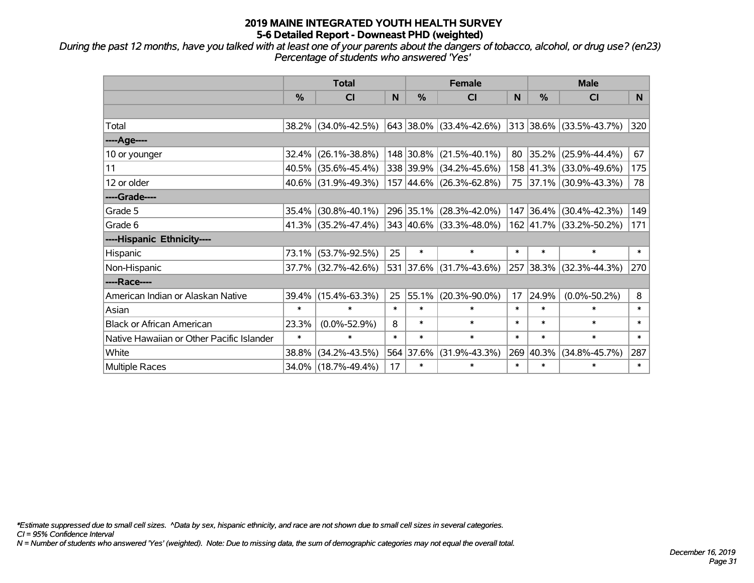*During the past 12 months, have you talked with at least one of your parents about the dangers of tobacco, alcohol, or drug use? (en23) Percentage of students who answered 'Yes'*

|                                           | <b>Total</b> |                     |        | <b>Female</b> | <b>Male</b>                              |        |           |                         |                |
|-------------------------------------------|--------------|---------------------|--------|---------------|------------------------------------------|--------|-----------|-------------------------|----------------|
|                                           | %            | <b>CI</b>           | N      | %             | C <sub>l</sub>                           | N      | %         | <b>CI</b>               | N <sub>1</sub> |
|                                           |              |                     |        |               |                                          |        |           |                         |                |
| Total                                     |              | 38.2% (34.0%-42.5%) |        |               | $643$ 38.0% (33.4%-42.6%)                |        |           | 313 38.6% (33.5%-43.7%) | 320            |
| ----Age----                               |              |                     |        |               |                                          |        |           |                         |                |
| 10 or younger                             | 32.4%        | $(26.1\% - 38.8\%)$ |        | 148 30.8%     | $(21.5\% - 40.1\%)$                      | 80     | 35.2%     | $(25.9\% - 44.4\%)$     | 67             |
| 11                                        | 40.5%        | $(35.6\% - 45.4\%)$ |        |               | 338 39.9% (34.2%-45.6%)                  |        | 158 41.3% | $(33.0\% - 49.6\%)$     | 175            |
| 12 or older                               |              | 40.6% (31.9%-49.3%) |        |               | $157 \,   44.6\% \,   (26.3\% - 62.8\%)$ |        |           | 75 37.1% (30.9%-43.3%)  | 78             |
| ----Grade----                             |              |                     |        |               |                                          |        |           |                         |                |
| Grade 5                                   | 35.4%        | $(30.8\% - 40.1\%)$ |        |               | 296 35.1% (28.3%-42.0%)                  |        | 147 36.4% | $(30.4\% - 42.3\%)$     | 149            |
| Grade 6                                   |              | 41.3% (35.2%-47.4%) |        |               | $343   40.6\%   (33.3\% - 48.0\%)$       |        |           | 162 41.7% (33.2%-50.2%) | 171            |
| ----Hispanic Ethnicity----                |              |                     |        |               |                                          |        |           |                         |                |
| Hispanic                                  | 73.1%        | $(53.7\% - 92.5\%)$ | 25     | $\ast$        | $\ast$                                   | $\ast$ | $\ast$    | $\ast$                  | $\ast$         |
| Non-Hispanic                              |              | 37.7% (32.7%-42.6%) |        | 531 37.6%     | $(31.7\% - 43.6\%)$                      |        | 257 38.3% | $(32.3\% - 44.3\%)$     | 270            |
| ----Race----                              |              |                     |        |               |                                          |        |           |                         |                |
| American Indian or Alaskan Native         | 39.4%        | $(15.4\% - 63.3\%)$ | 25     | 55.1%         | $(20.3\% - 90.0\%)$                      | 17     | 24.9%     | $(0.0\% - 50.2\%)$      | 8              |
| Asian                                     | $\ast$       | $\ast$              | $\ast$ | $\ast$        | $\ast$                                   | $\ast$ | $\ast$    | $\ast$                  | $\ast$         |
| <b>Black or African American</b>          | 23.3%        | $(0.0\% - 52.9\%)$  | 8      | $\ast$        | $\ast$                                   | $\ast$ | $\ast$    | $\ast$                  | $\ast$         |
| Native Hawaiian or Other Pacific Islander | $\ast$       | $\ast$              | $\ast$ | $\ast$        | $\ast$                                   | $\ast$ | $\ast$    | $\ast$                  | $\ast$         |
| White                                     | 38.8%        | $(34.2\% - 43.5\%)$ |        | 564 37.6%     | $(31.9\% - 43.3\%)$                      | 269    | 40.3%     | $(34.8\% - 45.7\%)$     | 287            |
| Multiple Races                            |              | 34.0% (18.7%-49.4%) | 17     | $\ast$        | $\ast$                                   | $\ast$ | $\ast$    | *                       | $\ast$         |

*\*Estimate suppressed due to small cell sizes. ^Data by sex, hispanic ethnicity, and race are not shown due to small cell sizes in several categories.*

*CI = 95% Confidence Interval*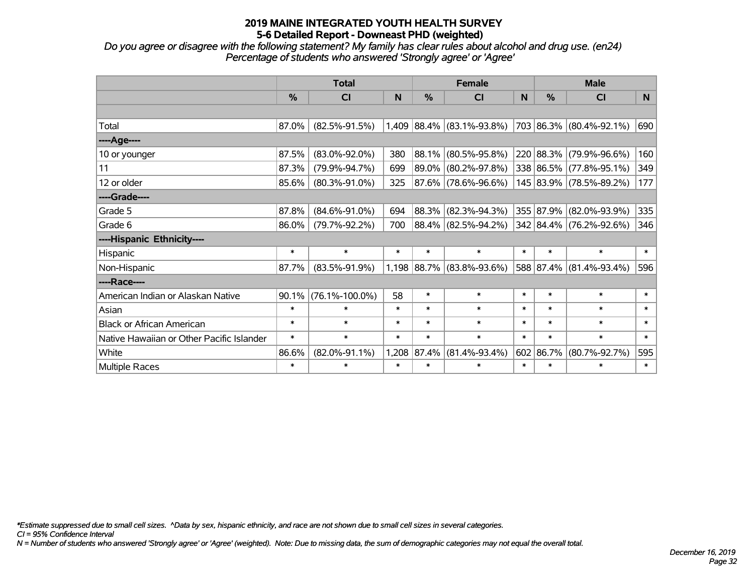*Do you agree or disagree with the following statement? My family has clear rules about alcohol and drug use. (en24) Percentage of students who answered 'Strongly agree' or 'Agree'*

|                                           | <b>Total</b> |                      |        |        | <b>Female</b>            |        | <b>Male</b>   |                         |                |  |
|-------------------------------------------|--------------|----------------------|--------|--------|--------------------------|--------|---------------|-------------------------|----------------|--|
|                                           | %            | <b>CI</b>            | N      | %      | <b>CI</b>                | N      | $\frac{9}{6}$ | <b>CI</b>               | N <sub>1</sub> |  |
|                                           |              |                      |        |        |                          |        |               |                         |                |  |
| Total                                     | 87.0%        | $(82.5\% - 91.5\%)$  | 1,409  |        | $ 88.4\% $ (83.1%-93.8%) |        |               | 703 86.3% (80.4%-92.1%) | 690            |  |
| ---- Age----                              |              |                      |        |        |                          |        |               |                         |                |  |
| 10 or younger                             | 87.5%        | $(83.0\% - 92.0\%)$  | 380    | 88.1%  | $(80.5\% - 95.8\%)$      |        | 220 88.3%     | $(79.9\% - 96.6\%)$     | 160            |  |
| 11                                        | 87.3%        | $(79.9\% - 94.7\%)$  | 699    | 89.0%  | $(80.2\% - 97.8\%)$      |        |               | 338 86.5% (77.8%-95.1%) | 349            |  |
| 12 or older                               | 85.6%        | $(80.3\% - 91.0\%)$  | 325    |        | 87.6% (78.6%-96.6%)      |        |               | 145 83.9% (78.5%-89.2%) | 177            |  |
| ----Grade----                             |              |                      |        |        |                          |        |               |                         |                |  |
| Grade 5                                   | 87.8%        | $(84.6\% - 91.0\%)$  | 694    | 88.3%  | $(82.3\% - 94.3\%)$      |        | 355 87.9%     | $(82.0\% - 93.9\%)$     | 335            |  |
| Grade 6                                   | 86.0%        | $(79.7\% - 92.2\%)$  | 700    |        | 88.4% (82.5%-94.2%)      |        |               | 342 84.4% (76.2%-92.6%) | 346            |  |
| ----Hispanic Ethnicity----                |              |                      |        |        |                          |        |               |                         |                |  |
| Hispanic                                  | $\ast$       | $\ast$               | $\ast$ | $\ast$ | $\ast$                   | $\ast$ | $\ast$        | $\ast$                  | $\ast$         |  |
| Non-Hispanic                              | 87.7%        | $(83.5\% - 91.9\%)$  | 1,198  | 88.7%  | $(83.8\% - 93.6\%)$      |        |               | 588 87.4% (81.4%-93.4%) | 596            |  |
| ----Race----                              |              |                      |        |        |                          |        |               |                         |                |  |
| American Indian or Alaskan Native         | 90.1%        | $(76.1\% - 100.0\%)$ | 58     | $\ast$ | $\ast$                   | $\ast$ | $\ast$        | $\ast$                  | $\ast$         |  |
| Asian                                     | $\ast$       | $\ast$               | $\ast$ | $\ast$ | $\ast$                   | $\ast$ | $\ast$        | $\ast$                  | $\ast$         |  |
| <b>Black or African American</b>          | $\ast$       | $\ast$               | $\ast$ | $\ast$ | $\ast$                   | $\ast$ | $\ast$        | $\ast$                  | $\ast$         |  |
| Native Hawaiian or Other Pacific Islander | $\ast$       | $\ast$               | $\ast$ | $\ast$ | $\ast$                   | $\ast$ | $\ast$        | $\ast$                  | $\ast$         |  |
| White                                     | 86.6%        | $(82.0\% - 91.1\%)$  | 1,208  | 87.4%  | $(81.4\% - 93.4\%)$      | 602    | 86.7%         | $(80.7\% - 92.7\%)$     | 595            |  |
| Multiple Races                            | $\ast$       | $\ast$               | $\ast$ | $\ast$ | $\ast$                   | $\ast$ | $\ast$        | $\ast$                  | $\ast$         |  |

*\*Estimate suppressed due to small cell sizes. ^Data by sex, hispanic ethnicity, and race are not shown due to small cell sizes in several categories.*

*CI = 95% Confidence Interval*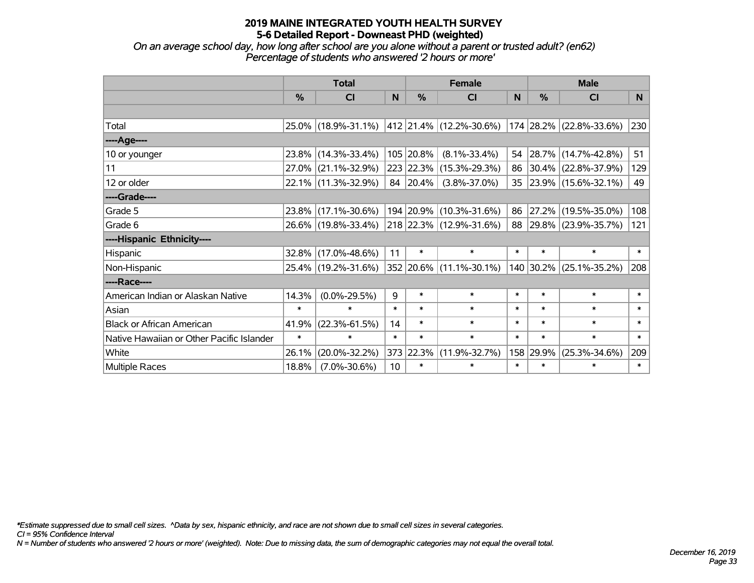*On an average school day, how long after school are you alone without a parent or trusted adult? (en62) Percentage of students who answered '2 hours or more'*

|                                           | <b>Total</b>  |                                             |        | <b>Female</b> | <b>Male</b>             |        |           |                         |          |
|-------------------------------------------|---------------|---------------------------------------------|--------|---------------|-------------------------|--------|-----------|-------------------------|----------|
|                                           | $\frac{0}{0}$ | CI                                          | N      | %             | CI                      | N      | %         | <b>CI</b>               | <b>N</b> |
|                                           |               |                                             |        |               |                         |        |           |                         |          |
| Total                                     |               | 25.0% (18.9%-31.1%) 412 21.4% (12.2%-30.6%) |        |               |                         |        |           | 174 28.2% (22.8%-33.6%) | 230      |
| ----Age----                               |               |                                             |        |               |                         |        |           |                         |          |
| 10 or younger                             | 23.8%         | $(14.3\% - 33.4\%)$                         |        | 105 20.8%     | $(8.1\% - 33.4\%)$      | 54     |           | 28.7% (14.7%-42.8%)     | 51       |
| 11                                        |               | 27.0% (21.1%-32.9%)                         |        |               | 223 22.3% (15.3%-29.3%) | 86     |           | $30.4\%$ (22.8%-37.9%)  | 129      |
| 12 or older                               |               | 22.1% (11.3%-32.9%)                         |        | 84 20.4%      | $(3.8\% - 37.0\%)$      |        |           | 35 23.9% (15.6%-32.1%)  | 49       |
| ----Grade----                             |               |                                             |        |               |                         |        |           |                         |          |
| Grade 5                                   |               | 23.8% (17.1%-30.6%)                         |        |               | 194 20.9% (10.3%-31.6%) | 86     | 27.2%     | $(19.5\% - 35.0\%)$     | 108      |
| Grade 6                                   |               | 26.6% (19.8%-33.4%)                         |        |               | 218 22.3% (12.9%-31.6%) |        |           | 88 29.8% (23.9%-35.7%)  | 121      |
| ----Hispanic Ethnicity----                |               |                                             |        |               |                         |        |           |                         |          |
| Hispanic                                  | $32.8\%$      | $(17.0\% - 48.6\%)$                         | 11     | $\ast$        | $\ast$                  | $\ast$ | $\ast$    | $\ast$                  | $\ast$   |
| Non-Hispanic                              |               | 25.4% (19.2%-31.6%)                         |        |               | 352 20.6% (11.1%-30.1%) |        | 140 30.2% | $(25.1\% - 35.2\%)$     | 208      |
| ----Race----                              |               |                                             |        |               |                         |        |           |                         |          |
| American Indian or Alaskan Native         | 14.3%         | $(0.0\% - 29.5\%)$                          | 9      | $\ast$        | $\ast$                  | $\ast$ | $\ast$    | $\ast$                  | $\ast$   |
| Asian                                     | $\ast$        | $\ast$                                      | $\ast$ | $\ast$        | $\ast$                  | $\ast$ | $\ast$    | $\ast$                  | $\ast$   |
| <b>Black or African American</b>          | 41.9%         | $(22.3\% - 61.5\%)$                         | 14     | $\ast$        | $\ast$                  | $\ast$ | $\ast$    | $\ast$                  | $\ast$   |
| Native Hawaiian or Other Pacific Islander | $\ast$        | $\ast$                                      | $\ast$ | $\ast$        | $\ast$                  | $\ast$ | $\ast$    | $\ast$                  | $\ast$   |
| White                                     | 26.1%         | $(20.0\% - 32.2\%)$                         | 373    | 22.3%         | $(11.9\% - 32.7\%)$     | 158    | 29.9%     | $(25.3\% - 34.6\%)$     | 209      |
| <b>Multiple Races</b>                     | 18.8%         | $(7.0\% - 30.6\%)$                          | 10     | $\ast$        | $\ast$                  | $\ast$ | $\ast$    | *                       | $\ast$   |

*\*Estimate suppressed due to small cell sizes. ^Data by sex, hispanic ethnicity, and race are not shown due to small cell sizes in several categories.*

*CI = 95% Confidence Interval*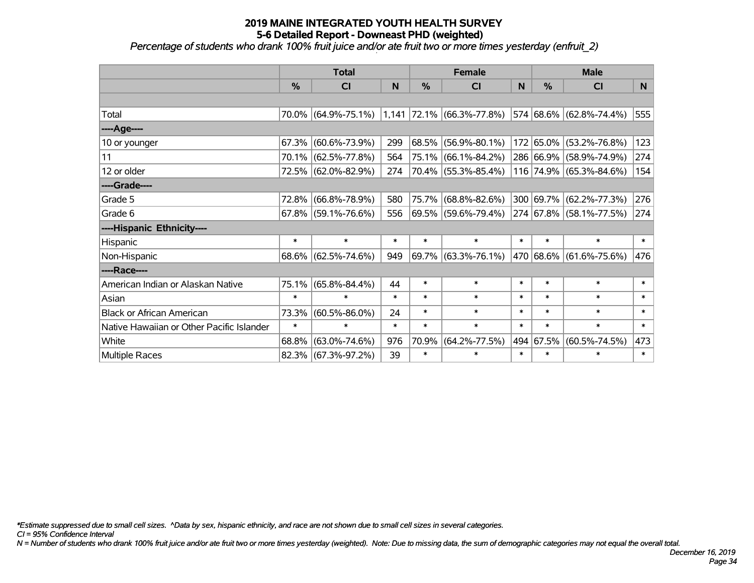*Percentage of students who drank 100% fruit juice and/or ate fruit two or more times yesterday (enfruit\_2)*

|                                           | <b>Total</b>  |                        |        |        | <b>Female</b>               |        | <b>Male</b>   |                         |        |  |
|-------------------------------------------|---------------|------------------------|--------|--------|-----------------------------|--------|---------------|-------------------------|--------|--|
|                                           | $\frac{0}{0}$ | <b>CI</b>              | N      | $\%$   | CI                          | N      | $\frac{0}{0}$ | <b>CI</b>               | N.     |  |
|                                           |               |                        |        |        |                             |        |               |                         |        |  |
| Total                                     |               | 70.0% (64.9%-75.1%)    |        |        | $1,141$ 72.1% (66.3%-77.8%) |        |               | 574 68.6% (62.8%-74.4%) | 555    |  |
| ----Age----                               |               |                        |        |        |                             |        |               |                         |        |  |
| 10 or younger                             | 67.3%         | $(60.6\% - 73.9\%)$    | 299    | 68.5%  | $(56.9\% - 80.1\%)$         |        | 172 65.0%     | $(53.2\% - 76.8\%)$     | 123    |  |
| 11                                        |               | 70.1% (62.5%-77.8%)    | 564    | 75.1%  | $(66.1\% - 84.2\%)$         |        |               | 286 66.9% (58.9%-74.9%) | 274    |  |
| 12 or older                               |               | 72.5% (62.0%-82.9%)    | 274    |        | 70.4% (55.3%-85.4%)         |        |               | 116 74.9% (65.3%-84.6%) | 154    |  |
| ----Grade----                             |               |                        |        |        |                             |        |               |                         |        |  |
| Grade 5                                   | 72.8%         | $(66.8\% - 78.9\%)$    | 580    | 75.7%  | $(68.8\% - 82.6\%)$         |        |               | 300 69.7% (62.2%-77.3%) | 276    |  |
| Grade 6                                   |               | $67.8\%$ (59.1%-76.6%) | 556    |        | 69.5% (59.6%-79.4%)         |        |               | 274 67.8% (58.1%-77.5%) | 274    |  |
| ----Hispanic Ethnicity----                |               |                        |        |        |                             |        |               |                         |        |  |
| Hispanic                                  | $\ast$        | $\ast$                 | $\ast$ | $\ast$ | $\ast$                      | $\ast$ | $\ast$        | $\ast$                  | $\ast$ |  |
| Non-Hispanic                              |               | 68.6% (62.5%-74.6%)    | 949    |        | $69.7\%$ (63.3%-76.1%)      |        |               | 470 68.6% (61.6%-75.6%) | 476    |  |
| ----Race----                              |               |                        |        |        |                             |        |               |                         |        |  |
| American Indian or Alaskan Native         | 75.1%         | $(65.8\% - 84.4\%)$    | 44     | $\ast$ | $\ast$                      | $\ast$ | $\ast$        | $\ast$                  | $\ast$ |  |
| Asian                                     | $\ast$        | $\ast$                 | $\ast$ | $\ast$ | $\ast$                      | $\ast$ | $\ast$        | $\ast$                  | $\ast$ |  |
| <b>Black or African American</b>          | 73.3%         | $(60.5\% - 86.0\%)$    | 24     | $\ast$ | $\ast$                      | $\ast$ | $\ast$        | $\ast$                  | $\ast$ |  |
| Native Hawaiian or Other Pacific Islander | $\ast$        | $\ast$                 | $\ast$ | $\ast$ | $\ast$                      | $\ast$ | $\ast$        | $\ast$                  | $\ast$ |  |
| White                                     | 68.8%         | $(63.0\% - 74.6\%)$    | 976    | 70.9%  | $(64.2\% - 77.5\%)$         |        | 494 67.5%     | $(60.5\% - 74.5\%)$     | 473    |  |
| <b>Multiple Races</b>                     |               | 82.3% (67.3%-97.2%)    | 39     | $\ast$ | $\ast$                      | $\ast$ | $\ast$        | $\ast$                  | $\ast$ |  |

*\*Estimate suppressed due to small cell sizes. ^Data by sex, hispanic ethnicity, and race are not shown due to small cell sizes in several categories.*

*CI = 95% Confidence Interval*

*N = Number of students who drank 100% fruit juice and/or ate fruit two or more times yesterday (weighted). Note: Due to missing data, the sum of demographic categories may not equal the overall total.*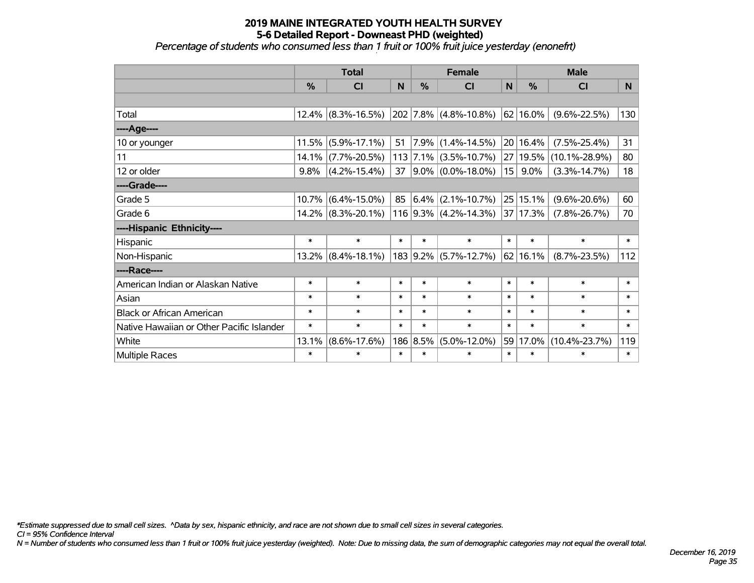#### **2019 MAINE INTEGRATED YOUTH HEALTH SURVEY 5-6 Detailed Report - Downeast PHD (weighted)** *Percentage of students who consumed less than 1 fruit or 100% fruit juice yesterday (enonefrt)*

|                                           | <b>Total</b>  |                       |        |               | <b>Female</b>           |              | <b>Male</b>   |                     |        |  |
|-------------------------------------------|---------------|-----------------------|--------|---------------|-------------------------|--------------|---------------|---------------------|--------|--|
|                                           | $\frac{0}{0}$ | <b>CI</b>             | N      | $\frac{0}{0}$ | <b>CI</b>               | $\mathsf{N}$ | %             | <b>CI</b>           | N.     |  |
|                                           |               |                       |        |               |                         |              |               |                     |        |  |
| Total                                     |               | $12.4\%$ (8.3%-16.5%) |        |               | $202$ 7.8% (4.8%-10.8%) |              | $ 62 16.0\% $ | $(9.6\% - 22.5\%)$  | 130    |  |
| ----Age----                               |               |                       |        |               |                         |              |               |                     |        |  |
| 10 or younger                             | 11.5%         | $(5.9\% - 17.1\%)$    | 51     | $ 7.9\% $     | $(1.4\% - 14.5\%)$      |              | 20 16.4%      | $(7.5\% - 25.4\%)$  | 31     |  |
| 11                                        | 14.1%         | $(7.7\% - 20.5\%)$    |        |               | $113$ 7.1% (3.5%-10.7%) |              | 27 19.5%      | $(10.1\% - 28.9\%)$ | 80     |  |
| 12 or older                               | 9.8%          | $(4.2\% - 15.4\%)$    | 37     |               | $ 9.0\% $ (0.0%-18.0%)  | 15           | 9.0%          | $(3.3\% - 14.7\%)$  | 18     |  |
| ----Grade----                             |               |                       |        |               |                         |              |               |                     |        |  |
| Grade 5                                   | 10.7%         | $(6.4\% - 15.0\%)$    | 85     |               | $ 6.4\% $ (2.1%-10.7%)  |              | 25 15.1%      | $(9.6\% - 20.6\%)$  | 60     |  |
| Grade 6                                   |               | $14.2\%$ (8.3%-20.1%) |        |               | $116$ 9.3% (4.2%-14.3%) |              | 37 17.3%      | $(7.8\% - 26.7\%)$  | 70     |  |
| ----Hispanic Ethnicity----                |               |                       |        |               |                         |              |               |                     |        |  |
| Hispanic                                  | $\ast$        | $\ast$                | $\ast$ | $\ast$        | $\ast$                  | $\ast$       | $\ast$        | $\ast$              | $\ast$ |  |
| Non-Hispanic                              | 13.2%         | $(8.4\% - 18.1\%)$    |        |               | $183$ 9.2% (5.7%-12.7%) |              | 62 16.1%      | $(8.7\% - 23.5\%)$  | 112    |  |
| ----Race----                              |               |                       |        |               |                         |              |               |                     |        |  |
| American Indian or Alaskan Native         | $\ast$        | $\ast$                | $\ast$ | $\ast$        | $\ast$                  | $\ast$       | $\ast$        | $\ast$              | $\ast$ |  |
| Asian                                     | $\ast$        | $\ast$                | $\ast$ | $\ast$        | $\ast$                  | $\ast$       | $\ast$        | $\ast$              | $\ast$ |  |
| <b>Black or African American</b>          | $\ast$        | $\ast$                | $\ast$ | $\ast$        | $\ast$                  | $\ast$       | $\ast$        | $\ast$              | $\ast$ |  |
| Native Hawaiian or Other Pacific Islander | $\ast$        | $\ast$                | $\ast$ | $\ast$        | $\ast$                  | $\ast$       | $\ast$        | $\ast$              | $\ast$ |  |
| White                                     | 13.1%         | $(8.6\% - 17.6\%)$    |        | 186 8.5%      | $(5.0\% - 12.0\%)$      | 59           |               | 17.0% (10.4%-23.7%) | 119    |  |
| <b>Multiple Races</b>                     | $\ast$        | $\ast$                | $\ast$ | $\ast$        | $\ast$                  | $\ast$       | $\ast$        | $\ast$              | $\ast$ |  |

*\*Estimate suppressed due to small cell sizes. ^Data by sex, hispanic ethnicity, and race are not shown due to small cell sizes in several categories.*

*CI = 95% Confidence Interval*

*N = Number of students who consumed less than 1 fruit or 100% fruit juice yesterday (weighted). Note: Due to missing data, the sum of demographic categories may not equal the overall total.*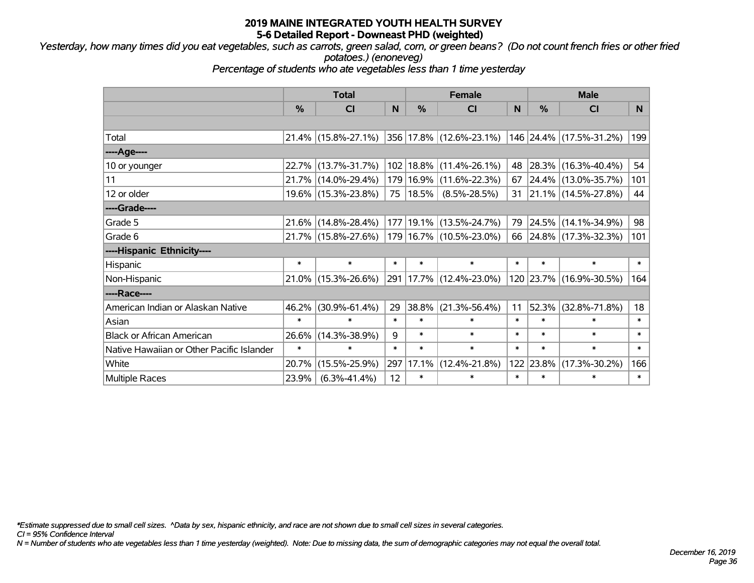*Yesterday, how many times did you eat vegetables, such as carrots, green salad, corn, or green beans? (Do not count french fries or other fried potatoes.) (enoneveg)*

*Percentage of students who ate vegetables less than 1 time yesterday*

|                                           | <b>Total</b>  |                        |        | <b>Female</b> | <b>Male</b>                 |        |               |                          |        |
|-------------------------------------------|---------------|------------------------|--------|---------------|-----------------------------|--------|---------------|--------------------------|--------|
|                                           | $\frac{0}{0}$ | <b>CI</b>              | N      | %             | <b>CI</b>                   | N      | $\frac{0}{0}$ | <b>CI</b>                | N.     |
|                                           |               |                        |        |               |                             |        |               |                          |        |
| Total                                     |               | $21.4\%$ (15.8%-27.1%) |        |               | 356 17.8% (12.6%-23.1%)     |        |               | 146 24.4% (17.5%-31.2%)  | 199    |
| ----Age----                               |               |                        |        |               |                             |        |               |                          |        |
| 10 or younger                             | 22.7%         | $(13.7\% - 31.7\%)$    |        |               | 102   18.8%   (11.4%-26.1%) | 48     | 28.3%         | $(16.3\% - 40.4\%)$      | 54     |
| 11                                        |               | 21.7% (14.0%-29.4%)    |        |               | 179   16.9%   (11.6%-22.3%) | 67     |               | $ 24.4\% $ (13.0%-35.7%) | 101    |
| 12 or older                               |               | 19.6% (15.3%-23.8%)    |        | 75   18.5%    | $(8.5\% - 28.5\%)$          |        |               | 31 21.1% (14.5%-27.8%)   | 44     |
| ----Grade----                             |               |                        |        |               |                             |        |               |                          |        |
| Grade 5                                   | 21.6%         | $(14.8\% - 28.4\%)$    |        | 177 19.1%     | $(13.5\% - 24.7\%)$         | 79     | 24.5%         | $(14.1\% - 34.9\%)$      | 98     |
| Grade 6                                   |               | 21.7% (15.8%-27.6%)    |        |               | 179   16.7%   (10.5%-23.0%) |        |               | 66 24.8% (17.3%-32.3%)   | 101    |
| ----Hispanic Ethnicity----                |               |                        |        |               |                             |        |               |                          |        |
| Hispanic                                  | $\ast$        | $\ast$                 | $\ast$ | $\ast$        | $\ast$                      | $\ast$ | $\ast$        | $\ast$                   | $\ast$ |
| Non-Hispanic                              |               | 21.0% (15.3%-26.6%)    |        |               | 291   17.7%   (12.4%-23.0%) |        |               | 120 23.7% (16.9%-30.5%)  | 164    |
| ----Race----                              |               |                        |        |               |                             |        |               |                          |        |
| American Indian or Alaskan Native         | 46.2%         | $(30.9\% - 61.4\%)$    | 29     | 38.8%         | $(21.3\% - 56.4\%)$         | 11     | 52.3%         | $(32.8\% - 71.8\%)$      | 18     |
| Asian                                     | $\ast$        | $\ast$                 | $\ast$ | $\ast$        | $\ast$                      | $\ast$ | $\ast$        | $\ast$                   | $\ast$ |
| <b>Black or African American</b>          | 26.6%         | $(14.3\% - 38.9\%)$    | 9      | $\ast$        | $\ast$                      | $\ast$ | $\ast$        | $\ast$                   | $\ast$ |
| Native Hawaiian or Other Pacific Islander | $\ast$        | $\ast$                 | $\ast$ | $\ast$        | $\ast$                      | $\ast$ | $\ast$        | $\ast$                   | $\ast$ |
| White                                     | 20.7%         | $(15.5\% - 25.9\%)$    | 297    | 17.1%         | $(12.4\% - 21.8\%)$         | 122    | 23.8%         | $(17.3\% - 30.2\%)$      | 166    |
| <b>Multiple Races</b>                     | 23.9%         | $(6.3\% - 41.4\%)$     | 12     | $\ast$        | $\ast$                      | $\ast$ | $\ast$        | $\ast$                   | $\ast$ |

*\*Estimate suppressed due to small cell sizes. ^Data by sex, hispanic ethnicity, and race are not shown due to small cell sizes in several categories.*

*CI = 95% Confidence Interval*

*N = Number of students who ate vegetables less than 1 time yesterday (weighted). Note: Due to missing data, the sum of demographic categories may not equal the overall total.*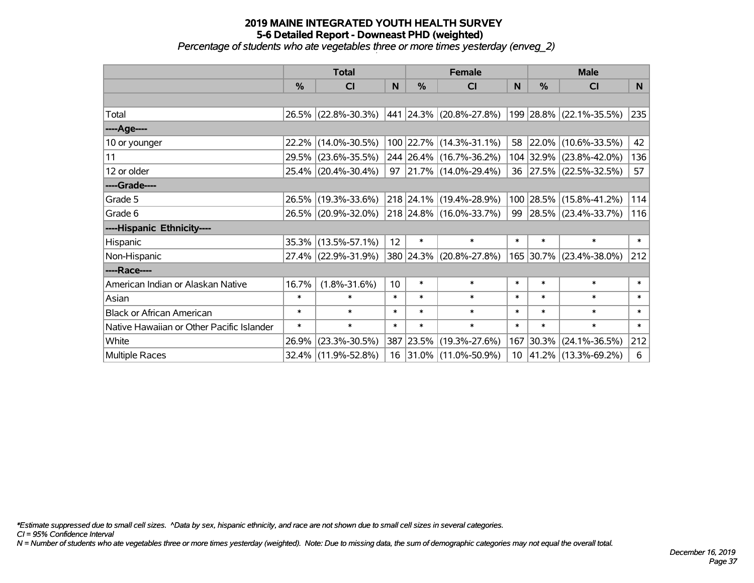*Percentage of students who ate vegetables three or more times yesterday (enveg\_2)*

|                                           | <b>Total</b>  |                     |        |            | <b>Female</b>           | <b>Male</b>     |        |                         |        |
|-------------------------------------------|---------------|---------------------|--------|------------|-------------------------|-----------------|--------|-------------------------|--------|
|                                           | $\frac{0}{0}$ | C <sub>l</sub>      | N      | %          | <b>CI</b>               | N               | %      | <b>CI</b>               | N      |
|                                           |               |                     |        |            |                         |                 |        |                         |        |
| Total                                     |               | 26.5% (22.8%-30.3%) |        |            | 441 24.3% (20.8%-27.8%) |                 |        | 199 28.8% (22.1%-35.5%) | 235    |
| ----Age----                               |               |                     |        |            |                         |                 |        |                         |        |
| 10 or younger                             | 22.2%         | $(14.0\% - 30.5\%)$ |        |            | 100 22.7% (14.3%-31.1%) | 58              |        | 22.0% (10.6%-33.5%)     | 42     |
| 11                                        | 29.5%         | $(23.6\% - 35.5\%)$ |        |            | 244 26.4% (16.7%-36.2%) |                 |        | 104 32.9% (23.8%-42.0%) | 136    |
| 12 or older                               |               | 25.4% (20.4%-30.4%) |        |            | 97 21.7% (14.0%-29.4%)  |                 |        | 36 27.5% (22.5%-32.5%)  | 57     |
| ----Grade----                             |               |                     |        |            |                         |                 |        |                         |        |
| Grade 5                                   | 26.5%         | $(19.3\% - 33.6\%)$ |        |            | 218 24.1% (19.4%-28.9%) |                 |        | 100 28.5% (15.8%-41.2%) | 114    |
| Grade 6                                   |               | 26.5% (20.9%-32.0%) |        |            | 218 24.8% (16.0%-33.7%) | 99              |        | 28.5% (23.4%-33.7%)     | 116    |
| ----Hispanic Ethnicity----                |               |                     |        |            |                         |                 |        |                         |        |
| Hispanic                                  | 35.3%         | $(13.5\% - 57.1\%)$ | 12     | $\ast$     | $\ast$                  | $\ast$          | $\ast$ | $\ast$                  | $\ast$ |
| Non-Hispanic                              |               | 27.4% (22.9%-31.9%) |        |            | 380 24.3% (20.8%-27.8%) |                 |        | 165 30.7% (23.4%-38.0%) | 212    |
| ----Race----                              |               |                     |        |            |                         |                 |        |                         |        |
| American Indian or Alaskan Native         | 16.7%         | $(1.8\% - 31.6\%)$  | 10     | $\ast$     | $\ast$                  | $\ast$          | $\ast$ | $\ast$                  | $\ast$ |
| Asian                                     | $\ast$        | $\ast$              | $\ast$ | $\ast$     | $\ast$                  | $\ast$          | $\ast$ | $\ast$                  | $\ast$ |
| <b>Black or African American</b>          | $\ast$        | $\ast$              | $\ast$ | $\ast$     | $\ast$                  | $\ast$          | $\ast$ | $\ast$                  | $\ast$ |
| Native Hawaiian or Other Pacific Islander | $\ast$        | $\ast$              | $\ast$ | $\ast$     | $\ast$                  | $\ast$          | $\ast$ | $\ast$                  | $\ast$ |
| White                                     | 26.9%         | $(23.3\% - 30.5\%)$ | 387    | $ 23.5\% $ | $(19.3\% - 27.6\%)$     | 167             | 30.3%  | $(24.1\% - 36.5\%)$     | 212    |
| <b>Multiple Races</b>                     |               | 32.4% (11.9%-52.8%) |        |            | 16 31.0% (11.0%-50.9%)  | 10 <sup>1</sup> |        | 41.2% (13.3%-69.2%)     | 6      |

*\*Estimate suppressed due to small cell sizes. ^Data by sex, hispanic ethnicity, and race are not shown due to small cell sizes in several categories.*

*CI = 95% Confidence Interval*

*N = Number of students who ate vegetables three or more times yesterday (weighted). Note: Due to missing data, the sum of demographic categories may not equal the overall total.*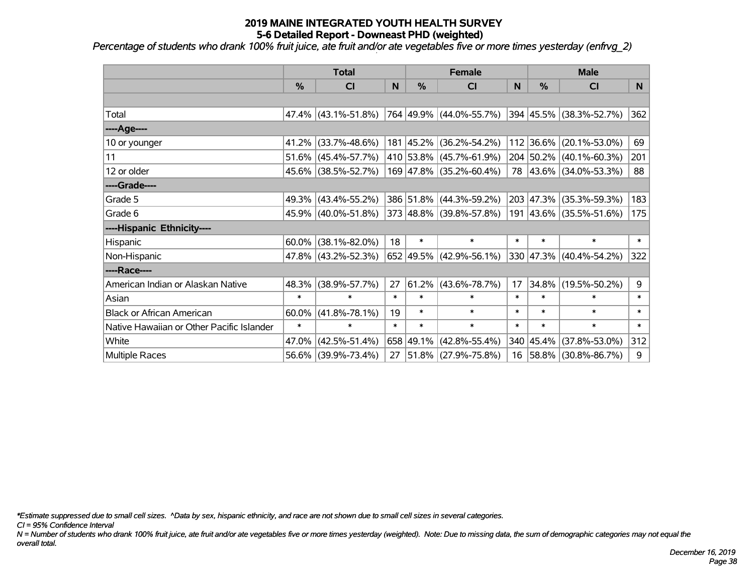*Percentage of students who drank 100% fruit juice, ate fruit and/or ate vegetables five or more times yesterday (enfrvg\_2)*

|                                           | <b>Total</b> |                        |        | <b>Female</b> | <b>Male</b>               |        |           |                         |                |
|-------------------------------------------|--------------|------------------------|--------|---------------|---------------------------|--------|-----------|-------------------------|----------------|
|                                           | %            | <b>CI</b>              | N      | %             | <b>CI</b>                 | N      | %         | <b>CI</b>               | N <sub>1</sub> |
|                                           |              |                        |        |               |                           |        |           |                         |                |
| Total                                     |              | $47.4\%$ (43.1%-51.8%) |        |               | 764 49.9% (44.0%-55.7%)   |        |           | 394 45.5% (38.3%-52.7%) | 362            |
| ---- Age----                              |              |                        |        |               |                           |        |           |                         |                |
| 10 or younger                             | 41.2%        | $(33.7\% - 48.6\%)$    |        | 181 45.2%     | $(36.2\% - 54.2\%)$       |        | 112 36.6% | $(20.1\% - 53.0\%)$     | 69             |
| 11                                        | 51.6%        | $(45.4\% - 57.7\%)$    |        |               | 410 53.8% (45.7%-61.9%)   |        | 204 50.2% | $(40.1\% - 60.3\%)$     | 201            |
| 12 or older                               |              | 45.6% (38.5%-52.7%)    |        |               | $169$ 47.8% (35.2%-60.4%) |        |           | 78 43.6% (34.0%-53.3%)  | 88             |
| ----Grade----                             |              |                        |        |               |                           |        |           |                         |                |
| Grade 5                                   | 49.3%        | $(43.4\% - 55.2\%)$    |        | 386 51.8%     | $(44.3\% - 59.2\%)$       |        | 203 47.3% | $(35.3\% - 59.3\%)$     | 183            |
| Grade 6                                   |              | 45.9% (40.0%-51.8%)    |        |               | 373 48.8% (39.8%-57.8%)   |        |           | 191 43.6% (35.5%-51.6%) | 175            |
| ----Hispanic Ethnicity----                |              |                        |        |               |                           |        |           |                         |                |
| Hispanic                                  | 60.0%        | $(38.1\% - 82.0\%)$    | 18     | $\ast$        | $\ast$                    | $\ast$ | $\ast$    | $\ast$                  | $\ast$         |
| Non-Hispanic                              |              | 47.8% (43.2%-52.3%)    |        |               | 652 49.5% (42.9%-56.1%)   |        | 330 47.3% | $(40.4\% - 54.2\%)$     | 322            |
| ----Race----                              |              |                        |        |               |                           |        |           |                         |                |
| American Indian or Alaskan Native         | 48.3%        | $(38.9\% - 57.7\%)$    | 27     | 61.2%         | $(43.6\% - 78.7\%)$       | 17     | 34.8%     | $(19.5\% - 50.2\%)$     | 9              |
| Asian                                     | $\ast$       | $\ast$                 | $\ast$ | $\ast$        | $\ast$                    | $\ast$ | $\ast$    | $\ast$                  | $\ast$         |
| <b>Black or African American</b>          | 60.0%        | $(41.8\% - 78.1\%)$    | 19     | $\ast$        | $\ast$                    | $\ast$ | $\ast$    | $\ast$                  | $\ast$         |
| Native Hawaiian or Other Pacific Islander | $\ast$       | $\ast$                 | $\ast$ | $\ast$        | $\ast$                    | $\ast$ | $\ast$    | $\ast$                  | $\ast$         |
| White                                     | 47.0%        | $(42.5\% - 51.4\%)$    |        | 658 49.1%     | $(42.8\% - 55.4\%)$       |        | 340 45.4% | $(37.8\% - 53.0\%)$     | 312            |
| Multiple Races                            |              | 56.6% (39.9%-73.4%)    | 27     |               | $ 51.8\% $ (27.9%-75.8%)  |        | 16 58.8%  | $(30.8\% - 86.7\%)$     | 9              |

*\*Estimate suppressed due to small cell sizes. ^Data by sex, hispanic ethnicity, and race are not shown due to small cell sizes in several categories.*

*CI = 95% Confidence Interval*

*N = Number of students who drank 100% fruit juice, ate fruit and/or ate vegetables five or more times yesterday (weighted). Note: Due to missing data, the sum of demographic categories may not equal the overall total.*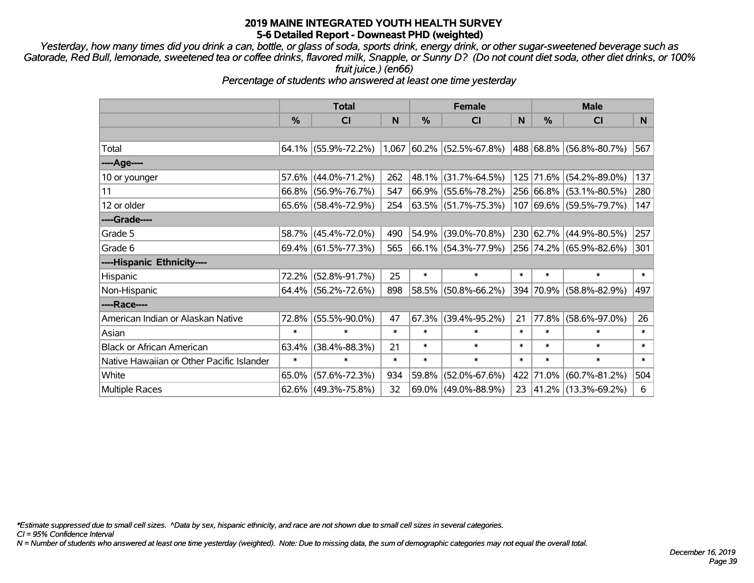*Yesterday, how many times did you drink a can, bottle, or glass of soda, sports drink, energy drink, or other sugar-sweetened beverage such as Gatorade, Red Bull, lemonade, sweetened tea or coffee drinks, flavored milk, Snapple, or Sunny D? (Do not count diet soda, other diet drinks, or 100% fruit juice.) (en66)*

*Percentage of students who answered at least one time yesterday*

|                                           | <b>Total</b> |                        |        |               | <b>Female</b>               |        | <b>Male</b>   |                         |        |  |
|-------------------------------------------|--------------|------------------------|--------|---------------|-----------------------------|--------|---------------|-------------------------|--------|--|
|                                           | %            | CI                     | N      | $\frac{0}{0}$ | <b>CI</b>                   | N      | $\frac{0}{0}$ | <b>CI</b>               | N      |  |
|                                           |              |                        |        |               |                             |        |               |                         |        |  |
| Total                                     |              | $64.1\%$ (55.9%-72.2%) |        |               | $1,067$ 60.2% (52.5%-67.8%) |        |               | 488 68.8% (56.8%-80.7%) | 567    |  |
| ----Age----                               |              |                        |        |               |                             |        |               |                         |        |  |
| 10 or younger                             | 57.6%        | $(44.0\% - 71.2\%)$    | 262    | 48.1%         | $(31.7\% - 64.5\%)$         |        |               | 125 71.6% (54.2%-89.0%) | 137    |  |
| 11                                        |              | 66.8% (56.9%-76.7%)    | 547    |               | 66.9% (55.6%-78.2%)         |        |               | 256 66.8% (53.1%-80.5%) | 280    |  |
| 12 or older                               |              | $65.6\%$ (58.4%-72.9%) | 254    |               | 63.5% (51.7%-75.3%)         |        |               | 107 69.6% (59.5%-79.7%) | 147    |  |
| ----Grade----                             |              |                        |        |               |                             |        |               |                         |        |  |
| Grade 5                                   | 58.7%        | $(45.4\% - 72.0\%)$    | 490    | 54.9%         | $(39.0\% - 70.8\%)$         |        |               | 230 62.7% (44.9%-80.5%) | 257    |  |
| Grade 6                                   |              | $69.4\%$ (61.5%-77.3%) | 565    |               | 66.1% (54.3%-77.9%)         |        |               | 256 74.2% (65.9%-82.6%) | 301    |  |
| ----Hispanic Ethnicity----                |              |                        |        |               |                             |        |               |                         |        |  |
| Hispanic                                  | 72.2%        | $(52.8\% - 91.7\%)$    | 25     | $\ast$        | $\ast$                      | $\ast$ | $\ast$        | $\ast$                  | $\ast$ |  |
| Non-Hispanic                              |              | 64.4% (56.2%-72.6%)    | 898    | 58.5%         | $(50.8\% - 66.2\%)$         |        |               | 394 70.9% (58.8%-82.9%) | 497    |  |
| ----Race----                              |              |                        |        |               |                             |        |               |                         |        |  |
| American Indian or Alaskan Native         | 72.8%        | $(55.5\% - 90.0\%)$    | 47     | 67.3%         | $(39.4\% - 95.2\%)$         | 21     | 77.8%         | $(58.6\% - 97.0\%)$     | 26     |  |
| Asian                                     | $\ast$       | $\ast$                 | $\ast$ | $\ast$        | $\ast$                      | $\ast$ | $\ast$        | $\ast$                  | $\ast$ |  |
| <b>Black or African American</b>          | 63.4%        | $(38.4\% - 88.3\%)$    | 21     | $\ast$        | $\ast$                      | $\ast$ | $\ast$        | $\ast$                  | $\ast$ |  |
| Native Hawaiian or Other Pacific Islander | $\ast$       | $\ast$                 | $\ast$ | $\ast$        | $\ast$                      | $\ast$ | $\ast$        | $\ast$                  | $\ast$ |  |
| White                                     | 65.0%        | $(57.6\% - 72.3\%)$    | 934    | 59.8%         | $(52.0\% - 67.6\%)$         | 422    | 71.0%         | $(60.7\% - 81.2\%)$     | 504    |  |
| <b>Multiple Races</b>                     | $62.6\%$     | $(49.3\% - 75.8\%)$    | 32     | 69.0%         | $(49.0\% - 88.9\%)$         | 23     |               | 41.2%  (13.3%-69.2%)    | 6      |  |

*\*Estimate suppressed due to small cell sizes. ^Data by sex, hispanic ethnicity, and race are not shown due to small cell sizes in several categories.*

*CI = 95% Confidence Interval*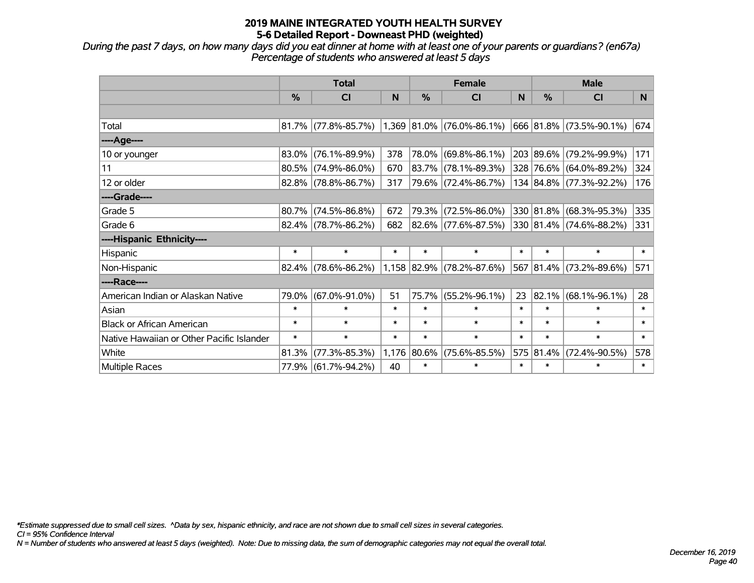*During the past 7 days, on how many days did you eat dinner at home with at least one of your parents or guardians? (en67a) Percentage of students who answered at least 5 days*

|                                           | <b>Total</b>  |                        | <b>Female</b> |             |                             | <b>Male</b> |               |                         |        |
|-------------------------------------------|---------------|------------------------|---------------|-------------|-----------------------------|-------------|---------------|-------------------------|--------|
|                                           | $\frac{0}{0}$ | <b>CI</b>              | N             | %           | <b>CI</b>                   | N           | $\frac{0}{0}$ | <b>CI</b>               | N.     |
|                                           |               |                        |               |             |                             |             |               |                         |        |
| Total                                     |               | $81.7\%$ (77.8%-85.7%) |               |             | $1,369$ 81.0% (76.0%-86.1%) |             |               | 666 81.8% (73.5%-90.1%) | 674    |
| ----Age----                               |               |                        |               |             |                             |             |               |                         |        |
| 10 or younger                             | 83.0%         | $(76.1\% - 89.9\%)$    | 378           | 78.0%       | $(69.8\% - 86.1\%)$         |             |               | 203 89.6% (79.2%-99.9%) | 171    |
| 11                                        |               | $80.5\%$ (74.9%-86.0%) | 670           | 83.7%       | $(78.1\% - 89.3\%)$         |             |               | 328 76.6% (64.0%-89.2%) | 324    |
| 12 or older                               |               | 82.8% (78.8%-86.7%)    | 317           |             | 79.6% (72.4%-86.7%)         |             |               | 134 84.8% (77.3%-92.2%) | 176    |
| ----Grade----                             |               |                        |               |             |                             |             |               |                         |        |
| Grade 5                                   |               | $80.7\%$ (74.5%-86.8%) | 672           | 79.3%       | $(72.5\% - 86.0\%)$         |             |               | 330 81.8% (68.3%-95.3%) | 335    |
| Grade 6                                   |               | $82.4\%$ (78.7%-86.2%) | 682           |             | 82.6% (77.6%-87.5%)         |             |               | 330 81.4% (74.6%-88.2%) | 331    |
| ----Hispanic Ethnicity----                |               |                        |               |             |                             |             |               |                         |        |
| Hispanic                                  | $\ast$        | $\ast$                 | *             | $\ast$      | $\ast$                      | $\ast$      | $\ast$        | $\ast$                  | $\ast$ |
| Non-Hispanic                              |               | $82.4\%$ (78.6%-86.2%) |               |             | $1,158$ 82.9% (78.2%-87.6%) |             |               | 567 81.4% (73.2%-89.6%) | 571    |
| ----Race----                              |               |                        |               |             |                             |             |               |                         |        |
| American Indian or Alaskan Native         | 79.0%         | $(67.0\% - 91.0\%)$    | 51            | 75.7%       | $(55.2\% - 96.1\%)$         | 23          | 82.1%         | $(68.1\% - 96.1\%)$     | 28     |
| Asian                                     | $\ast$        | $\ast$                 | $\ast$        | $\ast$      | $\ast$                      | $\ast$      | $\ast$        | $\ast$                  | $\ast$ |
| <b>Black or African American</b>          | $\ast$        | $\ast$                 | *             | $\ast$      | $\ast$                      | $\ast$      | $\ast$        | $\ast$                  | $\ast$ |
| Native Hawaiian or Other Pacific Islander | $\ast$        | $\ast$                 | $\ast$        | $\ast$      | $\ast$                      | $\ast$      | $\ast$        | $\ast$                  | $\ast$ |
| White                                     | 81.3%         | $(77.3\% - 85.3\%)$    |               | 1,176 80.6% | $(75.6\% - 85.5\%)$         | 575         | 81.4%         | $(72.4\% - 90.5\%)$     | 578    |
| Multiple Races                            |               | 77.9% (61.7%-94.2%)    | 40            | $\ast$      | $\ast$                      | $\ast$      | $\ast$        | $\ast$                  | $\ast$ |

*\*Estimate suppressed due to small cell sizes. ^Data by sex, hispanic ethnicity, and race are not shown due to small cell sizes in several categories.*

*CI = 95% Confidence Interval*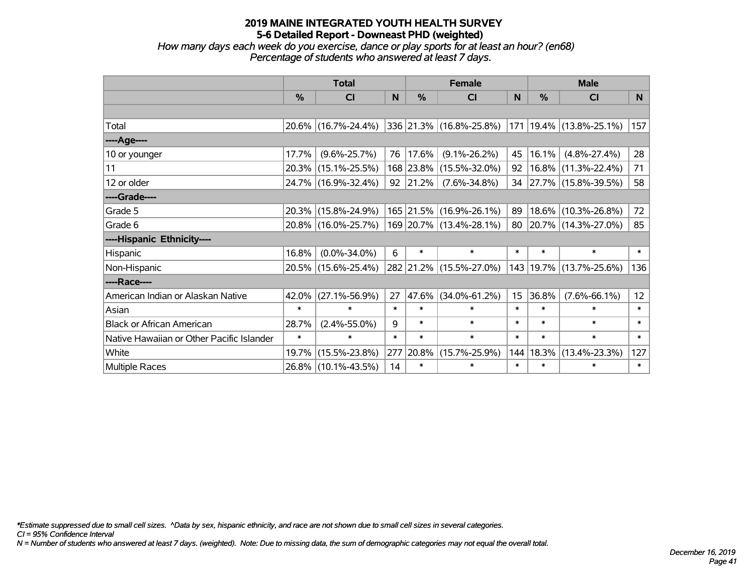*How many days each week do you exercise, dance or play sports for at least an hour? (en68) Percentage of students who answered at least 7 days.*

|                                           | <b>Total</b>  |                     |        | <b>Female</b> | <b>Male</b>             |                 |        |                             |                   |
|-------------------------------------------|---------------|---------------------|--------|---------------|-------------------------|-----------------|--------|-----------------------------|-------------------|
|                                           | $\frac{0}{0}$ | CI                  | N      | $\frac{0}{0}$ | <b>CI</b>               | <b>N</b>        | %      | <b>CI</b>                   | N <sub>1</sub>    |
|                                           |               |                     |        |               |                         |                 |        |                             |                   |
| Total                                     |               | 20.6% (16.7%-24.4%) |        |               | 336 21.3% (16.8%-25.8%) |                 |        | 171   19.4%   (13.8%-25.1%) | 157               |
| ----Age----                               |               |                     |        |               |                         |                 |        |                             |                   |
| 10 or younger                             | 17.7%         | $(9.6\% - 25.7\%)$  | 76     | $ 17.6\% $    | $(9.1\% - 26.2\%)$      | 45              | 16.1%  | $(4.8\% - 27.4\%)$          | 28                |
| 11                                        |               | 20.3% (15.1%-25.5%) |        | 168 23.8%     | $(15.5\% - 32.0\%)$     | 92              |        | $16.8\%$ (11.3%-22.4%)      | 71                |
| 12 or older                               |               | 24.7% (16.9%-32.4%) |        | 92 21.2%      | $(7.6\% - 34.8\%)$      |                 |        | 34 27.7% (15.8%-39.5%)      | 58                |
| ----Grade----                             |               |                     |        |               |                         |                 |        |                             |                   |
| Grade 5                                   |               | 20.3% (15.8%-24.9%) |        |               | 165 21.5% (16.9%-26.1%) | 89              | 18.6%  | $(10.3\% - 26.8\%)$         | 72                |
| Grade 6                                   |               | 20.8% (16.0%-25.7%) |        |               | 169 20.7% (13.4%-28.1%) | 80              |        | 20.7% (14.3%-27.0%)         | 85                |
| ----Hispanic Ethnicity----                |               |                     |        |               |                         |                 |        |                             |                   |
| Hispanic                                  | 16.8%         | $(0.0\% - 34.0\%)$  | 6      | $\ast$        | $\ast$                  | $\ast$          | $\ast$ | $\ast$                      | $\ast$            |
| Non-Hispanic                              |               | 20.5% (15.6%-25.4%) |        |               | 282 21.2% (15.5%-27.0%) |                 |        | 143   19.7%   (13.7%-25.6%) | 136               |
| ----Race----                              |               |                     |        |               |                         |                 |        |                             |                   |
| American Indian or Alaskan Native         | 42.0%         | $(27.1\% - 56.9\%)$ | 27     | 47.6%         | $(34.0\% - 61.2\%)$     | 15 <sub>1</sub> | 36.8%  | $(7.6\% - 66.1\%)$          | $12 \overline{ }$ |
| Asian                                     | $\ast$        | $\ast$              | $\ast$ | $\ast$        | $\ast$                  | $\ast$          | $\ast$ | $\ast$                      | $\ast$            |
| <b>Black or African American</b>          | 28.7%         | $(2.4\% - 55.0\%)$  | 9      | $\ast$        | $\ast$                  | $\ast$          | $\ast$ | $\ast$                      | $\ast$            |
| Native Hawaiian or Other Pacific Islander | $\ast$        | $\ast$              | $\ast$ | $\ast$        | $\ast$                  | $\ast$          | $\ast$ | $\ast$                      | $\ast$            |
| White                                     | $19.7\%$      | $(15.5\% - 23.8\%)$ | 277    | 20.8%         | $(15.7\% - 25.9\%)$     | 144             | 18.3%  | $(13.4\% - 23.3\%)$         | 127               |
| <b>Multiple Races</b>                     |               | 26.8% (10.1%-43.5%) | 14     | $\ast$        | $\ast$                  | $\ast$          | $\ast$ | $\ast$                      | $\ast$            |

*\*Estimate suppressed due to small cell sizes. ^Data by sex, hispanic ethnicity, and race are not shown due to small cell sizes in several categories.*

*CI = 95% Confidence Interval*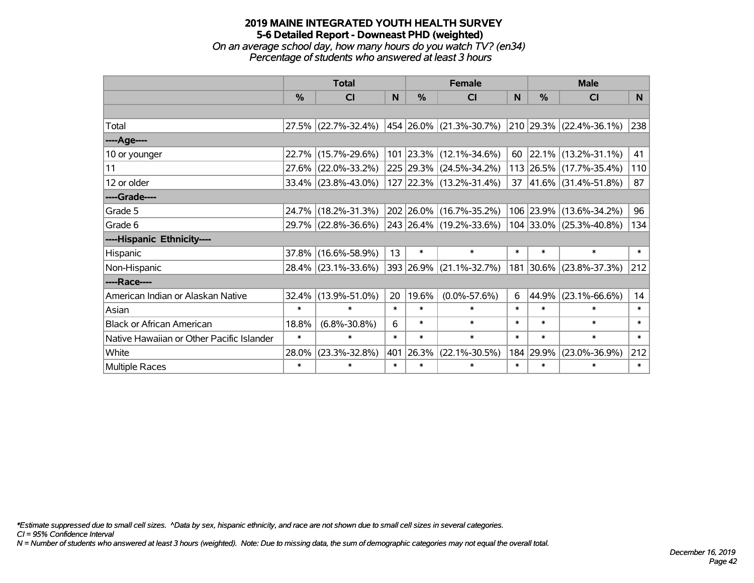*On an average school day, how many hours do you watch TV? (en34) Percentage of students who answered at least 3 hours*

|                                           | <b>Total</b>  |                        |        | <b>Female</b> | <b>Male</b>                                          |        |        |                             |        |
|-------------------------------------------|---------------|------------------------|--------|---------------|------------------------------------------------------|--------|--------|-----------------------------|--------|
|                                           | $\frac{0}{0}$ | CI                     | N      | $\frac{0}{0}$ | <b>CI</b>                                            | N      | %      | <b>CI</b>                   | N.     |
|                                           |               |                        |        |               |                                                      |        |        |                             |        |
| Total                                     |               | 27.5% (22.7%-32.4%)    |        |               | $ 454 26.0\% $ (21.3%-30.7%) 210 29.3% (22.4%-36.1%) |        |        |                             | 238    |
| ----Age----                               |               |                        |        |               |                                                      |        |        |                             |        |
| 10 or younger                             |               | 22.7% (15.7%-29.6%)    |        |               | $101$ 23.3% (12.1%-34.6%)                            | 60     |        | $22.1\%$ (13.2%-31.1%)      | 41     |
| 11                                        |               | 27.6% (22.0%-33.2%)    |        |               | 225 29.3% (24.5%-34.2%)                              |        |        | 113 26.5% (17.7%-35.4%)     | 110    |
| 12 or older                               |               | $33.4\%$ (23.8%-43.0%) |        |               | $127$ 22.3% (13.2%-31.4%)                            |        |        | 37 $ 41.6\% $ (31.4%-51.8%) | 87     |
| ----Grade----                             |               |                        |        |               |                                                      |        |        |                             |        |
| Grade 5                                   |               | 24.7% (18.2%-31.3%)    |        |               | 202 26.0% (16.7%-35.2%)                              |        |        | 106 23.9% (13.6%-34.2%)     | 96     |
| Grade 6                                   |               | 29.7% (22.8%-36.6%)    |        |               | $ 243 26.4\% (19.2\% - 33.6\%)$                      |        |        | 104 33.0% (25.3%-40.8%)     | 134    |
| ----Hispanic Ethnicity----                |               |                        |        |               |                                                      |        |        |                             |        |
| Hispanic                                  | 37.8%         | $(16.6\% - 58.9\%)$    | 13     | $\ast$        | $\ast$                                               | $\ast$ | $\ast$ | $\ast$                      | $\ast$ |
| Non-Hispanic                              |               | 28.4% (23.1%-33.6%)    |        | 393 26.9%     | $(21.1\% - 32.7\%)$                                  |        |        | 181 30.6% (23.8%-37.3%)     | 212    |
| ----Race----                              |               |                        |        |               |                                                      |        |        |                             |        |
| American Indian or Alaskan Native         | 32.4%         | $(13.9\% - 51.0\%)$    | 20     | 19.6%         | $(0.0\% - 57.6\%)$                                   | 6      | 44.9%  | $(23.1\% - 66.6\%)$         | 14     |
| Asian                                     | $\ast$        | $\ast$                 | $\ast$ | $\ast$        | $\ast$                                               | $\ast$ | $\ast$ | $\ast$                      | $\ast$ |
| <b>Black or African American</b>          | 18.8%         | $(6.8\% - 30.8\%)$     | 6      | $\ast$        | $\ast$                                               | $\ast$ | $\ast$ | $\ast$                      | $\ast$ |
| Native Hawaiian or Other Pacific Islander | $\ast$        | $\ast$                 | $\ast$ | $\ast$        | $\ast$                                               | $\ast$ | $\ast$ | $\ast$                      | $\ast$ |
| White                                     | 28.0%         | $(23.3\% - 32.8\%)$    | 401    | 26.3%         | $(22.1\% - 30.5\%)$                                  | 184    | 29.9%  | $(23.0\% - 36.9\%)$         | 212    |
| Multiple Races                            | $\ast$        | $\ast$                 | $\ast$ | $\ast$        | $\ast$                                               | $\ast$ | $\ast$ | $\ast$                      | $\ast$ |

*\*Estimate suppressed due to small cell sizes. ^Data by sex, hispanic ethnicity, and race are not shown due to small cell sizes in several categories.*

*CI = 95% Confidence Interval*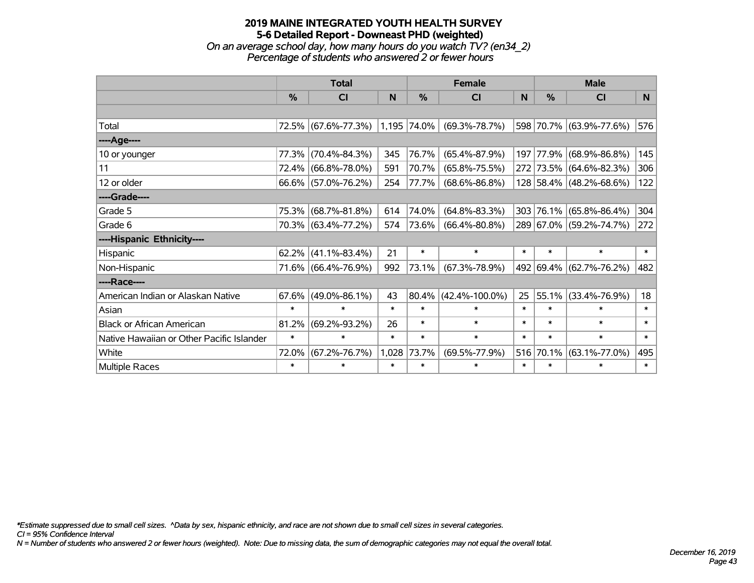#### **2019 MAINE INTEGRATED YOUTH HEALTH SURVEY 5-6 Detailed Report - Downeast PHD (weighted)** *On an average school day, how many hours do you watch TV? (en34\_2) Percentage of students who answered 2 or fewer hours*

|                                           | <b>Total</b> |                     |        | <b>Female</b> | <b>Male</b>          |        |        |                         |        |
|-------------------------------------------|--------------|---------------------|--------|---------------|----------------------|--------|--------|-------------------------|--------|
|                                           | %            | C <sub>l</sub>      | N      | %             | <b>CI</b>            | N      | %      | <b>CI</b>               | N      |
|                                           |              |                     |        |               |                      |        |        |                         |        |
| Total                                     |              | 72.5% (67.6%-77.3%) |        | 1,195 74.0%   | $(69.3\% - 78.7\%)$  |        |        | 598 70.7% (63.9%-77.6%) | 576    |
| ----Age----                               |              |                     |        |               |                      |        |        |                         |        |
| 10 or younger                             | 77.3%        | $(70.4\% - 84.3\%)$ | 345    | 76.7%         | $(65.4\% - 87.9\%)$  | 197    |        | 77.9% (68.9%-86.8%)     | 145    |
| 11                                        | 72.4%        | $(66.8\% - 78.0\%)$ | 591    | 70.7%         | $(65.8\% - 75.5\%)$  |        |        | 272 73.5% (64.6%-82.3%) | 306    |
| 12 or older                               | 66.6%        | $(57.0\% - 76.2\%)$ | 254    | 77.7%         | $(68.6\% - 86.8\%)$  |        |        | 128 58.4% (48.2%-68.6%) | 122    |
| ----Grade----                             |              |                     |        |               |                      |        |        |                         |        |
| Grade 5                                   | 75.3%        | $(68.7\% - 81.8\%)$ | 614    | 74.0%         | $(64.8\% - 83.3\%)$  | 303    |        | 76.1% (65.8%-86.4%)     | 304    |
| Grade 6                                   |              | 70.3% (63.4%-77.2%) | 574    | 73.6%         | $(66.4\% - 80.8\%)$  |        |        | 289 67.0% (59.2%-74.7%) | 272    |
| ----Hispanic Ethnicity----                |              |                     |        |               |                      |        |        |                         |        |
| Hispanic                                  | 62.2%        | $(41.1\% - 83.4\%)$ | 21     | $\ast$        | $\ast$               | $\ast$ | $\ast$ | $\ast$                  | $\ast$ |
| Non-Hispanic                              | 71.6%        | $(66.4\% - 76.9\%)$ | 992    | 73.1%         | $(67.3\% - 78.9\%)$  |        |        | 492 69.4% (62.7%-76.2%) | 482    |
| ----Race----                              |              |                     |        |               |                      |        |        |                         |        |
| American Indian or Alaskan Native         | 67.6%        | $(49.0\% - 86.1\%)$ | 43     | 80.4%         | $(42.4\% - 100.0\%)$ | 25     | 55.1%  | $(33.4\% - 76.9\%)$     | 18     |
| Asian                                     | $\ast$       | $\ast$              | $\ast$ | $\ast$        | $\ast$               | $\ast$ | $\ast$ | $\ast$                  | $\ast$ |
| <b>Black or African American</b>          | 81.2%        | $(69.2\% - 93.2\%)$ | 26     | $\ast$        | $\ast$               | $\ast$ | $\ast$ | $\ast$                  | $\ast$ |
| Native Hawaiian or Other Pacific Islander | $\ast$       | $\ast$              | $\ast$ | $\ast$        | $\ast$               | $\ast$ | $\ast$ | $\ast$                  | $\ast$ |
| White                                     | 72.0%        | $(67.2\% - 76.7\%)$ | 1,028  | 73.7%         | $(69.5\% - 77.9\%)$  | 516    | 70.1%  | $(63.1\% - 77.0\%)$     | 495    |
| <b>Multiple Races</b>                     | $\ast$       | $\ast$              | $\ast$ | $\ast$        | $\ast$               | $\ast$ | $\ast$ | $\ast$                  | $\ast$ |

*\*Estimate suppressed due to small cell sizes. ^Data by sex, hispanic ethnicity, and race are not shown due to small cell sizes in several categories.*

*CI = 95% Confidence Interval*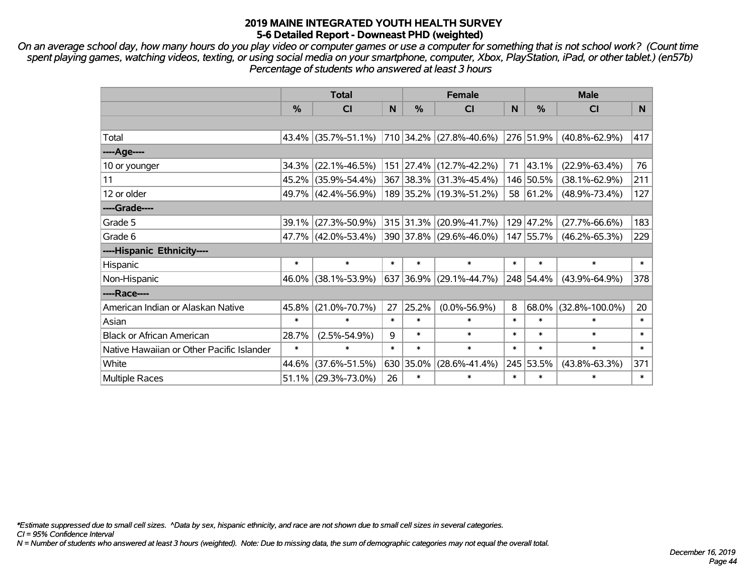*On an average school day, how many hours do you play video or computer games or use a computer for something that is not school work? (Count time spent playing games, watching videos, texting, or using social media on your smartphone, computer, Xbox, PlayStation, iPad, or other tablet.) (en57b) Percentage of students who answered at least 3 hours*

|                                           | <b>Total</b>  |                     |        | <b>Female</b> |                                                        | <b>Male</b> |                |                      |                 |
|-------------------------------------------|---------------|---------------------|--------|---------------|--------------------------------------------------------|-------------|----------------|----------------------|-----------------|
|                                           | $\frac{0}{0}$ | <b>CI</b>           | N      | $\%$          | <b>CI</b>                                              | N           | $\%$           | <b>CI</b>            | N               |
|                                           |               |                     |        |               |                                                        |             |                |                      |                 |
| Total                                     |               |                     |        |               | $ 43.4\% $ (35.7%-51.1%)   710   34.2%   (27.8%-40.6%) |             | $ 276 51.9\% $ | $(40.8\% - 62.9\%)$  | 417             |
| ----Age----                               |               |                     |        |               |                                                        |             |                |                      |                 |
| 10 or younger                             | 34.3%         | $(22.1\% - 46.5\%)$ |        | 151 27.4%     | $(12.7\% - 42.2\%)$                                    | 71          | 43.1%          | $(22.9\% - 63.4\%)$  | 76              |
| 11                                        |               | 45.2% (35.9%-54.4%) |        | 367 38.3%     | $(31.3\% - 45.4\%)$                                    |             | 146 50.5%      | $(38.1\% - 62.9\%)$  | 211             |
| 12 or older                               |               | 49.7% (42.4%-56.9%) |        |               | 189 35.2% (19.3%-51.2%)                                |             | 58 61.2%       | $(48.9\% - 73.4\%)$  | 127             |
| ----Grade----                             |               |                     |        |               |                                                        |             |                |                      |                 |
| Grade 5                                   |               | 39.1% (27.3%-50.9%) |        | 315 31.3%     | $(20.9\% - 41.7\%)$                                    |             | 129 47.2%      | $(27.7\% - 66.6\%)$  | 183             |
| Grade 6                                   |               | 47.7% (42.0%-53.4%) |        |               | 390 37.8% (29.6%-46.0%)                                |             | 147 55.7%      | $(46.2\% - 65.3\%)$  | 229             |
| ----Hispanic Ethnicity----                |               |                     |        |               |                                                        |             |                |                      |                 |
| Hispanic                                  | $\ast$        | $\ast$              | $\ast$ | $\ast$        | $\ast$                                                 | $\ast$      | $\ast$         | $\ast$               | $\ast$          |
| Non-Hispanic                              |               | 46.0% (38.1%-53.9%) |        | 637 36.9%     | $(29.1\% - 44.7\%)$                                    |             | 248 54.4%      | $(43.9\% - 64.9\%)$  | 378             |
| ----Race----                              |               |                     |        |               |                                                        |             |                |                      |                 |
| American Indian or Alaskan Native         | 45.8%         | $(21.0\% - 70.7\%)$ | 27     | 25.2%         | $(0.0\% - 56.9\%)$                                     | 8           | 68.0%          | $(32.8\% - 100.0\%)$ | 20 <sub>2</sub> |
| Asian                                     | $\ast$        | $\ast$              | $\ast$ | $\ast$        | $\ast$                                                 | $\ast$      | $\ast$         | $\ast$               | $\ast$          |
| <b>Black or African American</b>          | 28.7%         | $(2.5\% - 54.9\%)$  | 9      | $\ast$        | $\ast$                                                 | $\ast$      | $\ast$         | $\ast$               | $\ast$          |
| Native Hawaiian or Other Pacific Islander | $\ast$        | $\ast$              | $\ast$ | $\ast$        | $\ast$                                                 | $\ast$      | $\ast$         | $\ast$               | $\ast$          |
| White                                     | 44.6%         | $(37.6\% - 51.5\%)$ |        | 630 35.0%     | $(28.6\% - 41.4\%)$                                    |             | 245 53.5%      | $(43.8\% - 63.3\%)$  | 371             |
| <b>Multiple Races</b>                     |               | 51.1% (29.3%-73.0%) | 26     | $\ast$        | $\ast$                                                 | $\ast$      | $\ast$         | $\ast$               | $\ast$          |

*\*Estimate suppressed due to small cell sizes. ^Data by sex, hispanic ethnicity, and race are not shown due to small cell sizes in several categories.*

*CI = 95% Confidence Interval*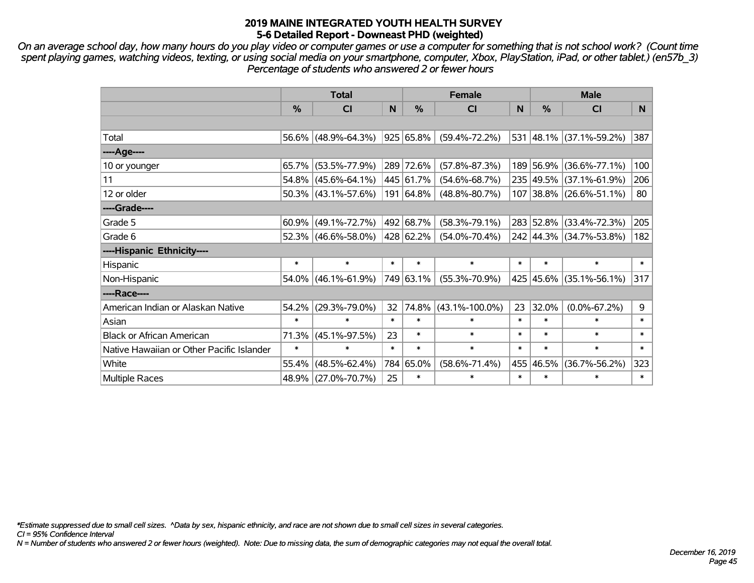*On an average school day, how many hours do you play video or computer games or use a computer for something that is not school work? (Count time spent playing games, watching videos, texting, or using social media on your smartphone, computer, Xbox, PlayStation, iPad, or other tablet.) (en57b\_3) Percentage of students who answered 2 or fewer hours*

|                                           | <b>Total</b> |                        |        | <b>Female</b>  | <b>Male</b>          |        |           |                         |        |
|-------------------------------------------|--------------|------------------------|--------|----------------|----------------------|--------|-----------|-------------------------|--------|
|                                           | %            | <b>CI</b>              | N      | $\%$           | <b>CI</b>            | N      | $\%$      | <b>CI</b>               | N.     |
|                                           |              |                        |        |                |                      |        |           |                         |        |
| Total                                     |              | 56.6% (48.9%-64.3%)    |        | $ 925 65.8\% $ | $(59.4\% - 72.2\%)$  |        |           | 531 48.1% (37.1%-59.2%) | 387    |
| ----Age----                               |              |                        |        |                |                      |        |           |                         |        |
| 10 or younger                             | 65.7%        | $(53.5\% - 77.9\%)$    |        | 289 72.6%      | $(57.8\% - 87.3\%)$  |        | 189 56.9% | $(36.6\% - 77.1\%)$     | 100    |
| 11                                        |              | 54.8% (45.6%-64.1%)    |        | 445 61.7%      | $(54.6\% - 68.7\%)$  |        |           | 235 49.5% (37.1%-61.9%) | 206    |
| 12 or older                               |              | 50.3% (43.1%-57.6%)    |        | 191 64.8%      | $(48.8\% - 80.7\%)$  |        |           | 107 38.8% (26.6%-51.1%) | 80     |
| ----Grade----                             |              |                        |        |                |                      |        |           |                         |        |
| Grade 5                                   |              | $60.9\%$ (49.1%-72.7%) |        | 492 68.7%      | $(58.3\% - 79.1\%)$  |        |           | 283 52.8% (33.4%-72.3%) | 205    |
| Grade 6                                   |              | 52.3% (46.6%-58.0%)    |        | 428 62.2%      | $(54.0\% - 70.4\%)$  |        |           | 242 44.3% (34.7%-53.8%) | 182    |
| ----Hispanic Ethnicity----                |              |                        |        |                |                      |        |           |                         |        |
| Hispanic                                  | $\ast$       | $\ast$                 | $\ast$ | $\ast$         | $\ast$               | $\ast$ | $\ast$    | $\ast$                  | $\ast$ |
| Non-Hispanic                              |              | 54.0% (46.1%-61.9%)    |        | 749 63.1%      | $(55.3\% - 70.9\%)$  |        |           | 425 45.6% (35.1%-56.1%) | 317    |
| ----Race----                              |              |                        |        |                |                      |        |           |                         |        |
| American Indian or Alaskan Native         | 54.2%        | $(29.3\% - 79.0\%)$    | 32     | 74.8%          | $(43.1\% - 100.0\%)$ | 23     | 32.0%     | $(0.0\% - 67.2\%)$      | 9      |
| Asian                                     | $\ast$       | $\ast$                 | $\ast$ | $\ast$         | $\ast$               | $\ast$ | $\ast$    | $\ast$                  | $\ast$ |
| <b>Black or African American</b>          | 71.3%        | $(45.1\% - 97.5\%)$    | 23     | $\ast$         | $\ast$               | $\ast$ | $\ast$    | $\ast$                  | $\ast$ |
| Native Hawaiian or Other Pacific Islander | $\ast$       | $\ast$                 | $\ast$ | $\ast$         | $\ast$               | $\ast$ | $\ast$    | $\ast$                  | $\ast$ |
| White                                     | 55.4%        | $(48.5\% - 62.4\%)$    |        | 784 65.0%      | $(58.6\% - 71.4\%)$  |        | 455 46.5% | $(36.7\% - 56.2\%)$     | 323    |
| <b>Multiple Races</b>                     |              | 48.9% (27.0%-70.7%)    | 25     | $\ast$         | $\ast$               | $\ast$ | $\ast$    | $\ast$                  | $\ast$ |

*\*Estimate suppressed due to small cell sizes. ^Data by sex, hispanic ethnicity, and race are not shown due to small cell sizes in several categories.*

*CI = 95% Confidence Interval*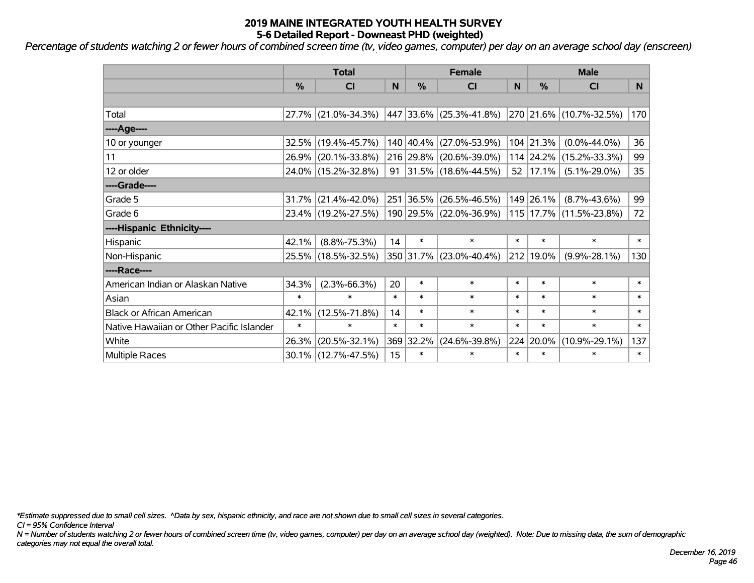*Percentage of students watching 2 or fewer hours of combined screen time (tv, video games, computer) per day on an average school day (enscreen)*

|                                           | <b>Total</b>  |                        |        | <b>Female</b> | <b>Male</b>              |        |               |                             |        |
|-------------------------------------------|---------------|------------------------|--------|---------------|--------------------------|--------|---------------|-----------------------------|--------|
|                                           | $\frac{0}{0}$ | CI                     | N      | $\frac{0}{0}$ | CI                       | N      | $\frac{9}{6}$ | <b>CI</b>                   | N.     |
|                                           |               |                        |        |               |                          |        |               |                             |        |
| Total                                     |               | 27.7% (21.0%-34.3%)    |        |               | 447 33.6% (25.3%-41.8%)  |        |               | 270 21.6% (10.7%-32.5%)     | 170    |
| ----Age----                               |               |                        |        |               |                          |        |               |                             |        |
| 10 or younger                             |               | 32.5% (19.4%-45.7%)    |        |               | 140 40.4% (27.0%-53.9%)  |        | 104 21.3%     | $(0.0\% - 44.0\%)$          | 36     |
| 11                                        |               | 26.9% (20.1%-33.8%)    |        |               | 216 29.8% (20.6%-39.0%)  |        | 114 24.2%     | $(15.2\% - 33.3\%)$         | 99     |
| 12 or older                               |               | 24.0% (15.2%-32.8%)    | 91     |               | $ 31.5\% $ (18.6%-44.5%) |        | 52 17.1%      | $(5.1\% - 29.0\%)$          | 35     |
| ----Grade----                             |               |                        |        |               |                          |        |               |                             |        |
| Grade 5                                   |               | $31.7\%$ (21.4%-42.0%) |        | 251 36.5%     | $(26.5\% - 46.5\%)$      |        | 149 26.1%     | $(8.7\% - 43.6\%)$          | 99     |
| Grade 6                                   |               | 23.4% (19.2%-27.5%)    |        |               | 190 29.5% (22.0%-36.9%)  |        |               | 115   17.7%   (11.5%-23.8%) | 72     |
| ----Hispanic Ethnicity----                |               |                        |        |               |                          |        |               |                             |        |
| Hispanic                                  | 42.1%         | $(8.8\% - 75.3\%)$     | 14     | $\ast$        | $\ast$                   | $\ast$ | $\ast$        | $\ast$                      | $\ast$ |
| Non-Hispanic                              |               | 25.5% (18.5%-32.5%)    |        |               | 350 31.7% (23.0%-40.4%)  |        | 212 19.0%     | $(9.9\% - 28.1\%)$          | 130    |
| ----Race----                              |               |                        |        |               |                          |        |               |                             |        |
| American Indian or Alaskan Native         | 34.3%         | $(2.3\% - 66.3\%)$     | 20     | $\ast$        | $\ast$                   | $\ast$ | $\ast$        | $\ast$                      | $\ast$ |
| Asian                                     | $\ast$        | $\ast$                 | $\ast$ | $\ast$        | $\ast$                   | $\ast$ | $\ast$        | $\ast$                      | $\ast$ |
| <b>Black or African American</b>          | 42.1%         | $(12.5\% - 71.8\%)$    | 14     | $\ast$        | $\ast$                   | $\ast$ | $\ast$        | $\ast$                      | $\ast$ |
| Native Hawaiian or Other Pacific Islander | $\ast$        | $\ast$                 | $\ast$ | $\ast$        | $\ast$                   | $\ast$ | $\ast$        | $\ast$                      | $\ast$ |
| White                                     | 26.3%         | $(20.5\% - 32.1\%)$    |        | 369 32.2%     | $(24.6\% - 39.8\%)$      | 224    | 20.0%         | $(10.9\% - 29.1\%)$         | 137    |
| <b>Multiple Races</b>                     |               | 30.1% (12.7%-47.5%)    | 15     | $\ast$        | *                        | $\ast$ | $\ast$        | $\ast$                      | $\ast$ |

*\*Estimate suppressed due to small cell sizes. ^Data by sex, hispanic ethnicity, and race are not shown due to small cell sizes in several categories.*

*CI = 95% Confidence Interval*

*N = Number of students watching 2 or fewer hours of combined screen time (tv, video games, computer) per day on an average school day (weighted). Note: Due to missing data, the sum of demographic categories may not equal the overall total.*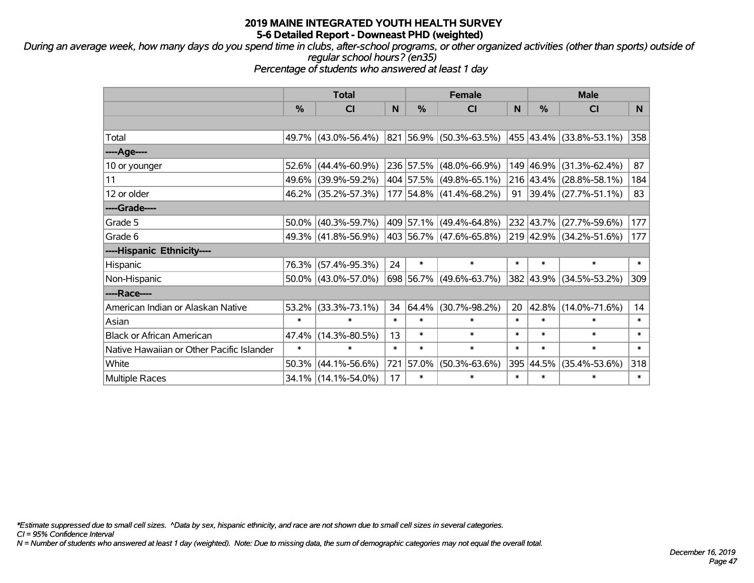*During an average week, how many days do you spend time in clubs, after-school programs, or other organized activities (other than sports) outside of regular school hours? (en35)*

*Percentage of students who answered at least 1 day*

|                                           | <b>Total</b>  |                        |        | <b>Female</b> | <b>Male</b>                                     |        |               |                                  |        |
|-------------------------------------------|---------------|------------------------|--------|---------------|-------------------------------------------------|--------|---------------|----------------------------------|--------|
|                                           | $\frac{0}{0}$ | CI                     | N      | %             | <b>CI</b>                                       | N      | $\frac{0}{0}$ | <b>CI</b>                        | N      |
|                                           |               |                        |        |               |                                                 |        |               |                                  |        |
| Total                                     |               | 49.7% (43.0%-56.4%)    |        |               | 821 56.9% (50.3%-63.5%) 455 43.4% (33.8%-53.1%) |        |               |                                  | 358    |
| ----Age----                               |               |                        |        |               |                                                 |        |               |                                  |        |
| 10 or younger                             |               | $52.6\%$ (44.4%-60.9%) |        |               | 236 57.5% (48.0%-66.9%)                         |        | 149 46.9%     | $(31.3\% - 62.4\%)$              | 87     |
| 11                                        |               | 49.6% (39.9%-59.2%)    |        |               | 404 57.5% (49.8%-65.1%)                         |        |               | 216 43.4% (28.8%-58.1%)          | 184    |
| 12 or older                               |               | 46.2% (35.2%-57.3%)    |        |               | 177 54.8% (41.4%-68.2%)                         |        |               | 91   39.4%   $(27.7\% - 51.1\%)$ | 83     |
| ----Grade----                             |               |                        |        |               |                                                 |        |               |                                  |        |
| Grade 5                                   |               | $50.0\%$ (40.3%-59.7%) |        |               | 409 57.1% (49.4%-64.8%)                         |        | 232 43.7%     | $(27.7\% - 59.6\%)$              | 177    |
| Grade 6                                   |               | 49.3% (41.8%-56.9%)    |        |               | 403 56.7% (47.6%-65.8%)                         |        |               | 219 42.9% (34.2%-51.6%)          | 177    |
| ----Hispanic Ethnicity----                |               |                        |        |               |                                                 |        |               |                                  |        |
| Hispanic                                  |               | 76.3% (57.4%-95.3%)    | 24     | $\ast$        | $\ast$                                          | $\ast$ | $\ast$        | $\ast$                           | $\ast$ |
| Non-Hispanic                              |               | $50.0\%$ (43.0%-57.0%) |        |               | 698 56.7% (49.6%-63.7%)                         |        | 382 43.9%     | $(34.5\% - 53.2\%)$              | 309    |
| ----Race----                              |               |                        |        |               |                                                 |        |               |                                  |        |
| American Indian or Alaskan Native         |               | $53.2\%$ (33.3%-73.1%) | 34     | 64.4%         | $(30.7\% - 98.2\%)$                             | 20     | 42.8%         | $(14.0\% - 71.6\%)$              | 14     |
| Asian                                     | $\ast$        | $\ast$                 | $\ast$ | $\ast$        | $\ast$                                          | $\ast$ | $\ast$        | $\ast$                           | $\ast$ |
| <b>Black or African American</b>          | 47.4%         | $(14.3\% - 80.5\%)$    | 13     | $\ast$        | $\ast$                                          | $\ast$ | $\ast$        | $\ast$                           | $\ast$ |
| Native Hawaiian or Other Pacific Islander | $\ast$        | $\ast$                 | $\ast$ | $\ast$        | $\ast$                                          | $\ast$ | $\ast$        | $\ast$                           | $\ast$ |
| White                                     | 50.3%         | $(44.1\% - 56.6\%)$    | 721    | 57.0%         | $(50.3\% - 63.6\%)$                             | 395    | 44.5%         | $(35.4\% - 53.6\%)$              | 318    |
| <b>Multiple Races</b>                     |               | 34.1% (14.1%-54.0%)    | 17     | $\ast$        | $\ast$                                          | $\ast$ | $\ast$        | $\ast$                           | $\ast$ |

*\*Estimate suppressed due to small cell sizes. ^Data by sex, hispanic ethnicity, and race are not shown due to small cell sizes in several categories.*

*CI = 95% Confidence Interval*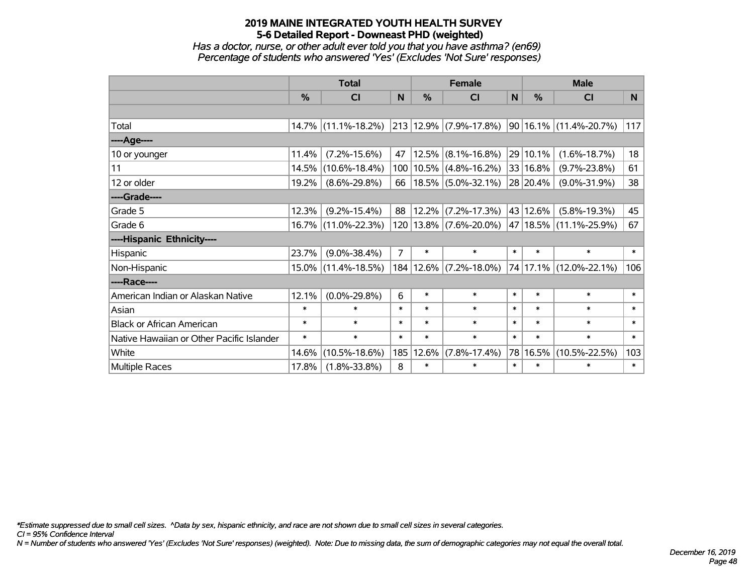*Has a doctor, nurse, or other adult ever told you that you have asthma? (en69) Percentage of students who answered 'Yes' (Excludes 'Not Sure' responses)*

|                                           | <b>Total</b>  |                     |                | <b>Female</b> |                                   |        | <b>Male</b>   |                        |        |  |
|-------------------------------------------|---------------|---------------------|----------------|---------------|-----------------------------------|--------|---------------|------------------------|--------|--|
|                                           | $\frac{0}{0}$ | <b>CI</b>           | N              | %             | <b>CI</b>                         | N      | $\frac{0}{0}$ | <b>CI</b>              | N.     |  |
|                                           |               |                     |                |               |                                   |        |               |                        |        |  |
| Total                                     |               | 14.7% (11.1%-18.2%) |                |               | $213   12.9\%   (7.9\% - 17.8\%)$ |        |               | 90 16.1% (11.4%-20.7%) | 117    |  |
| ---- Age----                              |               |                     |                |               |                                   |        |               |                        |        |  |
| 10 or younger                             | 11.4%         | $(7.2\% - 15.6\%)$  | 47             | 12.5%         | $(8.1\% - 16.8\%)$                |        | 29 10.1%      | $(1.6\% - 18.7\%)$     | 18     |  |
| 11                                        | 14.5%         | $(10.6\% - 18.4\%)$ |                |               | 100   10.5%   (4.8%-16.2%)        |        | 33 16.8%      | $(9.7\% - 23.8\%)$     | 61     |  |
| 12 or older                               | 19.2%         | $(8.6\% - 29.8\%)$  | 66             |               | $18.5\%$ (5.0%-32.1%)             |        | 28 20.4%      | $(9.0\% - 31.9\%)$     | 38     |  |
| ----Grade----                             |               |                     |                |               |                                   |        |               |                        |        |  |
| Grade 5                                   | 12.3%         | $(9.2\% - 15.4\%)$  | 88             | 12.2%         | $(7.2\% - 17.3\%)$                |        | 43 12.6%      | $(5.8\% - 19.3\%)$     | 45     |  |
| Grade 6                                   |               | 16.7% (11.0%-22.3%) |                |               | 120   13.8%   (7.6%-20.0%)        |        |               | 47 18.5% (11.1%-25.9%) | 67     |  |
| ----Hispanic Ethnicity----                |               |                     |                |               |                                   |        |               |                        |        |  |
| Hispanic                                  | 23.7%         | $(9.0\% - 38.4\%)$  | $\overline{7}$ | $\ast$        | $\ast$                            | $\ast$ | $\ast$        | $\ast$                 | $\ast$ |  |
| Non-Hispanic                              |               | 15.0% (11.4%-18.5%) |                |               | 184   12.6%   (7.2%-18.0%)        |        |               | 74 17.1% (12.0%-22.1%) | 106    |  |
| ----Race----                              |               |                     |                |               |                                   |        |               |                        |        |  |
| American Indian or Alaskan Native         | 12.1%         | $(0.0\% - 29.8\%)$  | 6              | $\ast$        | $\ast$                            | $\ast$ | $\ast$        | $\ast$                 | $\ast$ |  |
| Asian                                     | $\ast$        | $\ast$              | $\ast$         | $\ast$        | $\ast$                            | $\ast$ | $\ast$        | $\ast$                 | $\ast$ |  |
| <b>Black or African American</b>          | $\ast$        | $\ast$              | $\ast$         | $\ast$        | $\ast$                            | $\ast$ | $\ast$        | $\ast$                 | $\ast$ |  |
| Native Hawaiian or Other Pacific Islander | $\ast$        | $\ast$              | $\ast$         | $\ast$        | $\ast$                            | $\ast$ | $\ast$        | $\ast$                 | $\ast$ |  |
| White                                     | 14.6%         | $(10.5\% - 18.6\%)$ | 185            | 12.6%         | $(7.8\% - 17.4\%)$                |        | 78 16.5%      | $(10.5\% - 22.5\%)$    | 103    |  |
| Multiple Races                            | 17.8%         | $(1.8\% - 33.8\%)$  | 8              | $\ast$        | $\ast$                            | $\ast$ | $\ast$        | $\ast$                 | $\ast$ |  |

*\*Estimate suppressed due to small cell sizes. ^Data by sex, hispanic ethnicity, and race are not shown due to small cell sizes in several categories.*

*CI = 95% Confidence Interval*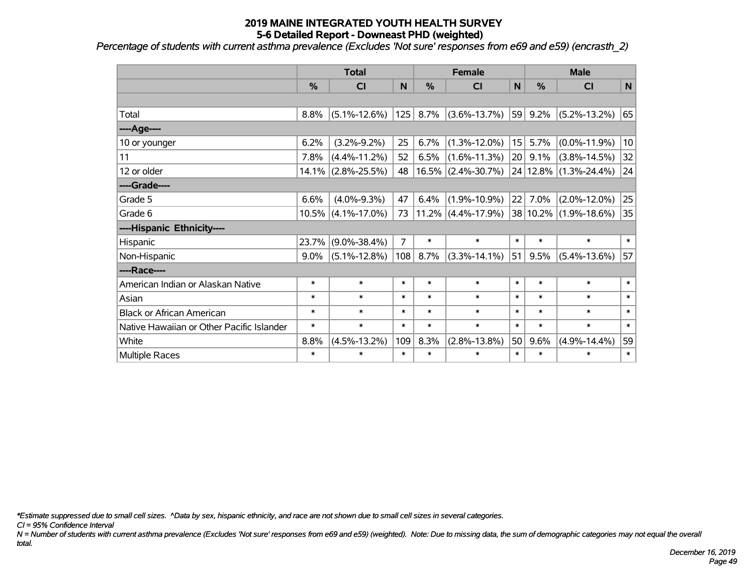*Percentage of students with current asthma prevalence (Excludes 'Not sure' responses from e69 and e59) (encrasth\_2)*

|                                           | <b>Total</b>  |                    |        |               | <b>Female</b>         |                 |               | <b>Male</b>        |              |  |
|-------------------------------------------|---------------|--------------------|--------|---------------|-----------------------|-----------------|---------------|--------------------|--------------|--|
|                                           | $\frac{0}{0}$ | <b>CI</b>          | N      | $\frac{0}{0}$ | CI                    | N               | $\frac{0}{0}$ | CI                 | $\mathsf{N}$ |  |
|                                           |               |                    |        |               |                       |                 |               |                    |              |  |
| Total                                     | 8.8%          | $(5.1\% - 12.6\%)$ | 125    | 8.7%          | $(3.6\% - 13.7\%)$    | 59              | 9.2%          | $(5.2\% - 13.2\%)$ | 65           |  |
| ---- Age----                              |               |                    |        |               |                       |                 |               |                    |              |  |
| 10 or younger                             | 6.2%          | $(3.2\% - 9.2\%)$  | 25     | 6.7%          | $(1.3\% - 12.0\%)$    | 15 <sub>1</sub> | 5.7%          | $(0.0\% - 11.9\%)$ | 10           |  |
| 11                                        | 7.8%          | $(4.4\% - 11.2\%)$ | 52     | 6.5%          | $(1.6\% - 11.3\%)$    | 20              | 9.1%          | $(3.8\% - 14.5\%)$ | 32           |  |
| 12 or older                               | 14.1%         | $(2.8\% - 25.5\%)$ | 48     |               | $16.5\%$ (2.4%-30.7%) |                 | 24 12.8%      | $(1.3\% - 24.4\%)$ | 24           |  |
| ----Grade----                             |               |                    |        |               |                       |                 |               |                    |              |  |
| Grade 5                                   | 6.6%          | $(4.0\% - 9.3\%)$  | 47     | 6.4%          | $(1.9\% - 10.9\%)$    | 22              | 7.0%          | $(2.0\% - 12.0\%)$ | 25           |  |
| Grade 6                                   | 10.5%         | $(4.1\% - 17.0\%)$ | 73     |               | $11.2\%$ (4.4%-17.9%) |                 | 38 10.2%      | $(1.9\% - 18.6\%)$ | 35           |  |
| ----Hispanic Ethnicity----                |               |                    |        |               |                       |                 |               |                    |              |  |
| Hispanic                                  | 23.7%         | $(9.0\% - 38.4\%)$ | 7      | $\ast$        | $\ast$                | $\ast$          | $\ast$        | $\ast$             | $\ast$       |  |
| Non-Hispanic                              | $9.0\%$       | $(5.1\% - 12.8\%)$ | 108    | 8.7%          | $(3.3\% - 14.1\%)$    | 51              | 9.5%          | $(5.4\% - 13.6\%)$ | 57           |  |
| ----Race----                              |               |                    |        |               |                       |                 |               |                    |              |  |
| American Indian or Alaskan Native         | $\ast$        | $\ast$             | $\ast$ | $\ast$        | $\ast$                | $\ast$          | $\ast$        | $\ast$             | $\ast$       |  |
| Asian                                     | $\ast$        | $\ast$             | $\ast$ | $\ast$        | $\ast$                | $\ast$          | $\ast$        | $\ast$             | $\ast$       |  |
| <b>Black or African American</b>          | $\ast$        | $\ast$             | *      | $\ast$        | $\ast$                | $\ast$          | $\ast$        | $\ast$             | $\ast$       |  |
| Native Hawaiian or Other Pacific Islander | $\ast$        | $\ast$             | $\ast$ | $\ast$        | $\ast$                | $\ast$          | $\ast$        | $\ast$             | $\ast$       |  |
| White                                     | 8.8%          | $(4.5\% - 13.2\%)$ | 109    | 8.3%          | $(2.8\% - 13.8\%)$    | 50              | 9.6%          | $(4.9\% - 14.4\%)$ | 59           |  |
| Multiple Races                            | $\ast$        | $\ast$             | *      | $\ast$        | $\ast$                | $\ast$          | $\ast$        | $\ast$             | $\ast$       |  |

*\*Estimate suppressed due to small cell sizes. ^Data by sex, hispanic ethnicity, and race are not shown due to small cell sizes in several categories.*

*CI = 95% Confidence Interval*

*N = Number of students with current asthma prevalence (Excludes 'Not sure' responses from e69 and e59) (weighted). Note: Due to missing data, the sum of demographic categories may not equal the overall total.*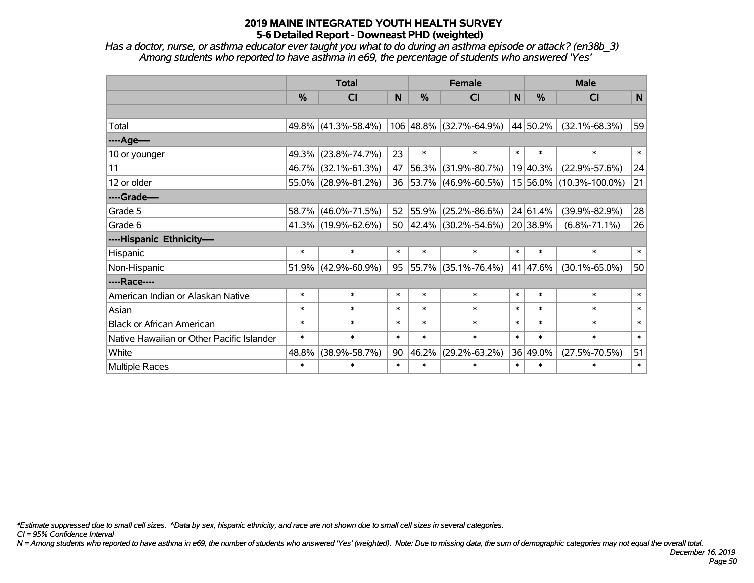*Has a doctor, nurse, or asthma educator ever taught you what to do during an asthma episode or attack? (en38b\_3) Among students who reported to have asthma in e69, the percentage of students who answered 'Yes'*

|                                           | <b>Total</b> |                     |        |            | <b>Female</b>            |        | <b>Male</b> |                         |        |  |
|-------------------------------------------|--------------|---------------------|--------|------------|--------------------------|--------|-------------|-------------------------|--------|--|
|                                           | %            | <b>CI</b>           | N      | %          | <b>CI</b>                | N      | $\%$        | <b>CI</b>               | N      |  |
|                                           |              |                     |        |            |                          |        |             |                         |        |  |
| Total                                     |              | 49.8% (41.3%-58.4%) |        |            | 106 48.8% (32.7%-64.9%)  |        | 44 50.2%    | $(32.1\% - 68.3\%)$     | 59     |  |
| ----Age----                               |              |                     |        |            |                          |        |             |                         |        |  |
| 10 or younger                             | 49.3%        | $(23.8\% - 74.7\%)$ | 23     | $\ast$     | $\ast$                   | $\ast$ | $\ast$      | $\ast$                  | $\ast$ |  |
| 11                                        | 46.7%        | $(32.1\% - 61.3\%)$ | 47     | 56.3%      | $(31.9\% - 80.7\%)$      |        | 19 40.3%    | $(22.9\% - 57.6\%)$     | 24     |  |
| 12 or older                               | 55.0%        | $(28.9\% - 81.2\%)$ | 36     | $ 53.7\% $ | $(46.9\% - 60.5\%)$      |        |             | 15 56.0% (10.3%-100.0%) | 21     |  |
| ----Grade----                             |              |                     |        |            |                          |        |             |                         |        |  |
| Grade 5                                   | 58.7%        | $(46.0\% - 71.5\%)$ | 52     | 55.9%      | $(25.2\% - 86.6\%)$      |        | 24 61.4%    | $(39.9\% - 82.9\%)$     | 28     |  |
| Grade 6                                   |              | 41.3% (19.9%-62.6%) | 50     |            | $ 42.4\% $ (30.2%-54.6%) |        | 20 38.9%    | $(6.8\% - 71.1\%)$      | 26     |  |
| ----Hispanic Ethnicity----                |              |                     |        |            |                          |        |             |                         |        |  |
| Hispanic                                  | $\ast$       | $\ast$              | $\ast$ | $\ast$     | $\ast$                   | $\ast$ | $\ast$      | $\ast$                  | $\ast$ |  |
| Non-Hispanic                              | 51.9%        | $(42.9\% - 60.9\%)$ | 95     | 55.7%      | $(35.1\% - 76.4\%)$      |        | 41 47.6%    | $(30.1\% - 65.0\%)$     | 50     |  |
| ----Race----                              |              |                     |        |            |                          |        |             |                         |        |  |
| American Indian or Alaskan Native         | $\ast$       | $\ast$              | $\ast$ | $\ast$     | $\ast$                   | $\ast$ | $\ast$      | $\ast$                  | $\ast$ |  |
| Asian                                     | $\ast$       | $\ast$              | $\ast$ | $\ast$     | $\ast$                   | $\ast$ | $\ast$      | $\ast$                  | $\ast$ |  |
| <b>Black or African American</b>          | $\ast$       | $\ast$              | $\ast$ | $\ast$     | $\ast$                   | $\ast$ | $\ast$      | $\ast$                  | $\ast$ |  |
| Native Hawaiian or Other Pacific Islander | $\ast$       | $\ast$              | $\ast$ | $\ast$     | $\ast$                   | $\ast$ | $\ast$      | $\ast$                  | $\ast$ |  |
| White                                     | 48.8%        | $(38.9\% - 58.7\%)$ | 90     | 46.2%      | $(29.2\% - 63.2\%)$      |        | 36 49.0%    | $(27.5\% - 70.5\%)$     | 51     |  |
| Multiple Races                            | $\ast$       | $\ast$              | $\ast$ | $\ast$     | $\ast$                   | $\ast$ | $\ast$      | $\ast$                  | $\ast$ |  |

*\*Estimate suppressed due to small cell sizes. ^Data by sex, hispanic ethnicity, and race are not shown due to small cell sizes in several categories.*

*CI = 95% Confidence Interval*

*N = Among students who reported to have asthma in e69, the number of students who answered 'Yes' (weighted). Note: Due to missing data, the sum of demographic categories may not equal the overall total.*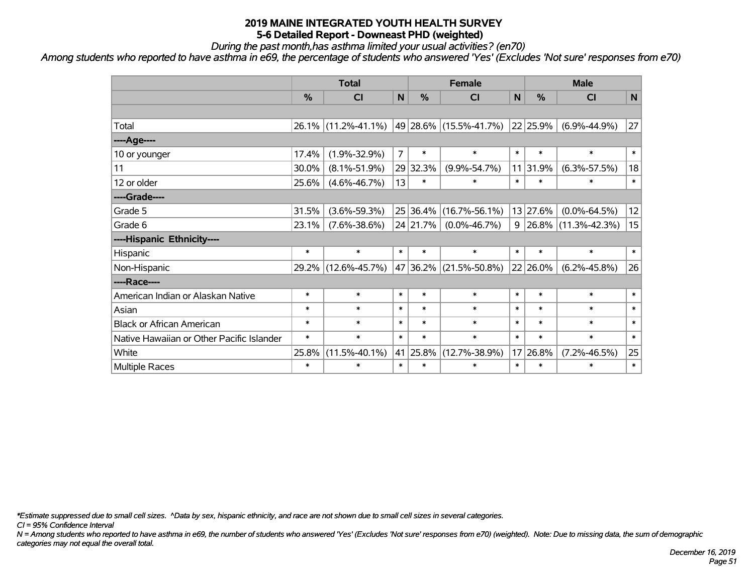*During the past month,has asthma limited your usual activities? (en70)*

*Among students who reported to have asthma in e69, the percentage of students who answered 'Yes' (Excludes 'Not sure' responses from e70)*

|                                           | <b>Total</b>  |                     |                |               | <b>Female</b>              | <b>Male</b>  |               |                              |              |
|-------------------------------------------|---------------|---------------------|----------------|---------------|----------------------------|--------------|---------------|------------------------------|--------------|
|                                           | $\frac{0}{0}$ | <b>CI</b>           | N              | $\frac{0}{0}$ | <b>CI</b>                  | $\mathsf{N}$ | $\frac{0}{0}$ | <b>CI</b>                    | $\mathsf{N}$ |
|                                           |               |                     |                |               |                            |              |               |                              |              |
| Total                                     |               | 26.1% (11.2%-41.1%) |                |               | 49   28.6%   (15.5%-41.7%) |              | 22 25.9%      | $(6.9\% - 44.9\%)$           | 27           |
| ----Age----                               |               |                     |                |               |                            |              |               |                              |              |
| 10 or younger                             | 17.4%         | $(1.9\% - 32.9\%)$  | $\overline{7}$ | $\ast$        | $\ast$                     | $\ast$       | $\ast$        | $\ast$                       | $\ast$       |
| 11                                        | 30.0%         | $(8.1\% - 51.9\%)$  |                | 29 32.3%      | $(9.9\% - 54.7\%)$         |              | 11 31.9%      | $(6.3\% - 57.5\%)$           | 18           |
| 12 or older                               | 25.6%         | $(4.6\% - 46.7\%)$  | 13             | $\ast$        | $\ast$                     | $\ast$       | $\ast$        | $\ast$                       | $\ast$       |
| ----Grade----                             |               |                     |                |               |                            |              |               |                              |              |
| Grade 5                                   | 31.5%         | $(3.6\% - 59.3\%)$  |                | 25 36.4%      | $(16.7\% - 56.1\%)$        |              | 13 27.6%      | $(0.0\% - 64.5\%)$           | 12           |
| Grade 6                                   | 23.1%         | $(7.6\% - 38.6\%)$  |                | 24 21.7%      | $(0.0\% - 46.7\%)$         |              |               | $9 26.8\% (11.3\% - 42.3\%)$ | 15           |
| ----Hispanic Ethnicity----                |               |                     |                |               |                            |              |               |                              |              |
| Hispanic                                  | $\ast$        | $\ast$              | $\ast$         | $\ast$        | $\ast$                     | $\ast$       | $\ast$        | $\ast$                       | $\ast$       |
| Non-Hispanic                              |               | 29.2% (12.6%-45.7%) |                | 47 36.2%      | $(21.5\% - 50.8\%)$        |              | 22 26.0%      | $(6.2\% - 45.8\%)$           | 26           |
| ----Race----                              |               |                     |                |               |                            |              |               |                              |              |
| American Indian or Alaskan Native         | $\ast$        | $\ast$              | $\ast$         | $\ast$        | $\ast$                     | $\ast$       | $\ast$        | $\ast$                       | $\ast$       |
| Asian                                     | $\ast$        | $\ast$              | $\ast$         | $\ast$        | $\ast$                     | $\ast$       | $\ast$        | $\ast$                       | $\ast$       |
| <b>Black or African American</b>          | $\ast$        | $\ast$              | $\ast$         | $\ast$        | $\ast$                     | $\ast$       | $\ast$        | $\ast$                       | $\ast$       |
| Native Hawaiian or Other Pacific Islander | $\ast$        | $\ast$              | $\ast$         | $\ast$        | $\ast$                     | $\ast$       | $\ast$        | $\ast$                       | $\ast$       |
| White                                     | 25.8%         | $(11.5\% - 40.1\%)$ |                | 41 25.8%      | $(12.7\% - 38.9\%)$        | 17           | 26.8%         | $(7.2\% - 46.5\%)$           | 25           |
| Multiple Races                            | $\ast$        | $\ast$              | $\ast$         | $\ast$        | $\ast$                     | $\ast$       | $\ast$        | $\ast$                       | $\ast$       |

*\*Estimate suppressed due to small cell sizes. ^Data by sex, hispanic ethnicity, and race are not shown due to small cell sizes in several categories.*

*CI = 95% Confidence Interval*

*N = Among students who reported to have asthma in e69, the number of students who answered 'Yes' (Excludes 'Not sure' responses from e70) (weighted). Note: Due to missing data, the sum of demographic categories may not equal the overall total.*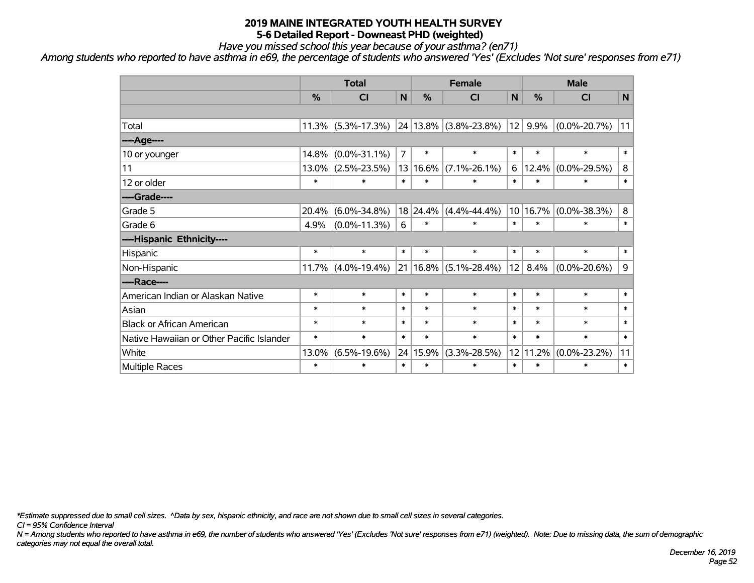*Have you missed school this year because of your asthma? (en71)*

*Among students who reported to have asthma in e69, the percentage of students who answered 'Yes' (Excludes 'Not sure' responses from e71)*

|                                           | <b>Total</b>  |                       |                |               | <b>Female</b>                 |        |               | <b>Male</b>        |         |  |  |
|-------------------------------------------|---------------|-----------------------|----------------|---------------|-------------------------------|--------|---------------|--------------------|---------|--|--|
|                                           | $\frac{0}{0}$ | CI                    | N              | $\frac{0}{0}$ | <b>CI</b>                     | N      | $\frac{0}{0}$ | <b>CI</b>          | N       |  |  |
|                                           |               |                       |                |               |                               |        |               |                    |         |  |  |
| Total                                     |               | $11.3\%$ (5.3%-17.3%) |                |               | $24 13.8\% $ (3.8%-23.8%)     | 12     | 9.9%          | $(0.0\% - 20.7\%)$ | 11      |  |  |
| ----Age----                               |               |                       |                |               |                               |        |               |                    |         |  |  |
| 10 or younger                             | 14.8%         | $(0.0\% - 31.1\%)$    | $\overline{7}$ | $\ast$        | $\ast$                        | $\ast$ | $\ast$        | $\ast$             | $\ast$  |  |  |
| 11                                        |               | $13.0\%$ (2.5%-23.5%) | 13             | $16.6\%$      | $(7.1\% - 26.1\%)$            | 6      | 12.4%         | $(0.0\% - 29.5\%)$ | 8       |  |  |
| 12 or older                               | $\ast$        | $\ast$                | $\ast$         | $\ast$        | $\ast$                        | $\ast$ | $\ast$        | $\ast$             | $\ast$  |  |  |
| ----Grade----                             |               |                       |                |               |                               |        |               |                    |         |  |  |
| Grade 5                                   | 20.4%         | $(6.0\% - 34.8\%)$    |                | 18 24.4%      | $(4.4\% - 44.4\%)$            |        | 10 16.7%      | $(0.0\% - 38.3\%)$ | $\bf 8$ |  |  |
| Grade 6                                   | 4.9%          | $(0.0\% - 11.3\%)$    | 6              | $\ast$        | $\ast$                        | $\ast$ | $\ast$        | $\ast$             | $\ast$  |  |  |
| ----Hispanic Ethnicity----                |               |                       |                |               |                               |        |               |                    |         |  |  |
| Hispanic                                  | $\ast$        | $\ast$                | $\ast$         | $\ast$        | $\ast$                        | $\ast$ | $\ast$        | $\ast$             | $\ast$  |  |  |
| Non-Hispanic                              |               | $11.7\%$ (4.0%-19.4%) |                |               | $21 16.8\%  (5.1\% - 28.4\%)$ | 12     | 8.4%          | $(0.0\% - 20.6\%)$ | 9       |  |  |
| ----Race----                              |               |                       |                |               |                               |        |               |                    |         |  |  |
| American Indian or Alaskan Native         | $\ast$        | $\ast$                | $\ast$         | $\ast$        | $\ast$                        | $\ast$ | $\ast$        | $\ast$             | $\ast$  |  |  |
| Asian                                     | $\ast$        | $\ast$                | $\ast$         | $\ast$        | $\ast$                        | $\ast$ | $\ast$        | $\ast$             | $\ast$  |  |  |
| <b>Black or African American</b>          | $\ast$        | $\ast$                | $\ast$         | $\ast$        | $\ast$                        | $\ast$ | $\ast$        | $\ast$             | $\ast$  |  |  |
| Native Hawaiian or Other Pacific Islander | $\ast$        | $\ast$                | $\ast$         | $\ast$        | $\ast$                        | $\ast$ | $\ast$        | $\ast$             | $\ast$  |  |  |
| White                                     | 13.0%         | $(6.5\% - 19.6\%)$    | 24             | 15.9%         | $(3.3\% - 28.5\%)$            | 12     | 11.2%         | $(0.0\% - 23.2\%)$ | 11      |  |  |
| Multiple Races                            | $\ast$        | $\ast$                | $\ast$         | $\ast$        | $\ast$                        | $\ast$ | $\ast$        | $\ast$             | $\ast$  |  |  |

*\*Estimate suppressed due to small cell sizes. ^Data by sex, hispanic ethnicity, and race are not shown due to small cell sizes in several categories.*

*CI = 95% Confidence Interval*

*N = Among students who reported to have asthma in e69, the number of students who answered 'Yes' (Excludes 'Not sure' responses from e71) (weighted). Note: Due to missing data, the sum of demographic categories may not equal the overall total.*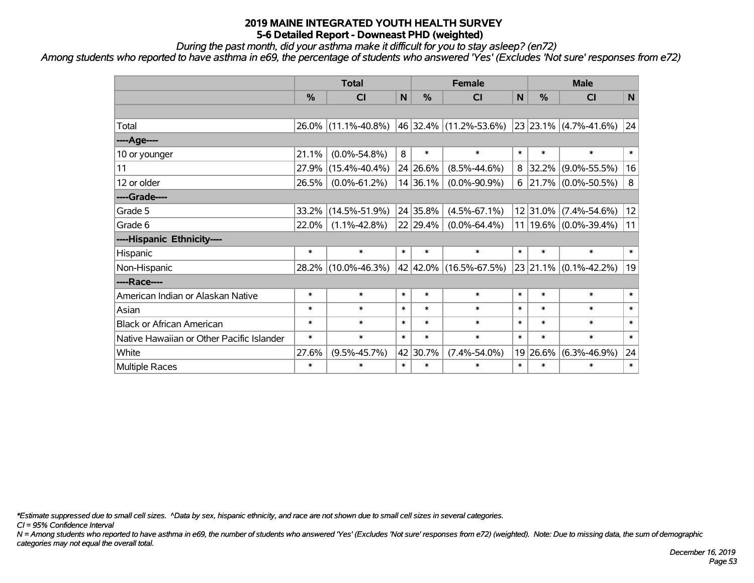*During the past month, did your asthma make it difficult for you to stay asleep? (en72)*

*Among students who reported to have asthma in e69, the percentage of students who answered 'Yes' (Excludes 'Not sure' responses from e72)*

|                                           | <b>Total</b> |                     |              |          | <b>Female</b>          | <b>Male</b> |               |                               |              |
|-------------------------------------------|--------------|---------------------|--------------|----------|------------------------|-------------|---------------|-------------------------------|--------------|
|                                           | %            | <b>CI</b>           | $\mathsf{N}$ | %        | <b>CI</b>              | N           | $\frac{0}{0}$ | <b>CI</b>                     | N            |
|                                           |              |                     |              |          |                        |             |               |                               |              |
| Total                                     |              | 26.0% (11.1%-40.8%) |              |          | 46 32.4% (11.2%-53.6%) |             |               | 23 23.1% (4.7%-41.6%)         | $ 24\rangle$ |
| ----Age----                               |              |                     |              |          |                        |             |               |                               |              |
| 10 or younger                             | 21.1%        | $(0.0\% - 54.8\%)$  | 8            | $\ast$   | $\ast$                 | $\ast$      | $\ast$        | $\ast$                        | $\ast$       |
| 11                                        | 27.9%        | $(15.4\% - 40.4\%)$ |              | 24 26.6% | $(8.5\% - 44.6\%)$     | 8           | 32.2%         | $(9.0\% - 55.5\%)$            | 16           |
| 12 or older                               | 26.5%        | $(0.0\% - 61.2\%)$  |              | 14 36.1% | $(0.0\% - 90.9\%)$     | 6           |               | $ 21.7\% $ (0.0%-50.5%)       | 8            |
| ----Grade----                             |              |                     |              |          |                        |             |               |                               |              |
| Grade 5                                   | 33.2%        | $(14.5\% - 51.9\%)$ |              | 24 35.8% | $(4.5\% - 67.1\%)$     |             | $12$  31.0%   | $(7.4\% - 54.6\%)$            | 12           |
| Grade 6                                   | 22.0%        | $(1.1\% - 42.8\%)$  |              | 22 29.4% | $(0.0\% - 64.4\%)$     |             |               | 11   19.6% $(0.0\% - 39.4\%)$ | 11           |
| ----Hispanic Ethnicity----                |              |                     |              |          |                        |             |               |                               |              |
| Hispanic                                  | $\ast$       | $\ast$              | $\ast$       | $\ast$   | $\ast$                 | $\ast$      | $\ast$        | $\ast$                        | $\ast$       |
| Non-Hispanic                              | 28.2%        | $(10.0\% - 46.3\%)$ |              |          | 42 42.0% (16.5%-67.5%) |             | 23 21.1%      | $(0.1\% - 42.2\%)$            | 19           |
| ----Race----                              |              |                     |              |          |                        |             |               |                               |              |
| American Indian or Alaskan Native         | $\ast$       | $\ast$              | $\ast$       | $\ast$   | $\ast$                 | $\ast$      | $\ast$        | $\ast$                        | $\ast$       |
| Asian                                     | $\ast$       | $\ast$              | $\ast$       | $\ast$   | $\ast$                 | $\ast$      | $\ast$        | $\ast$                        | $\ast$       |
| <b>Black or African American</b>          | $\ast$       | $\ast$              | $\ast$       | $\ast$   | $\ast$                 | $\ast$      | $\ast$        | $\ast$                        | $\ast$       |
| Native Hawaiian or Other Pacific Islander | $\ast$       | $\ast$              | $\ast$       | $\ast$   | $\ast$                 | $\ast$      | $\ast$        | $\ast$                        | $\ast$       |
| White                                     | 27.6%        | $(9.5\% - 45.7\%)$  |              | 42 30.7% | $(7.4\% - 54.0\%)$     |             | 19 26.6%      | $(6.3\% - 46.9\%)$            | 24           |
| Multiple Races                            | $\ast$       | $\ast$              | $\ast$       | $\ast$   | $\ast$                 | $\ast$      | $\ast$        | $\ast$                        | $\ast$       |

*\*Estimate suppressed due to small cell sizes. ^Data by sex, hispanic ethnicity, and race are not shown due to small cell sizes in several categories.*

*CI = 95% Confidence Interval*

*N = Among students who reported to have asthma in e69, the number of students who answered 'Yes' (Excludes 'Not sure' responses from e72) (weighted). Note: Due to missing data, the sum of demographic categories may not equal the overall total.*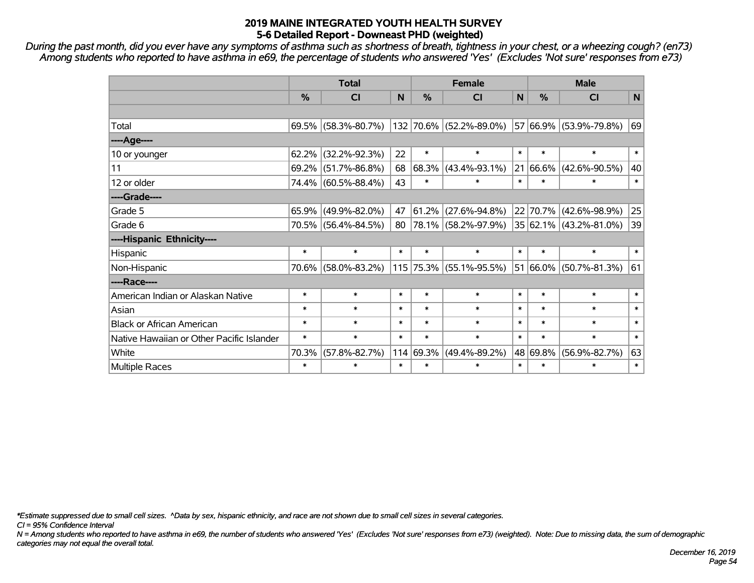*During the past month, did you ever have any symptoms of asthma such as shortness of breath, tightness in your chest, or a wheezing cough? (en73) Among students who reported to have asthma in e69, the percentage of students who answered 'Yes' (Excludes 'Not sure' responses from e73)*

|                                           | <b>Total</b>  |                        |        |        | <b>Female</b>           | <b>Male</b>  |            |                             |        |
|-------------------------------------------|---------------|------------------------|--------|--------|-------------------------|--------------|------------|-----------------------------|--------|
|                                           | $\frac{0}{0}$ | <b>CI</b>              | N      | %      | <b>CI</b>               | $\mathsf{N}$ | %          | <b>CI</b>                   | N      |
|                                           |               |                        |        |        |                         |              |            |                             |        |
| Total                                     |               | $69.5\%$ (58.3%-80.7%) |        |        | 132 70.6% (52.2%-89.0%) |              |            | 57 66.9% (53.9%-79.8%)      | 69     |
| ----Age----                               |               |                        |        |        |                         |              |            |                             |        |
| 10 or younger                             | 62.2%         | $(32.2\% - 92.3\%)$    | 22     | $\ast$ | $\ast$                  | $\ast$       | $\ast$     | $\ast$                      | $\ast$ |
| 11                                        | 69.2%         | $(51.7\% - 86.8\%)$    | 68     | 68.3%  | $(43.4\% - 93.1\%)$     | 21           | $ 66.6\% $ | $(42.6\% - 90.5\%)$         | 40     |
| 12 or older                               |               | 74.4% (60.5%-88.4%)    | 43     | $\ast$ | $\ast$                  | $\ast$       | $\ast$     | $\ast$                      | $\ast$ |
| ----Grade----                             |               |                        |        |        |                         |              |            |                             |        |
| Grade 5                                   | 65.9%         | $(49.9\% - 82.0\%)$    | 47     | 61.2%  | $(27.6\% - 94.8\%)$     |              | 22 70.7%   | $(42.6\% - 98.9\%)$         | 25     |
| Grade 6                                   |               | 70.5% (56.4%-84.5%)    | 80     |        | 78.1% (58.2%-97.9%)     |              |            | $ 35 62.1\% $ (43.2%-81.0%) | 39     |
| ----Hispanic Ethnicity----                |               |                        |        |        |                         |              |            |                             |        |
| Hispanic                                  | $\ast$        | $\ast$                 | $\ast$ | $\ast$ | $\ast$                  | $\ast$       | $\ast$     | $\ast$                      | $\ast$ |
| Non-Hispanic                              |               | 70.6% (58.0%-83.2%)    |        |        | 115 75.3% (55.1%-95.5%) |              | 51 66.0%   | $(50.7\% - 81.3\%)$         | 61     |
| ----Race----                              |               |                        |        |        |                         |              |            |                             |        |
| American Indian or Alaskan Native         | $\ast$        | $\ast$                 | $\ast$ | $\ast$ | $\ast$                  | $\ast$       | $\ast$     | $\ast$                      | $\ast$ |
| Asian                                     | $\ast$        | $\ast$                 | $\ast$ | $\ast$ | $\ast$                  | $\ast$       | $\ast$     | $\ast$                      | $\ast$ |
| <b>Black or African American</b>          | $\ast$        | $\ast$                 | $\ast$ | $\ast$ | $\ast$                  | $\ast$       | $\ast$     | $\ast$                      | $\ast$ |
| Native Hawaiian or Other Pacific Islander | $\ast$        | $\ast$                 | $\ast$ | $\ast$ | $\ast$                  | $\ast$       | $\ast$     | $\ast$                      | $\ast$ |
| White                                     | 70.3%         | $(57.8\% - 82.7\%)$    | 114    | 69.3%  | $(49.4\% - 89.2\%)$     |              | 48 69.8%   | $(56.9\% - 82.7\%)$         | 63     |
| Multiple Races                            | $\ast$        | $\ast$                 | $\ast$ | $\ast$ | $\ast$                  | $\ast$       | $\ast$     | $\ast$                      | $\ast$ |

*\*Estimate suppressed due to small cell sizes. ^Data by sex, hispanic ethnicity, and race are not shown due to small cell sizes in several categories.*

*CI = 95% Confidence Interval*

*N = Among students who reported to have asthma in e69, the number of students who answered 'Yes' (Excludes 'Not sure' responses from e73) (weighted). Note: Due to missing data, the sum of demographic categories may not equal the overall total.*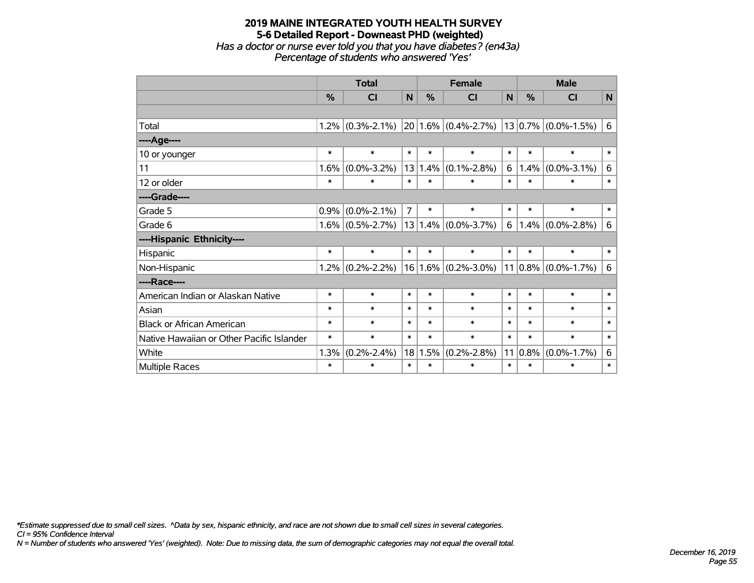#### **2019 MAINE INTEGRATED YOUTH HEALTH SURVEY 5-6 Detailed Report - Downeast PHD (weighted)** *Has a doctor or nurse ever told you that you have diabetes? (en43a) Percentage of students who answered 'Yes'*

|                                           | <b>Total</b> |                   |                |               | <b>Female</b>                               | <b>Male</b>  |          |                          |                |
|-------------------------------------------|--------------|-------------------|----------------|---------------|---------------------------------------------|--------------|----------|--------------------------|----------------|
|                                           | %            | <b>CI</b>         | N              | $\frac{0}{0}$ | <b>CI</b>                                   | $\mathsf{N}$ | %        | <b>CI</b>                | $\mathsf{N}$   |
|                                           |              |                   |                |               |                                             |              |          |                          |                |
| Total                                     | 1.2%         |                   |                |               | $(0.3\% - 2.1\%)$ 20 1.6% $(0.4\% - 2.7\%)$ |              |          | $ 13 0.7\% $ (0.0%-1.5%) | 6              |
| ----Age----                               |              |                   |                |               |                                             |              |          |                          |                |
| 10 or younger                             | $\ast$       | $\ast$            | $\ast$         | $\ast$        | $\ast$                                      | $\ast$       | $\ast$   | $\ast$                   | $\ast$         |
| 11                                        | 1.6%         | $(0.0\% - 3.2\%)$ | 13             | 1.4%          | $(0.1\% - 2.8\%)$                           | 6            | 1.4%     | $(0.0\% - 3.1\%)$        | 6              |
| 12 or older                               | $\ast$       | $\ast$            | $\ast$         | $\ast$        | $\ast$                                      | $\ast$       | $\ast$   | $\ast$                   | $\ast$         |
| ----Grade----                             |              |                   |                |               |                                             |              |          |                          |                |
| Grade 5                                   | 0.9%         | $(0.0\% - 2.1\%)$ | $\overline{7}$ | $\ast$        | $\ast$                                      | $\ast$       | $\ast$   | $\ast$                   | $\ast$         |
| Grade 6                                   | $1.6\%$      | $(0.5\% - 2.7\%)$ |                |               | $13 1.4\% $ (0.0%-3.7%)                     | 6            | 1.4%     | $(0.0\% - 2.8\%)$        | 6              |
| ----Hispanic Ethnicity----                |              |                   |                |               |                                             |              |          |                          |                |
| Hispanic                                  | $\ast$       | $\ast$            | $\ast$         | $\ast$        | $\ast$                                      | $\ast$       | $\ast$   | $\ast$                   | $\ast$         |
| Non-Hispanic                              | $1.2\%$      | $(0.2\% - 2.2\%)$ |                |               | $16 1.6\% $ (0.2%-3.0%)                     |              |          | $11 0.8\% $ (0.0%-1.7%)  | $6\phantom{1}$ |
| ----Race----                              |              |                   |                |               |                                             |              |          |                          |                |
| American Indian or Alaskan Native         | $\ast$       | $\ast$            | $\ast$         | $\ast$        | $\ast$                                      | $\ast$       | $\ast$   | $\ast$                   | $\ast$         |
| Asian                                     | $\ast$       | $\ast$            | $\ast$         | $\ast$        | $\ast$                                      | $\ast$       | $\ast$   | $\ast$                   | $\ast$         |
| <b>Black or African American</b>          | $\ast$       | $\ast$            | $\ast$         | $\ast$        | $\ast$                                      | $\ast$       | $\ast$   | $\ast$                   | $\ast$         |
| Native Hawaiian or Other Pacific Islander | $\ast$       | $\ast$            | $\ast$         | $\ast$        | $\ast$                                      | $\ast$       | $\ast$   | $\ast$                   | $\ast$         |
| White                                     | 1.3%         | $(0.2\% - 2.4\%)$ |                | 18 1.5%       | $(0.2\% - 2.8\%)$                           | 11           | $ 0.8\%$ | $(0.0\% - 1.7\%)$        | 6              |
| <b>Multiple Races</b>                     | $\ast$       | $\ast$            | $\ast$         | $\ast$        | $\ast$                                      | $\ast$       | $\ast$   | $\ast$                   | $\ast$         |

*\*Estimate suppressed due to small cell sizes. ^Data by sex, hispanic ethnicity, and race are not shown due to small cell sizes in several categories.*

*CI = 95% Confidence Interval*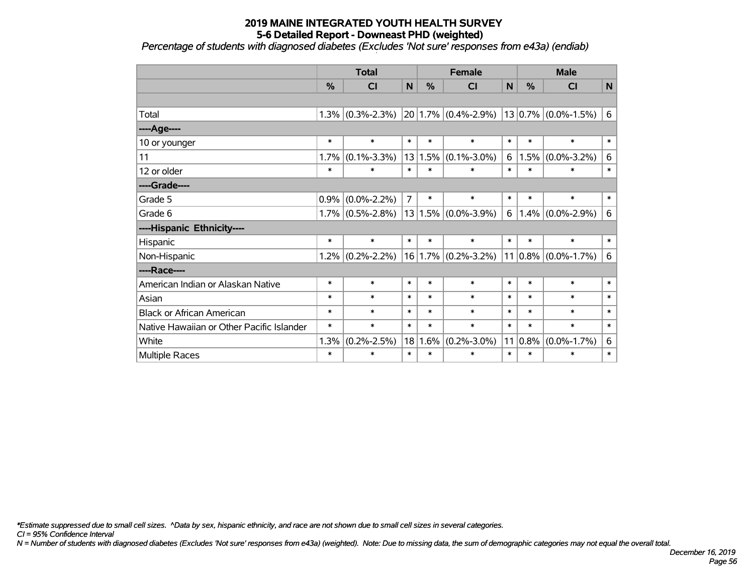*Percentage of students with diagnosed diabetes (Excludes 'Not sure' responses from e43a) (endiab)*

|                                           | <b>Total</b>  |                   |                | <b>Female</b> |                                                           |        | <b>Male</b> |                         |        |
|-------------------------------------------|---------------|-------------------|----------------|---------------|-----------------------------------------------------------|--------|-------------|-------------------------|--------|
|                                           | $\frac{0}{0}$ | CI                | $\mathbf N$    | $\%$          | <b>CI</b>                                                 | N      | $\%$        | <b>CI</b>               | N      |
|                                           |               |                   |                |               |                                                           |        |             |                         |        |
| Total                                     | 1.3%          | $(0.3\% - 2.3\%)$ |                |               | $\left  20 \right  1.7\% \left  (0.4\% - 2.9\% ) \right $ |        |             | $13 0.7\% $ (0.0%-1.5%) | 6      |
| ----Age----                               |               |                   |                |               |                                                           |        |             |                         |        |
| 10 or younger                             | $\ast$        | $\ast$            | $\ast$         | $\ast$        | $\ast$                                                    | $\ast$ | $\ast$      | $\ast$                  | $\ast$ |
| 11                                        | 1.7%          | $(0.1\% - 3.3\%)$ | 13             | 1.5%          | $(0.1\% - 3.0\%)$                                         | 6      | 1.5%        | $(0.0\% - 3.2\%)$       | 6      |
| 12 or older                               | $\ast$        | $\ast$            | $\ast$         | $\ast$        | $\ast$                                                    | $\ast$ | $\ast$      | $\ast$                  | $\ast$ |
| ----Grade----                             |               |                   |                |               |                                                           |        |             |                         |        |
| Grade 5                                   | 0.9%          | $(0.0\% - 2.2\%)$ | $\overline{7}$ | $\ast$        | $\ast$                                                    | $\ast$ | $\ast$      | $\ast$                  | $\ast$ |
| Grade 6                                   | $1.7\%$       | $(0.5\% - 2.8\%)$ |                |               | $13 1.5\% $ (0.0%-3.9%)                                   | 6      |             | $1.4\%$ (0.0%-2.9%)     | 6      |
| ----Hispanic Ethnicity----                |               |                   |                |               |                                                           |        |             |                         |        |
| Hispanic                                  | $\ast$        | $\ast$            | $\ast$         | $\ast$        | $\ast$                                                    | $\ast$ | $\ast$      | $\ast$                  | $\ast$ |
| Non-Hispanic                              | 1.2%          | $(0.2\% - 2.2\%)$ |                |               | $16 1.7\% $ (0.2%-3.2%)                                   |        |             | $11 0.8\% $ (0.0%-1.7%) | 6      |
| ----Race----                              |               |                   |                |               |                                                           |        |             |                         |        |
| American Indian or Alaskan Native         | $\ast$        | $\ast$            | $\ast$         | $\ast$        | $\ast$                                                    | $\ast$ | $\ast$      | $\ast$                  | $\ast$ |
| Asian                                     | $\ast$        | $\ast$            | $\ast$         | $\ast$        | $\ast$                                                    | $\ast$ | $\ast$      | $\ast$                  | $\ast$ |
| <b>Black or African American</b>          | $\ast$        | $\ast$            | $\ast$         | $\ast$        | $\ast$                                                    | $\ast$ | $\ast$      | $\ast$                  | $\ast$ |
| Native Hawaiian or Other Pacific Islander | $\ast$        | $\ast$            | $\ast$         | $\ast$        | $\ast$                                                    | $\ast$ | $\ast$      | $\ast$                  | $\ast$ |
| White                                     | 1.3%          | $(0.2\% - 2.5\%)$ | 18             | 1.6%          | $(0.2\% - 3.0\%)$                                         |        | $11 0.8\%$  | $(0.0\% - 1.7\%)$       | 6      |
| Multiple Races                            | $\ast$        | $\ast$            | $\ast$         | $\ast$        | $\ast$                                                    | $\ast$ | $\ast$      | $\ast$                  | $\ast$ |

*\*Estimate suppressed due to small cell sizes. ^Data by sex, hispanic ethnicity, and race are not shown due to small cell sizes in several categories.*

*CI = 95% Confidence Interval*

*N = Number of students with diagnosed diabetes (Excludes 'Not sure' responses from e43a) (weighted). Note: Due to missing data, the sum of demographic categories may not equal the overall total.*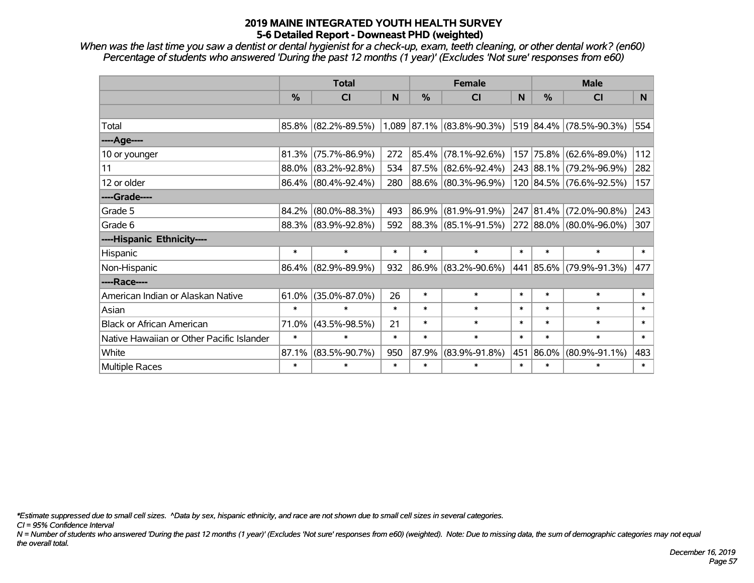*When was the last time you saw a dentist or dental hygienist for a check-up, exam, teeth cleaning, or other dental work? (en60) Percentage of students who answered 'During the past 12 months (1 year)' (Excludes 'Not sure' responses from e60)*

|                                           | <b>Total</b>  |                     | <b>Female</b> |               |                           | <b>Male</b> |               |                         |        |
|-------------------------------------------|---------------|---------------------|---------------|---------------|---------------------------|-------------|---------------|-------------------------|--------|
|                                           | $\frac{0}{0}$ | <b>CI</b>           | N             | $\frac{0}{0}$ | <b>CI</b>                 | N           | $\frac{0}{0}$ | <b>CI</b>               | N.     |
|                                           |               |                     |               |               |                           |             |               |                         |        |
| Total                                     |               | 85.8% (82.2%-89.5%) |               |               | 1,089 87.1% (83.8%-90.3%) |             |               | 519 84.4% (78.5%-90.3%) | 554    |
| ----Age----                               |               |                     |               |               |                           |             |               |                         |        |
| 10 or younger                             | 81.3%         | $(75.7\% - 86.9\%)$ | 272           | 85.4%         | $(78.1\% - 92.6\%)$       |             | 157 75.8%     | $(62.6\% - 89.0\%)$     | 112    |
| 11                                        |               | 88.0% (83.2%-92.8%) | 534           | 87.5%         | $(82.6\% - 92.4\%)$       |             |               | 243 88.1% (79.2%-96.9%) | 282    |
| 12 or older                               |               | 86.4% (80.4%-92.4%) | 280           |               | 88.6% (80.3%-96.9%)       |             |               | 120 84.5% (76.6%-92.5%) | 157    |
| ----Grade----                             |               |                     |               |               |                           |             |               |                         |        |
| Grade 5                                   | 84.2%         | $(80.0\% - 88.3\%)$ | 493           | 86.9%         | $(81.9\% - 91.9\%)$       |             |               | 247 81.4% (72.0%-90.8%) | 243    |
| Grade 6                                   |               | 88.3% (83.9%-92.8%) | 592           |               | 88.3%   (85.1%-91.5%)     |             |               | 272 88.0% (80.0%-96.0%) | 307    |
| ----Hispanic Ethnicity----                |               |                     |               |               |                           |             |               |                         |        |
| Hispanic                                  | $\ast$        | $\ast$              | $\ast$        | $\ast$        | $\ast$                    | $\ast$      | $\ast$        | $\ast$                  | $\ast$ |
| Non-Hispanic                              |               | 86.4% (82.9%-89.9%) | 932           | 86.9%         | $(83.2\% - 90.6\%)$       |             |               | 441 85.6% (79.9%-91.3%) | 477    |
| ----Race----                              |               |                     |               |               |                           |             |               |                         |        |
| American Indian or Alaskan Native         | 61.0%         | $(35.0\% - 87.0\%)$ | 26            | $\ast$        | $\ast$                    | $\ast$      | $\ast$        | $\ast$                  | $\ast$ |
| Asian                                     | $\ast$        | $\ast$              | $\ast$        | $\ast$        | $\ast$                    | $\ast$      | $\ast$        | $\ast$                  | $\ast$ |
| <b>Black or African American</b>          | 71.0%         | $(43.5\% - 98.5\%)$ | 21            | $\ast$        | $\ast$                    | $\ast$      | $\ast$        | $\ast$                  | $\ast$ |
| Native Hawaiian or Other Pacific Islander | $\ast$        | $\ast$              | $\ast$        | $\ast$        | $\ast$                    | $\ast$      | $\ast$        | $\ast$                  | $\ast$ |
| White                                     | 87.1%         | $(83.5\% - 90.7\%)$ | 950           | 87.9%         | $(83.9\% - 91.8\%)$       | 451         | 86.0%         | $(80.9\% - 91.1\%)$     | 483    |
| Multiple Races                            | $\ast$        | $\ast$              | $\ast$        | $\ast$        | $\ast$                    | $\ast$      | $\ast$        | $\ast$                  | $\ast$ |

*\*Estimate suppressed due to small cell sizes. ^Data by sex, hispanic ethnicity, and race are not shown due to small cell sizes in several categories.*

*CI = 95% Confidence Interval*

*N = Number of students who answered 'During the past 12 months (1 year)' (Excludes 'Not sure' responses from e60) (weighted). Note: Due to missing data, the sum of demographic categories may not equal the overall total.*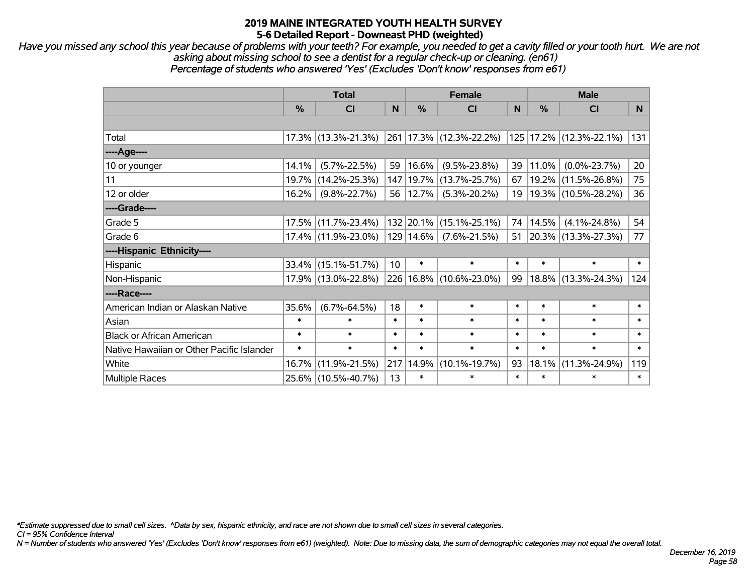*Have you missed any school this year because of problems with your teeth? For example, you needed to get a cavity filled or your tooth hurt. We are not asking about missing school to see a dentist for a regular check-up or cleaning. (en61) Percentage of students who answered 'Yes' (Excludes 'Don't know' responses from e61)*

|                                           | <b>Total</b>  |                        |                 |               | <b>Female</b>               | <b>Male</b> |               |                          |        |
|-------------------------------------------|---------------|------------------------|-----------------|---------------|-----------------------------|-------------|---------------|--------------------------|--------|
|                                           | $\frac{0}{0}$ | C <sub>l</sub>         | N               | $\frac{0}{0}$ | <b>CI</b>                   | N           | $\frac{0}{0}$ | <b>CI</b>                | N      |
|                                           |               |                        |                 |               |                             |             |               |                          |        |
| Total                                     |               | 17.3% (13.3%-21.3%)    |                 |               | 261   17.3%   (12.3%-22.2%) |             |               | 125 17.2% (12.3%-22.1%)  | 131    |
| $---Age---$                               |               |                        |                 |               |                             |             |               |                          |        |
| 10 or younger                             | 14.1%         | $(5.7\% - 22.5\%)$     | 59              | 16.6%         | $(9.5\% - 23.8\%)$          | 39          | 11.0%         | $(0.0\% - 23.7\%)$       | 20     |
| 11                                        | 19.7%         | $(14.2\% - 25.3\%)$    | 147             | 19.7%         | $(13.7\% - 25.7\%)$         | 67          | $19.2\%$      | $(11.5\% - 26.8\%)$      | 75     |
| 12 or older                               | 16.2%         | $(9.8\% - 22.7\%)$     | 56              | 12.7%         | $(5.3\% - 20.2\%)$          | 19          |               | 19.3% (10.5%-28.2%)      | 36     |
| ----Grade----                             |               |                        |                 |               |                             |             |               |                          |        |
| Grade 5                                   |               | 17.5% (11.7%-23.4%)    |                 | 132 20.1%     | $(15.1\% - 25.1\%)$         | 74          | 14.5%         | $(4.1\% - 24.8\%)$       | 54     |
| Grade 6                                   |               | 17.4% (11.9%-23.0%)    |                 | 129 14.6%     | $(7.6\% - 21.5\%)$          | 51          |               | $ 20.3\% $ (13.3%-27.3%) | 77     |
| ----Hispanic Ethnicity----                |               |                        |                 |               |                             |             |               |                          |        |
| Hispanic                                  |               | $33.4\%$ (15.1%-51.7%) | 10 <sup>°</sup> | $\ast$        | $\ast$                      | $\ast$      | $\ast$        | $\ast$                   | $\ast$ |
| Non-Hispanic                              |               | 17.9% (13.0%-22.8%)    |                 |               | 226   16.8%   (10.6%-23.0%) | 99          |               | 18.8% (13.3%-24.3%)      | 124    |
| ----Race----                              |               |                        |                 |               |                             |             |               |                          |        |
| American Indian or Alaskan Native         | 35.6%         | $(6.7\% - 64.5\%)$     | 18              | $\ast$        | $\ast$                      | $\ast$      | $\ast$        | $\ast$                   | $\ast$ |
| Asian                                     | $\ast$        | $\ast$                 | $\ast$          | $\ast$        | $\ast$                      | $\ast$      | $\ast$        | $\ast$                   | $\ast$ |
| <b>Black or African American</b>          | $\ast$        | $\ast$                 | $\ast$          | $\ast$        | $\ast$                      | $\ast$      | $\ast$        | $\ast$                   | $\ast$ |
| Native Hawaiian or Other Pacific Islander | $\ast$        | $\ast$                 | $\ast$          | $\ast$        | $\ast$                      | $\ast$      | $\ast$        | $\ast$                   | $\ast$ |
| White                                     | 16.7%         | $(11.9\% - 21.5\%)$    | 217             | 14.9%         | $(10.1\% - 19.7\%)$         | 93          | 18.1%         | $(11.3\% - 24.9\%)$      | 119    |
| <b>Multiple Races</b>                     |               | 25.6% (10.5%-40.7%)    | 13              | $\ast$        | $\ast$                      | $\ast$      | $\ast$        | $\ast$                   | $\ast$ |

*\*Estimate suppressed due to small cell sizes. ^Data by sex, hispanic ethnicity, and race are not shown due to small cell sizes in several categories.*

*CI = 95% Confidence Interval*

*N = Number of students who answered 'Yes' (Excludes 'Don't know' responses from e61) (weighted). Note: Due to missing data, the sum of demographic categories may not equal the overall total.*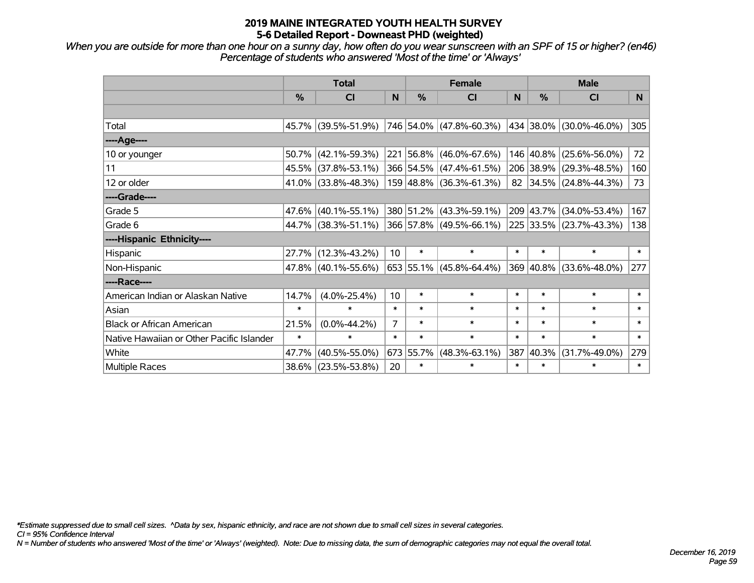*When you are outside for more than one hour on a sunny day, how often do you wear sunscreen with an SPF of 15 or higher? (en46) Percentage of students who answered 'Most of the time' or 'Always'*

|                                           | <b>Total</b> |                        |                |           | <b>Female</b>             | <b>Male</b> |               |                         |                |
|-------------------------------------------|--------------|------------------------|----------------|-----------|---------------------------|-------------|---------------|-------------------------|----------------|
|                                           | %            | <b>CI</b>              | N              | %         | <b>CI</b>                 | N           | $\frac{0}{0}$ | <b>CI</b>               | N <sub>1</sub> |
|                                           |              |                        |                |           |                           |             |               |                         |                |
| Total                                     |              | 45.7% (39.5%-51.9%)    |                |           | 746 54.0% (47.8%-60.3%)   |             |               | 434 38.0% (30.0%-46.0%) | 305            |
| ----Age----                               |              |                        |                |           |                           |             |               |                         |                |
| 10 or younger                             | 50.7%        | $(42.1\% - 59.3\%)$    |                |           | 221 56.8% (46.0%-67.6%)   |             | 146 40.8%     | $(25.6\% - 56.0\%)$     | 72             |
| 11                                        | 45.5%        | $(37.8\% - 53.1\%)$    |                |           | 366 54.5% (47.4%-61.5%)   |             | 206 38.9%     | $(29.3\% - 48.5\%)$     | 160            |
| 12 or older                               |              | $41.0\%$ (33.8%-48.3%) |                |           | 159 48.8% (36.3%-61.3%)   |             |               | 82 34.5% (24.8%-44.3%)  | 73             |
| ----Grade----                             |              |                        |                |           |                           |             |               |                         |                |
| Grade 5                                   | 47.6%        | $(40.1\% - 55.1\%)$    |                |           | 380 51.2% (43.3%-59.1%)   |             | 209 43.7%     | $(34.0\% - 53.4\%)$     | 167            |
| Grade 6                                   |              | 44.7% (38.3%-51.1%)    |                |           | 366 57.8% (49.5%-66.1%)   |             |               | 225 33.5% (23.7%-43.3%) | 138            |
| ----Hispanic Ethnicity----                |              |                        |                |           |                           |             |               |                         |                |
| Hispanic                                  | 27.7%        | $(12.3\% - 43.2\%)$    | 10             | $\ast$    | $\ast$                    | $\ast$      | $\ast$        | $\ast$                  | $\ast$         |
| Non-Hispanic                              |              | $47.8\%$ (40.1%-55.6%) |                |           | $653$ 55.1% (45.8%-64.4%) |             | 369 40.8%     | $(33.6\% - 48.0\%)$     | 277            |
| ----Race----                              |              |                        |                |           |                           |             |               |                         |                |
| American Indian or Alaskan Native         | 14.7%        | $(4.0\% - 25.4\%)$     | 10             | $\ast$    | $\ast$                    | $\ast$      | $\ast$        | $\ast$                  | $\ast$         |
| Asian                                     | $\ast$       | $\ast$                 | $\ast$         | $\ast$    | $\ast$                    | $\ast$      | $\ast$        | $\ast$                  | $\ast$         |
| <b>Black or African American</b>          | 21.5%        | $(0.0\% - 44.2\%)$     | $\overline{7}$ | $\ast$    | $\ast$                    | $\ast$      | $\ast$        | $\ast$                  | $\ast$         |
| Native Hawaiian or Other Pacific Islander | $\ast$       | $\ast$                 | $\ast$         | $\ast$    | $\ast$                    | $\ast$      | $\ast$        | $\ast$                  | $\pmb{\ast}$   |
| White                                     | 47.7%        | $(40.5\% - 55.0\%)$    |                | 673 55.7% | $(48.3\% - 63.1\%)$       | 387         | 40.3%         | $(31.7\% - 49.0\%)$     | 279            |
| Multiple Races                            |              | 38.6% (23.5%-53.8%)    | 20             | $\ast$    | $\ast$                    | $\ast$      | $\ast$        | *                       | $\ast$         |

*\*Estimate suppressed due to small cell sizes. ^Data by sex, hispanic ethnicity, and race are not shown due to small cell sizes in several categories.*

*CI = 95% Confidence Interval*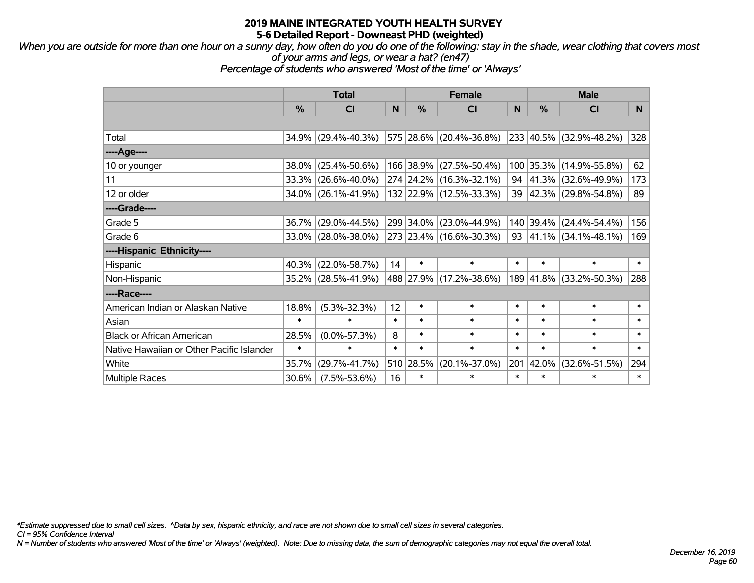*When you are outside for more than one hour on a sunny day, how often do you do one of the following: stay in the shade, wear clothing that covers most of your arms and legs, or wear a hat? (en47)*

*Percentage of students who answered 'Most of the time' or 'Always'*

|                                           | <b>Total</b> |                        |        | <b>Female</b> | <b>Male</b>             |        |               |                             |                |
|-------------------------------------------|--------------|------------------------|--------|---------------|-------------------------|--------|---------------|-----------------------------|----------------|
|                                           | $\%$         | <b>CI</b>              | N      | $\%$          | <b>CI</b>               | N      | %             | <b>CI</b>                   | N <sub>1</sub> |
|                                           |              |                        |        |               |                         |        |               |                             |                |
| Total                                     |              | 34.9% (29.4%-40.3%)    |        |               | 575 28.6% (20.4%-36.8%) |        |               | 233 40.5% (32.9%-48.2%)     | 328            |
| ----Age----                               |              |                        |        |               |                         |        |               |                             |                |
| 10 or younger                             | 38.0%        | $(25.4\% - 50.6\%)$    |        | 166 38.9%     | $(27.5\% - 50.4\%)$     | 100    | 35.3%         | $(14.9\% - 55.8\%)$         | 62             |
| 11                                        |              | 33.3% (26.6%-40.0%)    |        |               | 274 24.2% (16.3%-32.1%) |        | 94 $ 41.3\% $ | $(32.6\% - 49.9\%)$         | 173            |
| 12 or older                               |              | 34.0% (26.1%-41.9%)    |        |               | 132 22.9% (12.5%-33.3%) |        |               | 39 42.3% (29.8%-54.8%)      | 89             |
| ----Grade----                             |              |                        |        |               |                         |        |               |                             |                |
| Grade 5                                   |              | 36.7% (29.0%-44.5%)    |        | 299 34.0%     | $(23.0\% - 44.9\%)$     | 140    | $39.4\%$      | $(24.4\% - 54.4\%)$         | 156            |
| Grade 6                                   |              | $33.0\%$ (28.0%-38.0%) |        |               | 273 23.4% (16.6%-30.3%) |        |               | 93 $ 41.1\% $ (34.1%-48.1%) | 169            |
| ----Hispanic Ethnicity----                |              |                        |        |               |                         |        |               |                             |                |
| Hispanic                                  |              | 40.3% (22.0%-58.7%)    | 14     | $\ast$        | $\ast$                  | $\ast$ | $\ast$        | $\ast$                      | $\ast$         |
| Non-Hispanic                              |              | 35.2% (28.5%-41.9%)    |        |               | 488 27.9% (17.2%-38.6%) |        | 189 41.8%     | $(33.2\% - 50.3\%)$         | 288            |
| ----Race----                              |              |                        |        |               |                         |        |               |                             |                |
| American Indian or Alaskan Native         | 18.8%        | $(5.3\% - 32.3\%)$     | 12     | $\ast$        | $\ast$                  | $\ast$ | $\ast$        | $\ast$                      | $\ast$         |
| Asian                                     | $\ast$       | $\ast$                 | $\ast$ | $\ast$        | $\ast$                  | $\ast$ | $\ast$        | $\ast$                      | $\ast$         |
| <b>Black or African American</b>          | 28.5%        | $(0.0\% - 57.3\%)$     | 8      | $\ast$        | $\ast$                  | $\ast$ | $\ast$        | $\ast$                      | $\ast$         |
| Native Hawaiian or Other Pacific Islander | $\ast$       | $\ast$                 | $\ast$ | $\ast$        | $\ast$                  | $\ast$ | $\ast$        | $\ast$                      | $\ast$         |
| White                                     | 35.7%        | $(29.7\% - 41.7\%)$    | 510    | 28.5%         | $(20.1\% - 37.0\%)$     | 201    | 42.0%         | $(32.6\% - 51.5\%)$         | 294            |
| <b>Multiple Races</b>                     | 30.6%        | $(7.5\% - 53.6\%)$     | 16     | $\ast$        | $\ast$                  | $\ast$ | $\ast$        | $\ast$                      | $\ast$         |

*\*Estimate suppressed due to small cell sizes. ^Data by sex, hispanic ethnicity, and race are not shown due to small cell sizes in several categories.*

*CI = 95% Confidence Interval*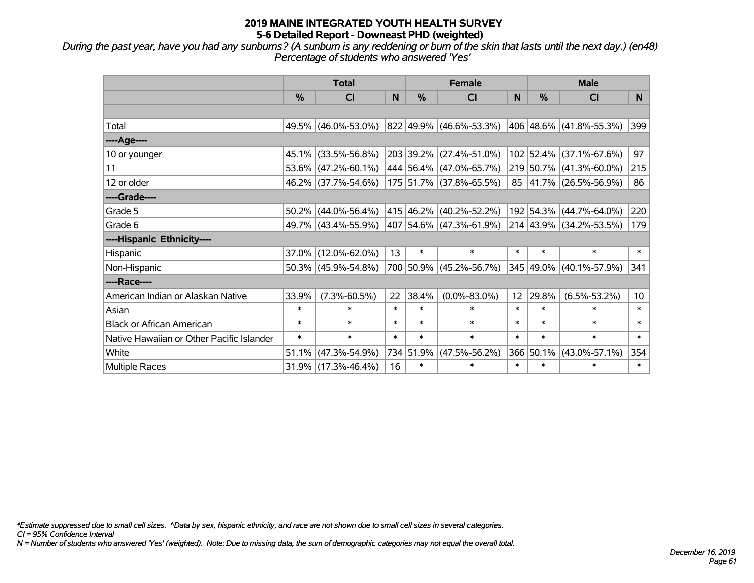*During the past year, have you had any sunburns? (A sunburn is any reddening or burn of the skin that lasts until the next day.) (en48) Percentage of students who answered 'Yes'*

|                                           | <b>Total</b> |                        |        | <b>Female</b> | <b>Male</b>             |                 |               |                         |                 |
|-------------------------------------------|--------------|------------------------|--------|---------------|-------------------------|-----------------|---------------|-------------------------|-----------------|
|                                           | %            | CI                     | N      | %             | <b>CI</b>               | N               | $\frac{0}{0}$ | <b>CI</b>               | N <sub>1</sub>  |
|                                           |              |                        |        |               |                         |                 |               |                         |                 |
| Total                                     |              | 49.5% (46.0%-53.0%)    |        |               | 822 49.9% (46.6%-53.3%) |                 |               | 406 48.6% (41.8%-55.3%) | 399             |
| ----Age----                               |              |                        |        |               |                         |                 |               |                         |                 |
| 10 or younger                             | 45.1%        | $(33.5\% - 56.8\%)$    |        |               | 203 39.2% (27.4%-51.0%) |                 | 102 52.4%     | $(37.1\% - 67.6\%)$     | 97              |
| 11                                        | 53.6%        | $(47.2\% - 60.1\%)$    |        |               | 444 56.4% (47.0%-65.7%) |                 | 219 50.7%     | $(41.3\% - 60.0\%)$     | 215             |
| 12 or older                               |              | 46.2% (37.7%-54.6%)    |        |               | 175 51.7% (37.8%-65.5%) |                 |               | 85 41.7% (26.5%-56.9%)  | 86              |
| ----Grade----                             |              |                        |        |               |                         |                 |               |                         |                 |
| Grade 5                                   | 50.2%        | $(44.0\% - 56.4\%)$    |        |               | 415 46.2% (40.2%-52.2%) |                 | 192 54.3%     | $(44.7\% - 64.0\%)$     | 220             |
| Grade 6                                   |              | 49.7% (43.4%-55.9%)    |        |               | 407 54.6% (47.3%-61.9%) |                 |               | 214 43.9% (34.2%-53.5%) | 179             |
| ----Hispanic Ethnicity----                |              |                        |        |               |                         |                 |               |                         |                 |
| Hispanic                                  | 37.0%        | $(12.0\% - 62.0\%)$    | 13     | $\ast$        | $\ast$                  | $\ast$          | $\ast$        | $\ast$                  | $\ast$          |
| Non-Hispanic                              |              | $50.3\%$ (45.9%-54.8%) |        |               | 700 50.9% (45.2%-56.7%) |                 | 345 49.0%     | $(40.1\% - 57.9\%)$     | 341             |
| ----Race----                              |              |                        |        |               |                         |                 |               |                         |                 |
| American Indian or Alaskan Native         | 33.9%        | $(7.3\% - 60.5\%)$     | 22     | 38.4%         | $(0.0\% - 83.0\%)$      | 12 <sup>2</sup> | 29.8%         | $(6.5\% - 53.2\%)$      | 10 <sup>1</sup> |
| Asian                                     | $\ast$       | $\ast$                 | $\ast$ | $\ast$        | $\ast$                  | $\ast$          | $\ast$        | $\ast$                  | $\ast$          |
| <b>Black or African American</b>          | $\ast$       | $\ast$                 | $\ast$ | $\ast$        | $\ast$                  | $\ast$          | $\ast$        | $\ast$                  | $\ast$          |
| Native Hawaiian or Other Pacific Islander | $\ast$       | $\ast$                 | $\ast$ | $\ast$        | $\ast$                  | $\ast$          | $\ast$        | $\ast$                  | $\ast$          |
| White                                     | 51.1%        | $(47.3\% - 54.9\%)$    |        | 734 51.9%     | $(47.5\% - 56.2\%)$     | 366             | 50.1%         | $(43.0\% - 57.1\%)$     | 354             |
| Multiple Races                            |              | $31.9\%$ (17.3%-46.4%) | 16     | $\ast$        | $\ast$                  | $\ast$          | $\ast$        | *                       | $\ast$          |

*\*Estimate suppressed due to small cell sizes. ^Data by sex, hispanic ethnicity, and race are not shown due to small cell sizes in several categories.*

*CI = 95% Confidence Interval*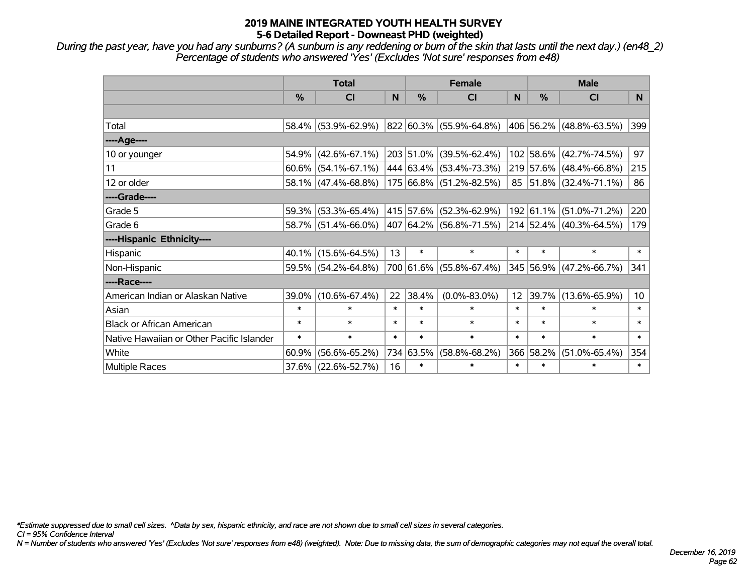*During the past year, have you had any sunburns? (A sunburn is any reddening or burn of the skin that lasts until the next day.) (en48\_2) Percentage of students who answered 'Yes' (Excludes 'Not sure' responses from e48)*

|                                           | <b>Total</b>  |                        |        | <b>Female</b> |                                 |                 | <b>Male</b>   |                         |                  |
|-------------------------------------------|---------------|------------------------|--------|---------------|---------------------------------|-----------------|---------------|-------------------------|------------------|
|                                           | $\frac{0}{0}$ | <b>CI</b>              | N      | $\frac{0}{0}$ | <b>CI</b>                       | N               | $\frac{0}{0}$ | <b>CI</b>               | N <sub>1</sub>   |
|                                           |               |                        |        |               |                                 |                 |               |                         |                  |
| Total                                     |               | 58.4% (53.9%-62.9%)    |        |               | 822 60.3% (55.9%-64.8%)         |                 |               | 406 56.2% (48.8%-63.5%) | 399              |
| ----Age----                               |               |                        |        |               |                                 |                 |               |                         |                  |
| 10 or younger                             | 54.9%         | $(42.6\% - 67.1\%)$    |        |               | 203 51.0% (39.5%-62.4%)         |                 | 102 58.6%     | $(42.7\% - 74.5\%)$     | 97               |
| 11                                        |               | $60.6\%$ (54.1%-67.1%) |        |               | 444 63.4% (53.4%-73.3%)         |                 |               | 219 57.6% (48.4%-66.8%) | 215              |
| 12 or older                               |               | 58.1% (47.4%-68.8%)    |        |               | 175 66.8% (51.2%-82.5%)         |                 |               | 85 51.8% (32.4%-71.1%)  | 86               |
| ----Grade----                             |               |                        |        |               |                                 |                 |               |                         |                  |
| Grade 5                                   | $59.3\%$      | $(53.3\% - 65.4\%)$    |        |               | 415   57.6%   (52.3%-62.9%)     |                 | 192 61.1%     | $(51.0\% - 71.2\%)$     | 220              |
| Grade 6                                   |               | 58.7% (51.4%-66.0%)    |        |               | $ 407 64.2\% (56.8\% - 71.5\%)$ |                 |               | 214 52.4% (40.3%-64.5%) | 179              |
| ----Hispanic Ethnicity----                |               |                        |        |               |                                 |                 |               |                         |                  |
| Hispanic                                  | $40.1\%$      | $(15.6\% - 64.5\%)$    | 13     | $\ast$        | $\ast$                          | $\ast$          | $\ast$        | $\ast$                  | $\ast$           |
| Non-Hispanic                              |               | 59.5% (54.2%-64.8%)    |        |               | 700 61.6% (55.8%-67.4%)         |                 | 345 56.9%     | $(47.2\% - 66.7\%)$     | 341              |
| ----Race----                              |               |                        |        |               |                                 |                 |               |                         |                  |
| American Indian or Alaskan Native         | 39.0%         | $(10.6\% - 67.4\%)$    | 22     | 38.4%         | $(0.0\% - 83.0\%)$              | 12 <sup>2</sup> | 39.7%         | $(13.6\% - 65.9\%)$     | 10 <sup>10</sup> |
| Asian                                     | $\ast$        | $\ast$                 | $\ast$ | $\ast$        | $\ast$                          | $\ast$          | $\ast$        | $\ast$                  | $\ast$           |
| <b>Black or African American</b>          | $\ast$        | $\ast$                 | $\ast$ | $\ast$        | $\ast$                          | $\ast$          | $\ast$        | $\ast$                  | $\ast$           |
| Native Hawaiian or Other Pacific Islander | $\ast$        | $\ast$                 | $\ast$ | $\ast$        | $\ast$                          | $\ast$          | $\ast$        | $\ast$                  | $\ast$           |
| White                                     | 60.9%         | $(56.6\% - 65.2\%)$    |        | 734 63.5%     | $(58.8\% - 68.2\%)$             |                 | 366 58.2%     | $(51.0\% - 65.4\%)$     | 354              |
| Multiple Races                            |               | 37.6% (22.6%-52.7%)    | 16     | $\ast$        | $\ast$                          | $\ast$          | $\ast$        | $\ast$                  | $\ast$           |

*\*Estimate suppressed due to small cell sizes. ^Data by sex, hispanic ethnicity, and race are not shown due to small cell sizes in several categories.*

*CI = 95% Confidence Interval*

*N = Number of students who answered 'Yes' (Excludes 'Not sure' responses from e48) (weighted). Note: Due to missing data, the sum of demographic categories may not equal the overall total.*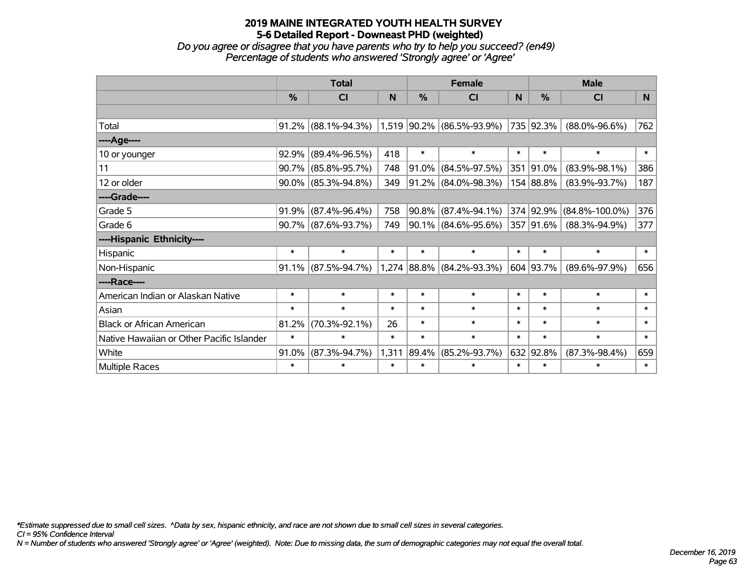*Do you agree or disagree that you have parents who try to help you succeed? (en49) Percentage of students who answered 'Strongly agree' or 'Agree'*

|                                           | <b>Total</b> |                        |        | <b>Female</b> |                             |        | <b>Male</b> |                      |              |
|-------------------------------------------|--------------|------------------------|--------|---------------|-----------------------------|--------|-------------|----------------------|--------------|
|                                           | %            | <b>CI</b>              | N      | %             | <b>CI</b>                   | N      | %           | <b>CI</b>            | N            |
|                                           |              |                        |        |               |                             |        |             |                      |              |
| Total                                     | 91.2%        | $(88.1\% - 94.3\%)$    |        |               | $1,519$ 90.2% (86.5%-93.9%) |        | 735 92.3%   | $(88.0\% - 96.6\%)$  | 762          |
| ----Age----                               |              |                        |        |               |                             |        |             |                      |              |
| 10 or younger                             | 92.9%        | $(89.4\% - 96.5\%)$    | 418    | $\ast$        | $\ast$                      | $\ast$ | $\ast$      | $\ast$               | $\pmb{\ast}$ |
| 11                                        | 90.7%        | $(85.8\% - 95.7\%)$    | 748    | 91.0%         | $(84.5\% - 97.5\%)$         | 351    | $ 91.0\%$   | $(83.9\% - 98.1\%)$  | 386          |
| 12 or older                               | 90.0%        | $(85.3\% - 94.8\%)$    | 349    |               | $91.2\%$ (84.0%-98.3%)      |        | 154 88.8%   | $(83.9\% - 93.7\%)$  | 187          |
| ----Grade----                             |              |                        |        |               |                             |        |             |                      |              |
| Grade 5                                   | 91.9%        | $(87.4\% - 96.4\%)$    | 758    |               | 90.8% (87.4%-94.1%)         |        | 374 92.9%   | $(84.8\% - 100.0\%)$ | 376          |
| Grade 6                                   |              | $90.7\%$ (87.6%-93.7%) | 749    |               | $90.1\%$ (84.6%-95.6%)      |        | 357 91.6%   | $(88.3\% - 94.9\%)$  | 377          |
| ----Hispanic Ethnicity----                |              |                        |        |               |                             |        |             |                      |              |
| Hispanic                                  | $\ast$       | $\ast$                 | $\ast$ | $\ast$        | $\ast$                      | $\ast$ | $\ast$      | $\ast$               | $\ast$       |
| Non-Hispanic                              | 91.1%        | $(87.5\% - 94.7\%)$    |        |               | $1,274$ 88.8% (84.2%-93.3%) |        | 604 93.7%   | $(89.6\% - 97.9\%)$  | 656          |
| ----Race----                              |              |                        |        |               |                             |        |             |                      |              |
| American Indian or Alaskan Native         | $\ast$       | $\ast$                 | $\ast$ | $\ast$        | $\ast$                      | $\ast$ | $\ast$      | $\ast$               | $\ast$       |
| Asian                                     | $\ast$       | $\ast$                 | $\ast$ | $\ast$        | $\ast$                      | $\ast$ | $\ast$      | $\ast$               | $\ast$       |
| <b>Black or African American</b>          | 81.2%        | $(70.3\% - 92.1\%)$    | 26     | $\ast$        | $\ast$                      | $\ast$ | $\ast$      | $\ast$               | $\ast$       |
| Native Hawaiian or Other Pacific Islander | $\ast$       | $\ast$                 | $\ast$ | $\ast$        | $\ast$                      | $\ast$ | $\ast$      | $\ast$               | $\ast$       |
| White                                     | 91.0%        | $(87.3\% - 94.7\%)$    | 1,311  | 89.4%         | $(85.2\% - 93.7\%)$         | 632    | 92.8%       | $(87.3\% - 98.4\%)$  | 659          |
| Multiple Races                            | $\ast$       | $\ast$                 | $\ast$ | $\ast$        | $\ast$                      | $\ast$ | $\ast$      | $\ast$               | $\ast$       |

*\*Estimate suppressed due to small cell sizes. ^Data by sex, hispanic ethnicity, and race are not shown due to small cell sizes in several categories.*

*CI = 95% Confidence Interval*